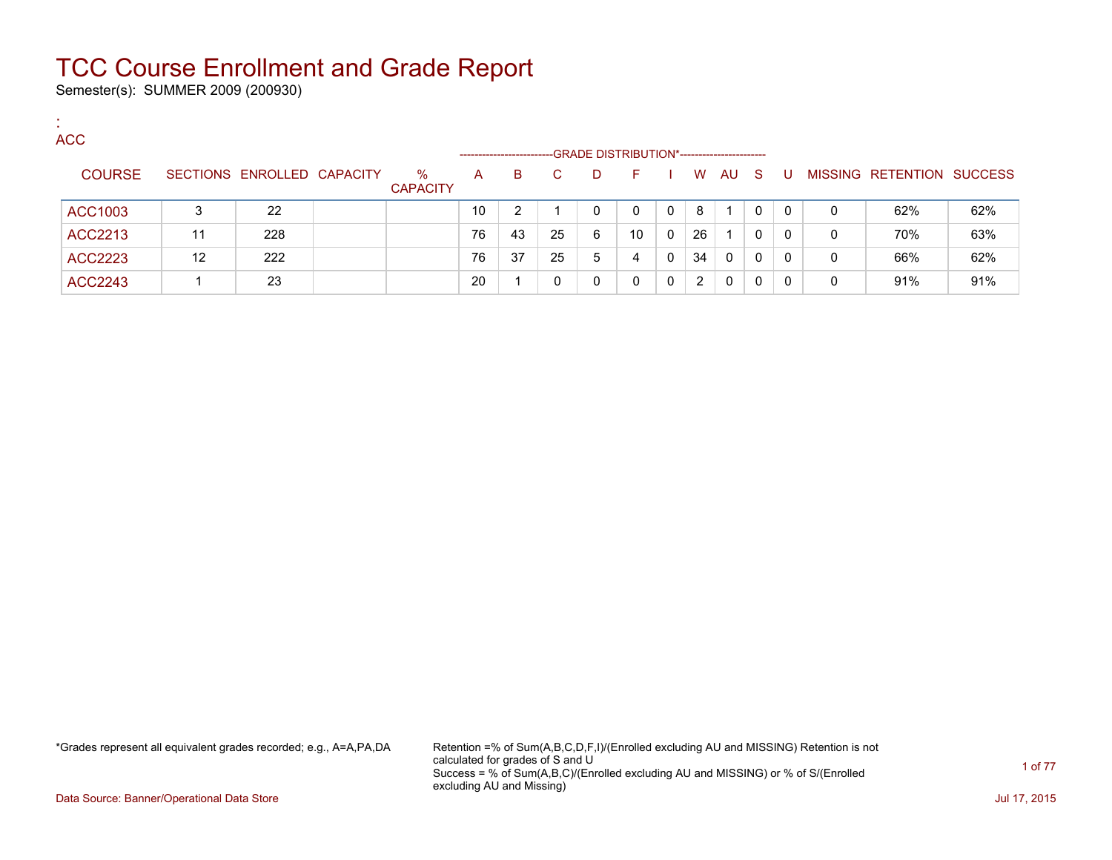Semester(s): SUMMER 2009 (200930)

:

| <b>ACC</b>     |    |                            |                         |                   |    |    |                                             |    |          |    |          |          |     |   |                           |     |
|----------------|----|----------------------------|-------------------------|-------------------|----|----|---------------------------------------------|----|----------|----|----------|----------|-----|---|---------------------------|-----|
|                |    |                            |                         | ----------------- |    |    | -GRADE DISTRIBUTION*----------------------- |    |          |    |          |          |     |   |                           |     |
| <b>COURSE</b>  |    | SECTIONS ENROLLED CAPACITY | $\%$<br><b>CAPACITY</b> | A                 | B. |    | D                                           | F. |          | W  | AU       | - S      | - U |   | MISSING RETENTION SUCCESS |     |
| ACC1003        | 3  | 22                         |                         | 10                | 2  |    |                                             | 0  | $\Omega$ | 8  |          |          | 0   | 0 | 62%                       | 62% |
| ACC2213        | 11 | 228                        |                         | 76                | 43 | 25 | 6                                           | 10 | $\Omega$ | 26 |          | 0        | 0   | 0 | 70%                       | 63% |
| ACC2223        | 12 | 222                        |                         | 76                | 37 | 25 | 5                                           | 4  | $\Omega$ | 34 | $\Omega$ | $\Omega$ | 0   | 0 | 66%                       | 62% |
| <b>ACC2243</b> |    | 23                         |                         | 20                |    |    |                                             | 0  | $\Omega$ | 2  | $\Omega$ | 0        |     | 0 | 91%                       | 91% |

\*Grades represent all equivalent grades recorded; e.g., A=A,PA,DA Retention =% of Sum(A,B,C,D,F,I)/(Enrolled excluding AU and MISSING) Retention is not calculated for grades of S and U Success = % of Sum(A,B,C)/(Enrolled excluding AU and MISSING) or % of S/(Enrolled excluding AU and Missing)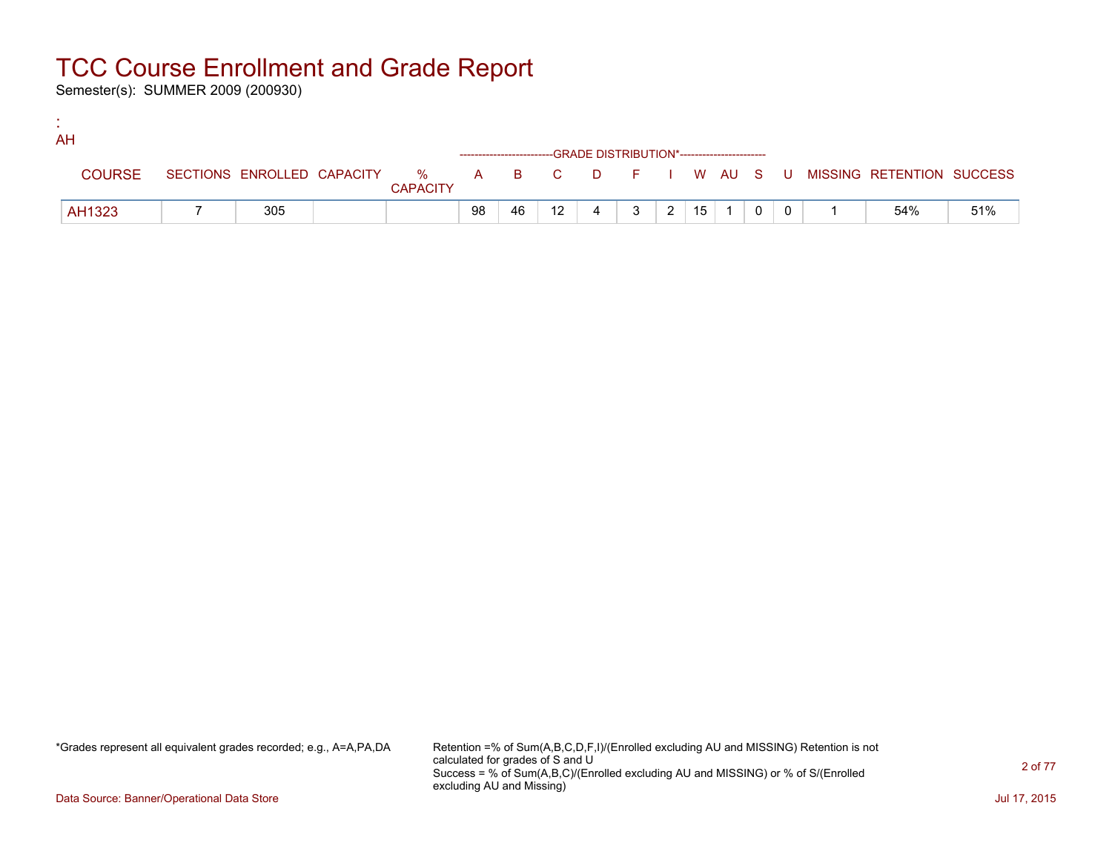Semester(s): SUMMER 2009 (200930)

:

| AH            |     |                 |    |    |                 |                                                                    |              |                |                 |  |  |                                                                             |     |
|---------------|-----|-----------------|----|----|-----------------|--------------------------------------------------------------------|--------------|----------------|-----------------|--|--|-----------------------------------------------------------------------------|-----|
|               |     |                 |    |    |                 | ------------------------GRADE DISTRIBUTION*----------------------- |              |                |                 |  |  |                                                                             |     |
| <b>COURSE</b> |     | <b>CAPACITY</b> |    |    |                 |                                                                    |              |                |                 |  |  | SECTIONS ENROLLED CAPACITY % A B C D F I W AU S U MISSING RETENTION SUCCESS |     |
| AH1323        | 305 |                 | 98 | 46 | 12 <sup>2</sup> |                                                                    | $\mathbf{3}$ | 2 <sup>1</sup> | 15 <sup>1</sup> |  |  | 54%                                                                         | 51% |

\*Grades represent all equivalent grades recorded; e.g., A=A,PA,DA Retention =% of Sum(A,B,C,D,F,I)/(Enrolled excluding AU and MISSING) Retention is not calculated for grades of S and U Success = % of Sum(A,B,C)/(Enrolled excluding AU and MISSING) or % of S/(Enrolled excluding AU and Missing)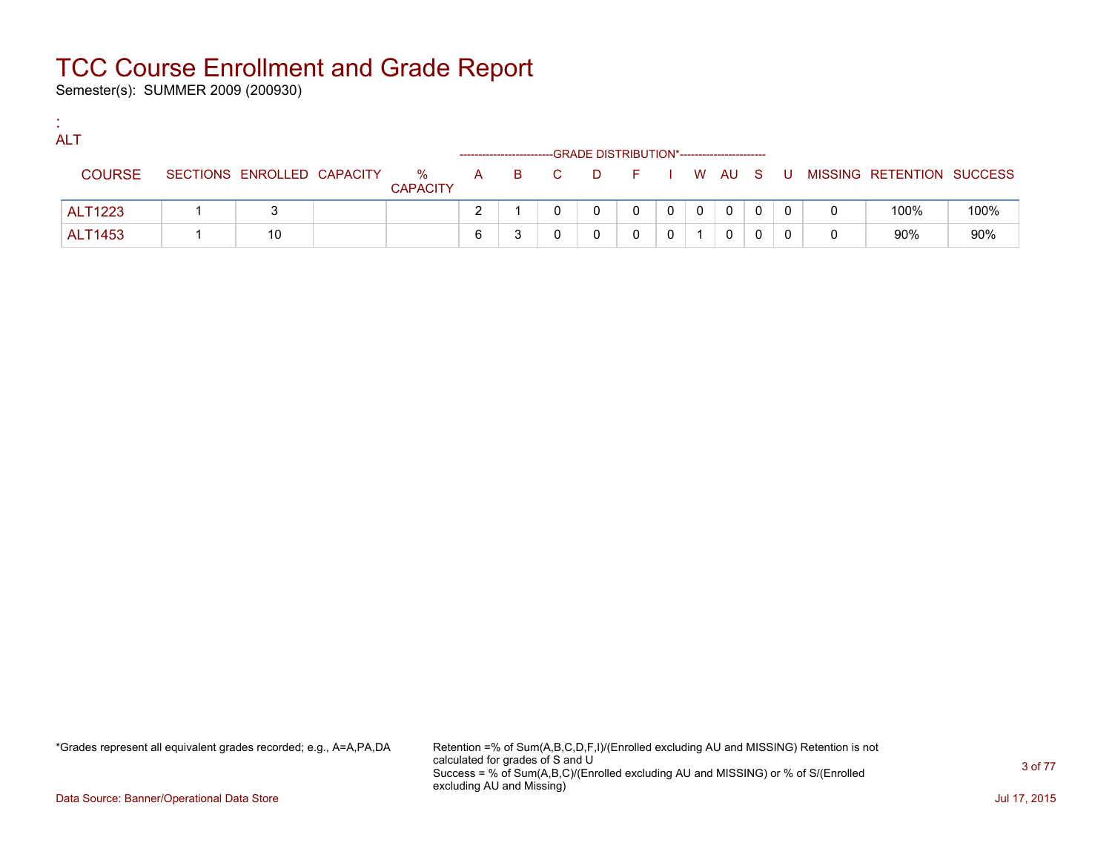Semester(s): SUMMER 2009 (200930)

:

| л. | <b>ALT</b>    |                            |                                   |  | -GRADE DISTRIBUTION*----------------------- |  |          |   |   |  |                                              |      |
|----|---------------|----------------------------|-----------------------------------|--|---------------------------------------------|--|----------|---|---|--|----------------------------------------------|------|
|    | <b>COURSE</b> | SECTIONS ENROLLED CAPACITY | % $\mathsf{A}$<br><b>CAPACITY</b> |  |                                             |  |          |   |   |  | B C D F I W AU S U MISSING RETENTION SUCCESS |      |
|    | ALT1223       |                            |                                   |  |                                             |  | $\Omega$ | 0 | 0 |  | 100%                                         | 100% |
|    | ALT1453       | 10                         |                                   |  |                                             |  |          |   |   |  | 90%                                          | 90%  |

\*Grades represent all equivalent grades recorded; e.g., A=A,PA,DA Retention =% of Sum(A,B,C,D,F,I)/(Enrolled excluding AU and MISSING) Retention is not calculated for grades of S and U Success = % of Sum(A,B,C)/(Enrolled excluding AU and MISSING) or % of S/(Enrolled excluding AU and Missing)

Data Source: Banner/Operational Data Store Jul 17, 2015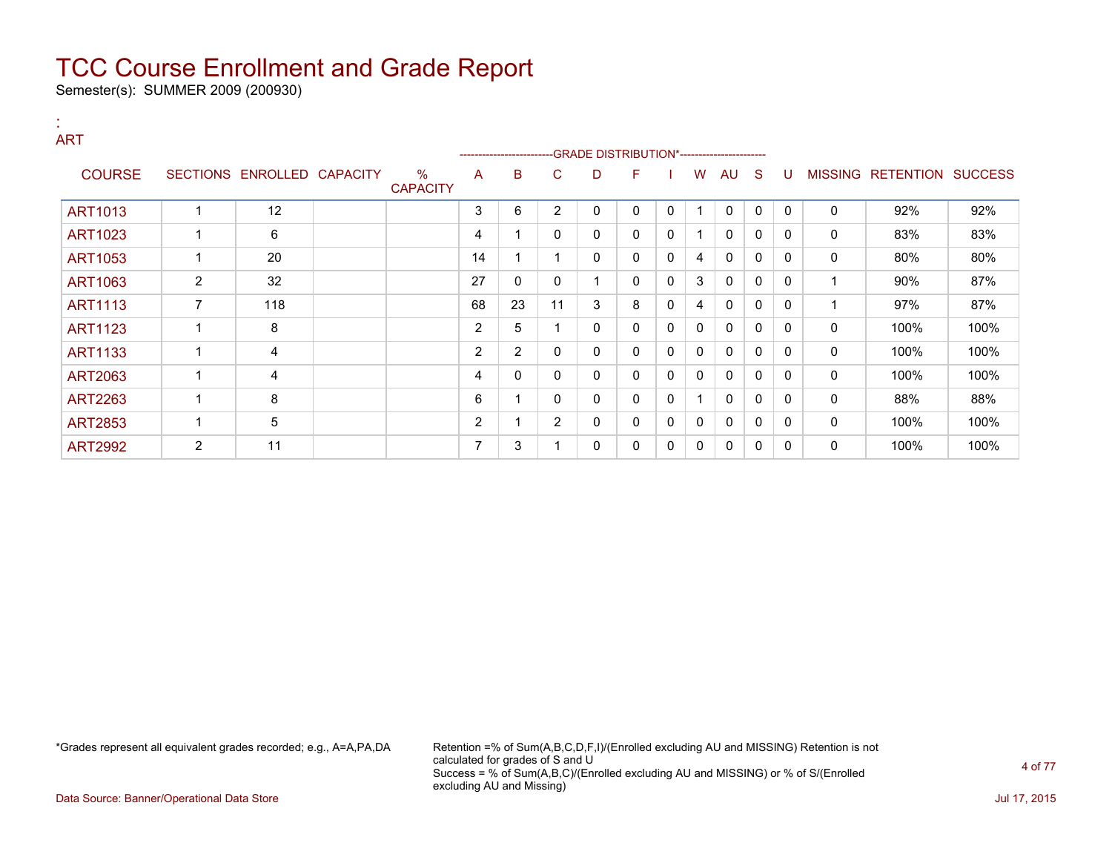Semester(s): SUMMER 2009 (200930)

#### : ART

| .              |   |                            |                         |    | --------------------- |                |   | -GRADE DISTRIBUTION*----------------------- |   |   |              |              |              |                |                          |      |
|----------------|---|----------------------------|-------------------------|----|-----------------------|----------------|---|---------------------------------------------|---|---|--------------|--------------|--------------|----------------|--------------------------|------|
| <b>COURSE</b>  |   | SECTIONS ENROLLED CAPACITY | $\%$<br><b>CAPACITY</b> | A  | B                     | C              | D | F                                           |   | W | AU           | S            | U            | <b>MISSING</b> | <b>RETENTION SUCCESS</b> |      |
| <b>ART1013</b> |   | 12                         |                         | 3  | 6                     | 2              | 0 | 0                                           | 0 |   | $\mathbf{0}$ | 0            | $\mathbf{0}$ | 0              | 92%                      | 92%  |
| <b>ART1023</b> |   | 6                          |                         | 4  |                       | $\Omega$       | 0 | 0                                           | 0 |   | $\mathbf{0}$ | 0            | $\Omega$     | 0              | 83%                      | 83%  |
| <b>ART1053</b> |   | 20                         |                         | 14 |                       |                | 0 | 0                                           | 0 | 4 | $\mathbf{0}$ | 0            | $\Omega$     | 0              | 80%                      | 80%  |
| <b>ART1063</b> | 2 | 32                         |                         | 27 | 0                     |                |   | 0                                           | 0 | 3 | 0            | 0            | $\Omega$     |                | 90%                      | 87%  |
| <b>ART1113</b> | 7 | 118                        |                         | 68 | 23                    | 11             | 3 | 8                                           | 0 | 4 | $\mathbf{0}$ | 0            | $\Omega$     |                | 97%                      | 87%  |
| <b>ART1123</b> |   | 8                          |                         | 2  | 5                     |                | 0 | 0                                           | 0 | 0 | 0            | 0            | $\mathbf{0}$ | 0              | 100%                     | 100% |
| <b>ART1133</b> |   | 4                          |                         | 2  | $\overline{2}$        | 0              | 0 | 0                                           | 0 | 0 | $\mathbf{0}$ | 0            | $\Omega$     | 0              | 100%                     | 100% |
| <b>ART2063</b> |   | 4                          |                         | 4  | 0                     |                | 0 | 0                                           | 0 | 0 | 0            | 0            | 0            | 0              | 100%                     | 100% |
| <b>ART2263</b> |   | 8                          |                         | 6  |                       | $\Omega$       | 0 | 0                                           | 0 |   | $\mathbf{0}$ | $\mathbf{0}$ | $\Omega$     | 0              | 88%                      | 88%  |
| <b>ART2853</b> |   | 5                          |                         | 2  |                       | $\overline{2}$ | 0 | 0                                           | 0 | 0 | $\mathbf{0}$ | 0            | $\Omega$     | 0              | 100%                     | 100% |
| <b>ART2992</b> | 2 | 11                         |                         | 7  | 3                     |                | 0 | 0                                           | 0 | 0 | 0            | 0            | 0            | 0              | 100%                     | 100% |

\*Grades represent all equivalent grades recorded; e.g., A=A,PA,DA Retention =% of Sum(A,B,C,D,F,I)/(Enrolled excluding AU and MISSING) Retention is not calculated for grades of S and U Success = % of Sum(A,B,C)/(Enrolled excluding AU and MISSING) or % of S/(Enrolled excluding AU and Missing)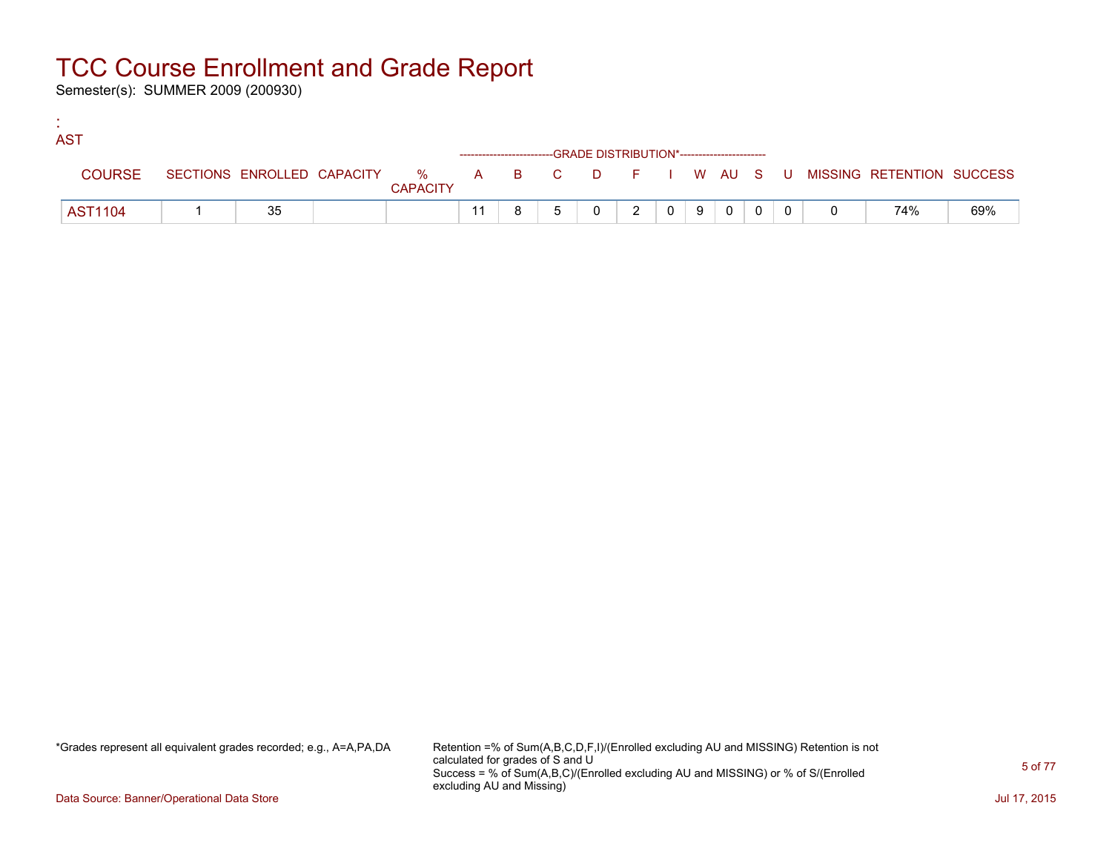Semester(s): SUMMER 2009 (200930)

:

| <b>AST</b>     |    |                 |  |                                                                    |                |  |                         |                |                                                                               |     |
|----------------|----|-----------------|--|--------------------------------------------------------------------|----------------|--|-------------------------|----------------|-------------------------------------------------------------------------------|-----|
|                |    |                 |  | ------------------------GRADE DISTRIBUTION*----------------------- |                |  |                         |                |                                                                               |     |
| <b>COURSE</b>  |    | <b>CAPACITY</b> |  |                                                                    |                |  |                         |                | SECTIONS ENROLLED CAPACITY 5 % A B C D F I W AU S U MISSING RETENTION SUCCESS |     |
| <b>AST1104</b> | 35 |                 |  |                                                                    | $\overline{2}$ |  | $0$ $0$ $0$ $0$ $0$ $0$ | $\overline{0}$ | 74%                                                                           | 69% |

\*Grades represent all equivalent grades recorded; e.g., A=A,PA,DA Retention =% of Sum(A,B,C,D,F,I)/(Enrolled excluding AU and MISSING) Retention is not calculated for grades of S and U Success = % of Sum(A,B,C)/(Enrolled excluding AU and MISSING) or % of S/(Enrolled excluding AU and Missing)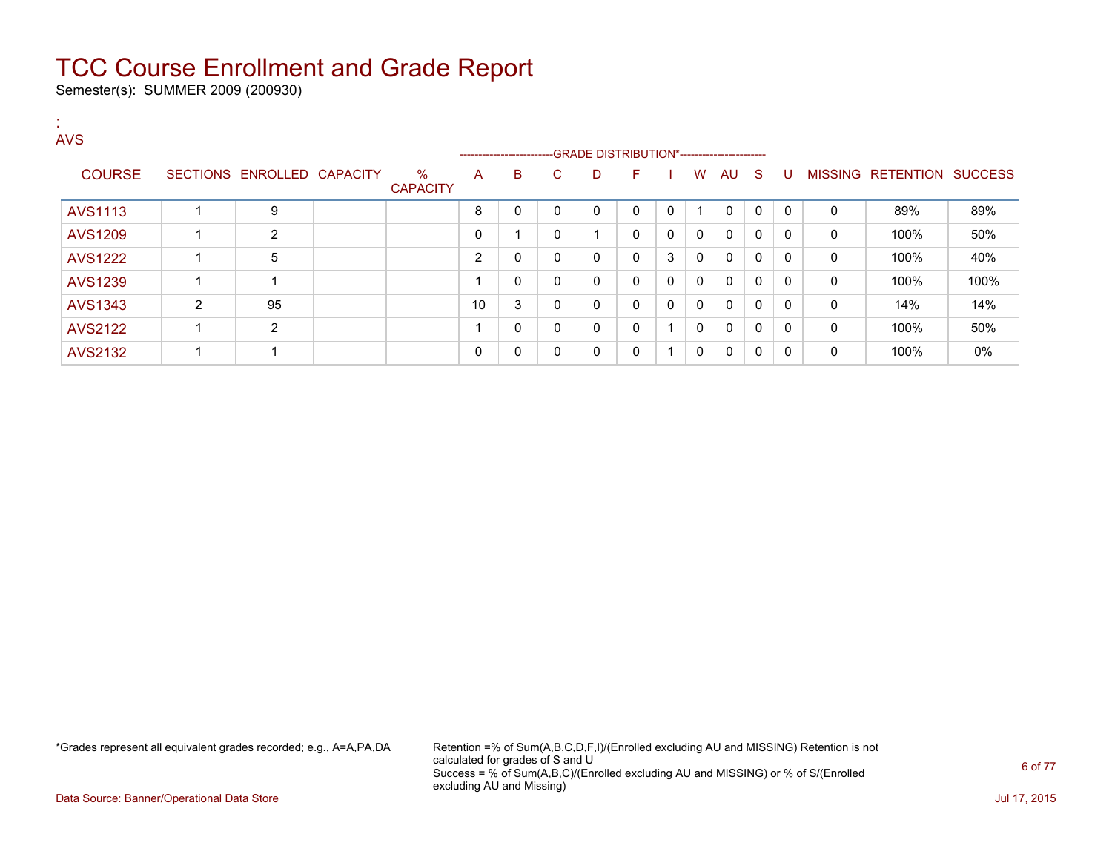Semester(s): SUMMER 2009 (200930)

| <b>AVS</b>     |                |                            |                         |    |                                                                    |              |   |          |                |              |              |              |              |              |                   |                |
|----------------|----------------|----------------------------|-------------------------|----|--------------------------------------------------------------------|--------------|---|----------|----------------|--------------|--------------|--------------|--------------|--------------|-------------------|----------------|
|                |                |                            |                         |    | ------------------------GRADE DISTRIBUTION*----------------------- |              |   |          |                |              |              |              |              |              |                   |                |
| <b>COURSE</b>  |                | SECTIONS ENROLLED CAPACITY | $\%$<br><b>CAPACITY</b> | A  | B                                                                  | C.           | D | F.       |                | W            | AU.          | -S           | U            |              | MISSING RETENTION | <b>SUCCESS</b> |
| <b>AVS1113</b> |                | 9                          |                         | 8  | 0                                                                  | $\mathbf{0}$ | 0 | $\Omega$ | $\mathbf{0}$   | 1            | $\mathbf{0}$ | $\mathbf{0}$ | $\mathbf{0}$ | $\Omega$     | 89%               | 89%            |
| <b>AVS1209</b> |                | $\overline{2}$             |                         | 0  |                                                                    | 0            | и | 0        | 0              | $\mathbf{0}$ | 0            | $\mathbf{0}$ | 0            | 0            | 100%              | 50%            |
| <b>AVS1222</b> |                | 5                          |                         | 2  | 0                                                                  | $\mathbf{0}$ | 0 | $\Omega$ | 3              | $\mathbf{0}$ | $\mathbf{0}$ | $\mathbf{0}$ | $\mathbf{0}$ | $\mathbf{0}$ | 100%              | 40%            |
| <b>AVS1239</b> |                |                            |                         |    | 0                                                                  | 0            | 0 | $\Omega$ | 0              | $\mathbf{0}$ | 0            | $\mathbf{0}$ | 0            | 0            | 100%              | 100%           |
| AVS1343        | $\overline{2}$ | 95                         |                         | 10 | 3                                                                  | $\mathbf{0}$ | 0 | $\Omega$ | $\Omega$       | $\mathbf{0}$ | 0            | $\mathbf{0}$ | 0            | $\Omega$     | 14%               | 14%            |
| <b>AVS2122</b> |                | $\overline{2}$             |                         |    | 0                                                                  | $\mathbf{0}$ | 0 | $\Omega$ | $\overline{ }$ | $\mathbf{0}$ | $\mathbf{0}$ | $\mathbf{0}$ | 0            | 0            | 100%              | 50%            |
| <b>AVS2132</b> |                |                            |                         | 0  | 0                                                                  | 0            | 0 | 0        | 1              | 0            | 0            | $\mathbf{0}$ | 0            | 0            | 100%              | 0%             |

\*Grades represent all equivalent grades recorded; e.g., A=A,PA,DA Retention =% of Sum(A,B,C,D,F,I)/(Enrolled excluding AU and MISSING) Retention is not calculated for grades of S and U Success = % of Sum(A,B,C)/(Enrolled excluding AU and MISSING) or % of S/(Enrolled excluding AU and Missing)

Data Source: Banner/Operational Data Store Jul 17, 2015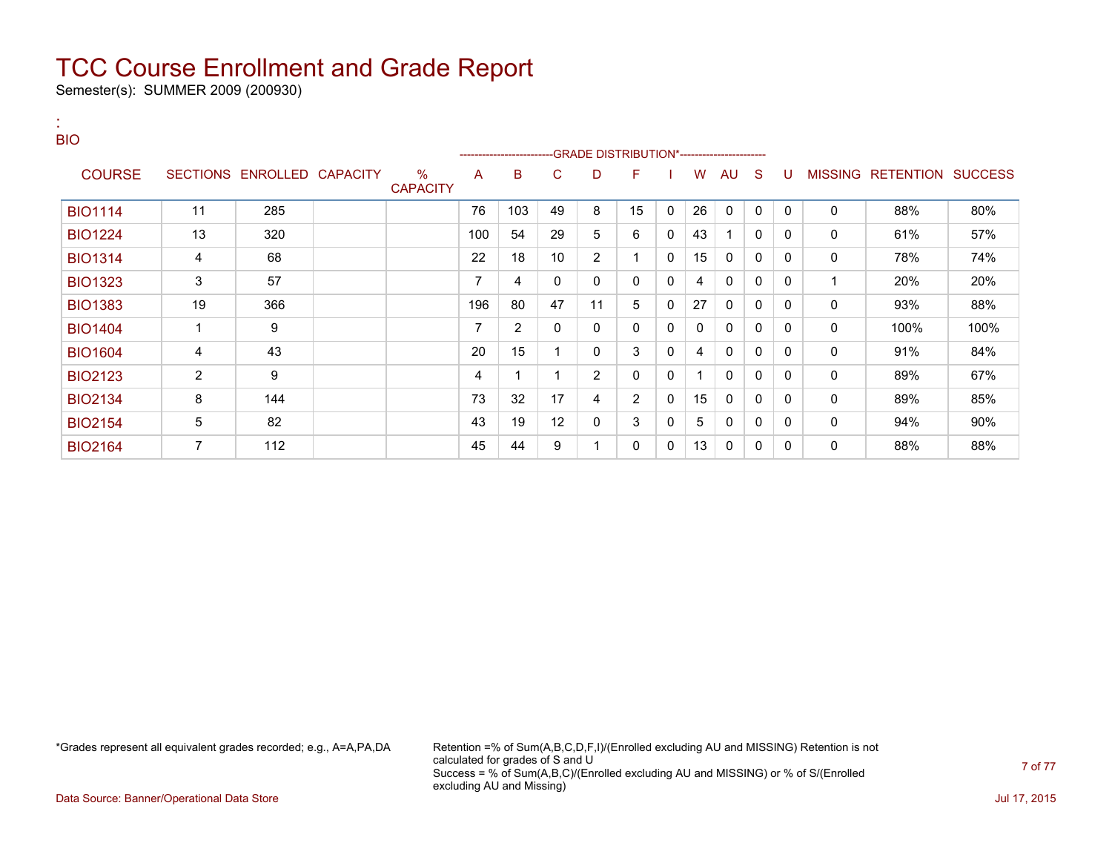Semester(s): SUMMER 2009 (200930)

| 18.<br><b>BIO</b> |                 |                   |                         |     |                         |    |                                             |              |   |    |              |              |              |             |                                  |      |
|-------------------|-----------------|-------------------|-------------------------|-----|-------------------------|----|---------------------------------------------|--------------|---|----|--------------|--------------|--------------|-------------|----------------------------------|------|
|                   |                 |                   |                         |     | ----------------------- |    | -GRADE DISTRIBUTION*----------------------- |              |   |    |              |              |              |             |                                  |      |
| <b>COURSE</b>     | <b>SECTIONS</b> | ENROLLED CAPACITY | $\%$<br><b>CAPACITY</b> | A   | B                       | C  | D                                           | F            |   | W  | AU           | S            | U            |             | <b>MISSING RETENTION SUCCESS</b> |      |
| <b>BIO1114</b>    | 11              | 285               |                         | 76  | 103                     | 49 | 8                                           | 15           | 0 | 26 | 0            | 0            | $\mathbf{0}$ | 0           | 88%                              | 80%  |
| <b>BIO1224</b>    | 13              | 320               |                         | 100 | 54                      | 29 | 5                                           | 6            | 0 | 43 |              | 0            | $\mathbf 0$  | $\mathbf 0$ | 61%                              | 57%  |
| <b>BIO1314</b>    | 4               | 68                |                         | 22  | 18                      | 10 | $\overline{2}$                              | 1            | 0 | 15 | 0            | 0            | 0            | $\mathbf 0$ | 78%                              | 74%  |
| <b>BIO1323</b>    | 3               | 57                |                         | 7   | 4                       | 0  | 0                                           | $\mathbf{0}$ | 0 | 4  | 0            | 0            | 0            | 1           | 20%                              | 20%  |
| <b>BIO1383</b>    | 19              | 366               |                         | 196 | 80                      | 47 | 11                                          | 5            | 0 | 27 | $\mathbf{0}$ | 0            | 0            | 0           | 93%                              | 88%  |
| <b>BIO1404</b>    | 1               | 9                 |                         | 7   | $\overline{2}$          | 0  | 0                                           | $\mathbf{0}$ | 0 | 0  | $\mathbf{0}$ | $\mathbf{0}$ | $\Omega$     | 0           | 100%                             | 100% |
| <b>BIO1604</b>    | 4               | 43                |                         | 20  | 15                      |    | 0                                           | 3            | 0 | 4  | 0            | 0            | 0            | $\mathbf 0$ | 91%                              | 84%  |
| <b>BIO2123</b>    | $\overline{2}$  | 9                 |                         | 4   |                         |    | $\overline{2}$                              | 0            | 0 |    | 0            | 0            | 0            | $\mathbf 0$ | 89%                              | 67%  |
| <b>BIO2134</b>    | 8               | 144               |                         | 73  | 32                      | 17 | 4                                           | 2            | 0 | 15 | 0            | 0            | $\Omega$     | 0           | 89%                              | 85%  |
| <b>BIO2154</b>    | $\sqrt{5}$      | 82                |                         | 43  | 19                      | 12 | 0                                           | 3            | 0 | 5  | 0            | $\mathbf{0}$ | $\Omega$     | 0           | 94%                              | 90%  |
| <b>BIO2164</b>    | 7               | 112               |                         | 45  | 44                      | 9  |                                             | 0            | 0 | 13 | 0            | $\mathbf{0}$ | 0            | 0           | 88%                              | 88%  |

\*Grades represent all equivalent grades recorded; e.g., A=A,PA,DA Retention =% of Sum(A,B,C,D,F,I)/(Enrolled excluding AU and MISSING) Retention is not calculated for grades of S and U Success = % of Sum(A,B,C)/(Enrolled excluding AU and MISSING) or % of S/(Enrolled excluding AU and Missing)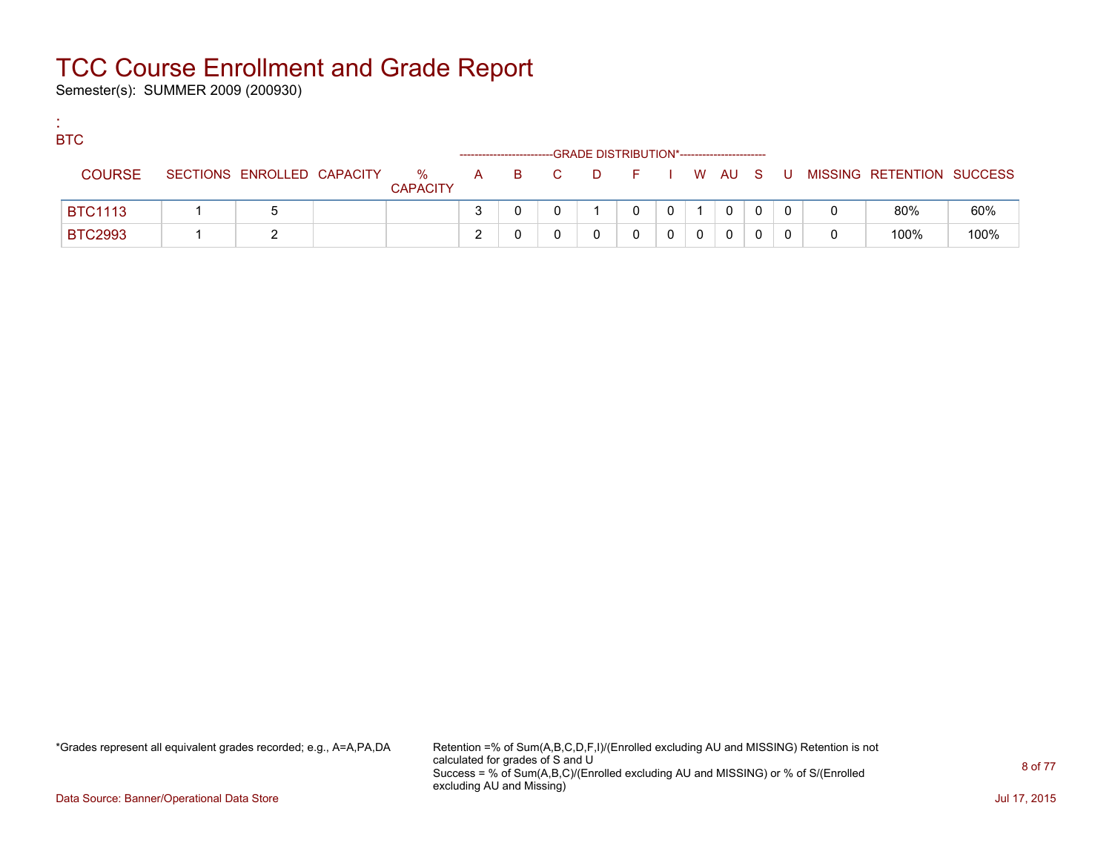Semester(s): SUMMER 2009 (200930)

:

| <b>BTC</b>     |                            |                      |   |       | -GRADE DISTRIBUTION*----------------------- |   |  |              |    |                           |      |
|----------------|----------------------------|----------------------|---|-------|---------------------------------------------|---|--|--------------|----|---------------------------|------|
| <b>COURSE</b>  | SECTIONS ENROLLED CAPACITY | %<br><b>CAPACITY</b> |   | A B C | D F I W AU S                                |   |  |              | U. | MISSING RETENTION SUCCESS |      |
| <b>BTC1113</b> |                            |                      |   |       |                                             | 0 |  | $\mathbf{0}$ |    | 80%                       | 60%  |
| <b>BTC2993</b> |                            |                      | ◠ |       |                                             |   |  | 0            |    | 100%                      | 100% |

\*Grades represent all equivalent grades recorded; e.g., A=A,PA,DA Retention =% of Sum(A,B,C,D,F,I)/(Enrolled excluding AU and MISSING) Retention is not calculated for grades of S and U Success = % of Sum(A,B,C)/(Enrolled excluding AU and MISSING) or % of S/(Enrolled excluding AU and Missing)

Data Source: Banner/Operational Data Store Jul 17, 2015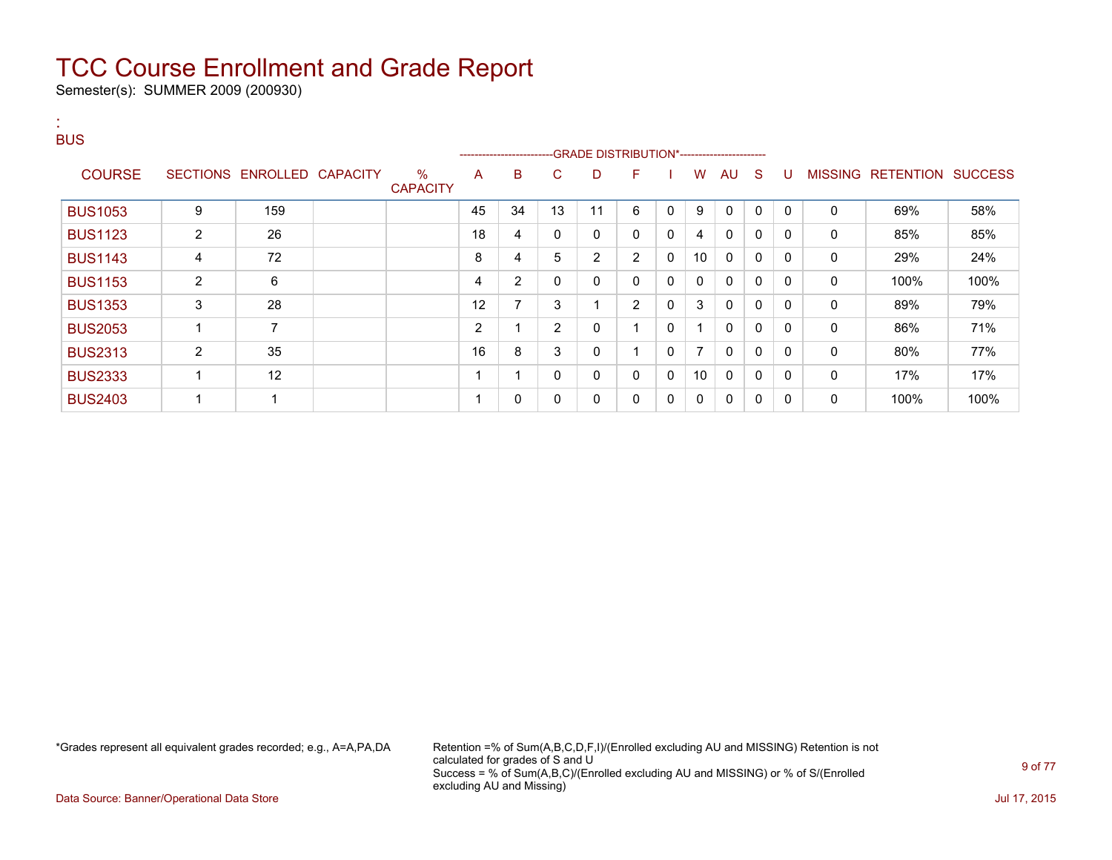Semester(s): SUMMER 2009 (200930)

:

#### BUS ---GRADE DISTRIBUTION\*------------------------COURSE SECTIONS ENROLLED CAPACITY % **CAPACITY** A B C D F I W AU S U MISSING RETENTION SUCCESS BUS1053 | 9 | 159 | | 45 | 34 | 13 | 11 | 6 | 0 | 9 | 0 | 0 | 0 | 0 | 69% | 58% BUS1123 | 2 | 26 | | 18 | 4 | 0 | 0 | 0 | 4 | 0 | 0 | 0 | 0 | 85% | 85% BUS1143 | 4 | 72 | | 8 | 4 | 5 | 2 | 2 | 0 | 10 | 0 | 0 | 0 | 0 | 29% | 24% BUS1153 | 2 | 6 | | |4 |2 | 0 | 0 |0 |0 |0 |0 |0 | 0 | 100% | 100% BUS1353 | 3 | 28 | | 12 | 7 | 3 | 1 | 2 | 0 | 3 | 0 | 0 | 0 | 0 | 89% | 79% BUS2053 | 1 | 7 | | 2 | 1 | 2 | 0 | 1 | 0 | 1 | 0 | 0 | 0 | 86% | 71% BUS2313 | 2 | 35 | | 16 | 8 | 3 | 0 | 1 | 0 | 7 | 0 | 0 | 0 | 0 | 80% | 77% BUS2333 | 1 | 12 | | | 1 | 1 | 0 | 0 | 0 | 10 | 0 | 0 | 0 | 0 | 17% | 17% BUS2403 1 1 1 0 0 0 0 0 0 0 0 0 0 100% 100%

\*Grades represent all equivalent grades recorded; e.g., A=A,PA,DA Retention =% of Sum(A,B,C,D,F,I)/(Enrolled excluding AU and MISSING) Retention is not calculated for grades of S and U Success = % of Sum(A,B,C)/(Enrolled excluding AU and MISSING) or % of S/(Enrolled excluding AU and Missing)

Data Source: Banner/Operational Data Store Jul 17, 2015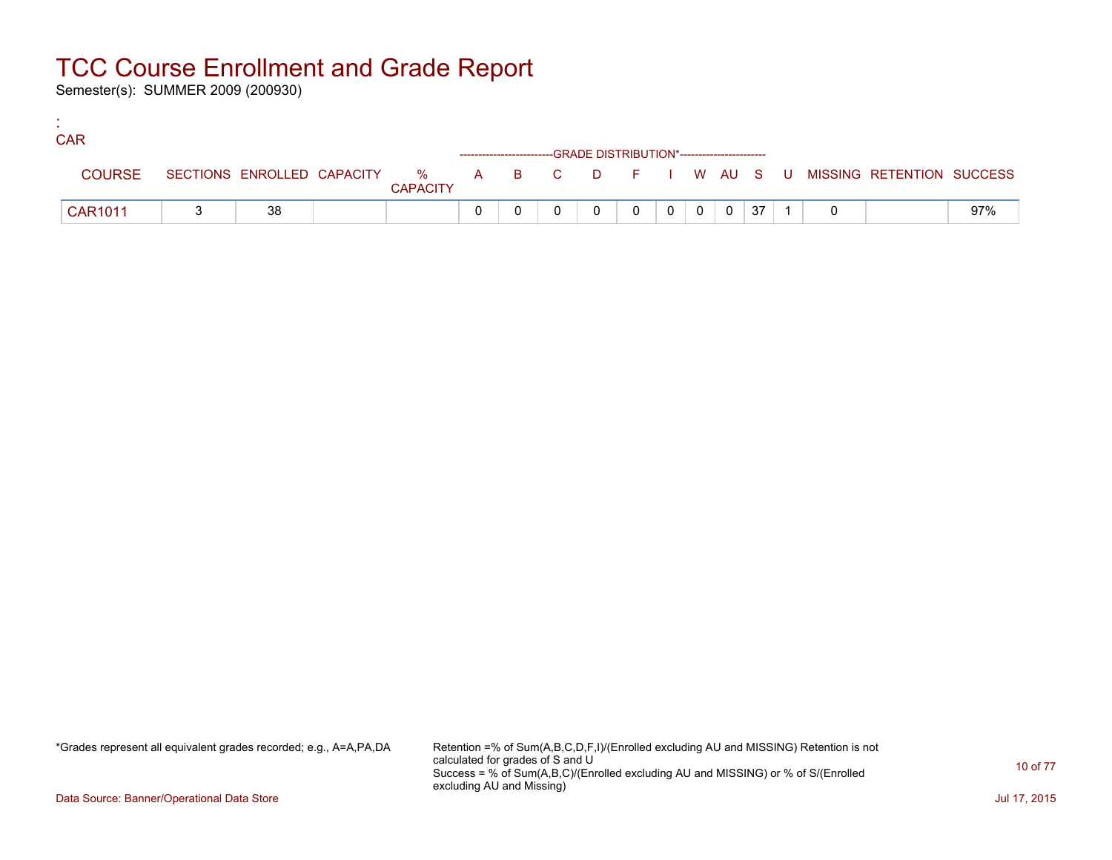Semester(s): SUMMER 2009 (200930)

:

| <b>CAR</b>     |    |                 |  |                                                                    |          |          |                |    |  |                                                                             |     |
|----------------|----|-----------------|--|--------------------------------------------------------------------|----------|----------|----------------|----|--|-----------------------------------------------------------------------------|-----|
|                |    |                 |  | ------------------------GRADE DISTRIBUTION*----------------------- |          |          |                |    |  |                                                                             |     |
| <b>COURSE</b>  |    | <b>CAPACITY</b> |  |                                                                    |          |          |                |    |  | SECTIONS ENROLLED CAPACITY % A B C D F I W AU S U MISSING RETENTION SUCCESS |     |
| <b>CAR1011</b> | 38 |                 |  |                                                                    | $\Omega$ | $\Omega$ | $\overline{0}$ | 37 |  |                                                                             | 97% |

\*Grades represent all equivalent grades recorded; e.g., A=A,PA,DA Retention =% of Sum(A,B,C,D,F,I)/(Enrolled excluding AU and MISSING) Retention is not calculated for grades of S and U Success = % of Sum(A,B,C)/(Enrolled excluding AU and MISSING) or % of S/(Enrolled excluding AU and Missing)

Data Source: Banner/Operational Data Store Jul 17, 2015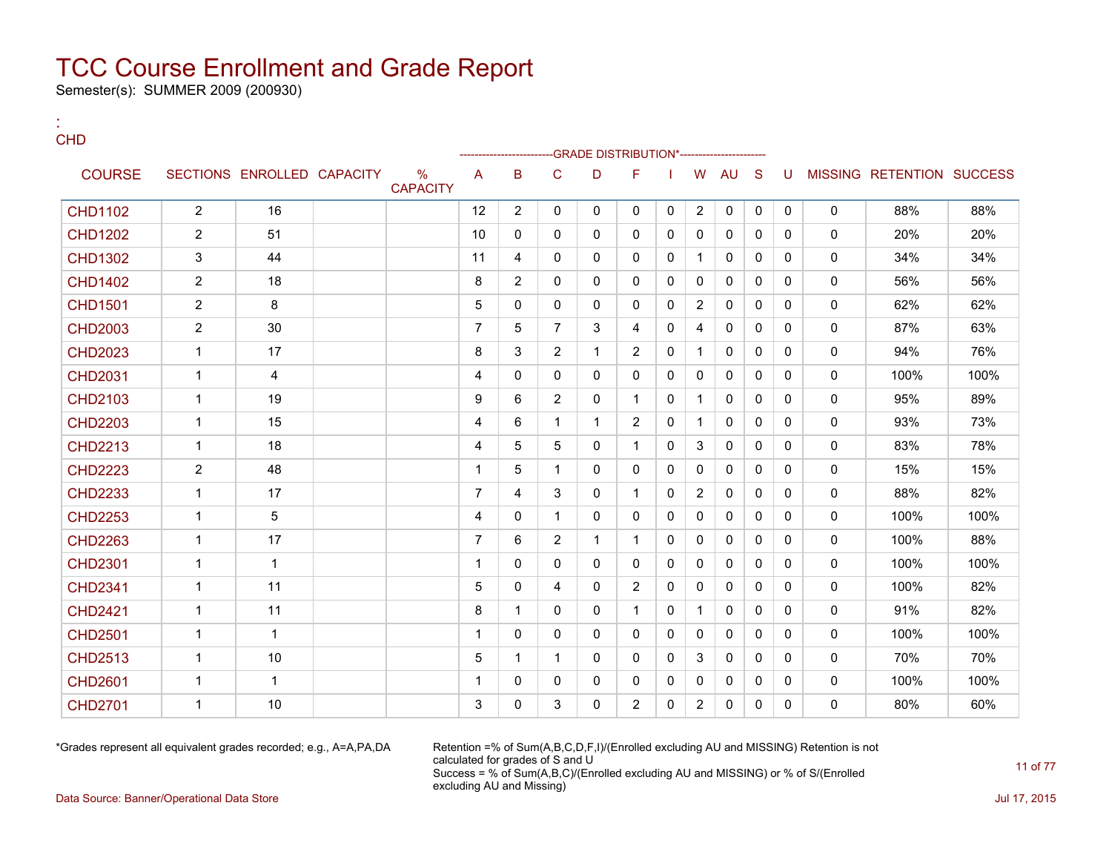Semester(s): SUMMER 2009 (200930)

| ×<br>×<br>۰. |  |
|--------------|--|

:

|                |                |                            |                                  |                |                |                | -GRADE DISTRIBUTION*----------------------- |                |              |                |              |              |              |              |                           |      |
|----------------|----------------|----------------------------|----------------------------------|----------------|----------------|----------------|---------------------------------------------|----------------|--------------|----------------|--------------|--------------|--------------|--------------|---------------------------|------|
| <b>COURSE</b>  |                | SECTIONS ENROLLED CAPACITY | $\frac{0}{0}$<br><b>CAPACITY</b> | A              | B              | C              | D                                           | F              |              | W              | AU           | <sub>S</sub> | U            |              | MISSING RETENTION SUCCESS |      |
| <b>CHD1102</b> | $\overline{2}$ | 16                         |                                  | 12             | $\overline{2}$ | $\mathbf 0$    | $\mathbf{0}$                                | 0              | 0            | $\overline{2}$ | $\mathbf 0$  | 0            | 0            | $\mathbf 0$  | 88%                       | 88%  |
| <b>CHD1202</b> | $\overline{2}$ | 51                         |                                  | 10             | 0              | 0              | 0                                           | 0              | $\mathbf{0}$ | $\mathbf{0}$   | $\mathbf{0}$ | $\Omega$     | $\mathbf{0}$ | 0            | 20%                       | 20%  |
| <b>CHD1302</b> | 3              | 44                         |                                  | 11             | 4              | 0              | 0                                           | 0              | $\mathbf{0}$ | $\mathbf{1}$   | 0            | $\mathbf{0}$ | 0            | 0            | 34%                       | 34%  |
| <b>CHD1402</b> | $\overline{2}$ | 18                         |                                  | 8              | $\overline{2}$ | $\Omega$       | 0                                           | 0              | $\Omega$     | $\Omega$       | $\mathbf{0}$ | $\Omega$     | $\Omega$     | 0            | 56%                       | 56%  |
| <b>CHD1501</b> | $\overline{2}$ | 8                          |                                  | 5              | 0              | 0              | 0                                           | 0              | $\mathbf{0}$ | $\overline{2}$ | $\mathbf{0}$ | $\mathbf{0}$ | 0            | 0            | 62%                       | 62%  |
| <b>CHD2003</b> | $\overline{2}$ | 30                         |                                  | $\overline{7}$ | 5              | $\overline{7}$ | 3                                           | 4              | $\mathbf{0}$ | 4              | $\mathbf{0}$ | $\Omega$     | $\mathbf{0}$ | 0            | 87%                       | 63%  |
| <b>CHD2023</b> | $\mathbf 1$    | 17                         |                                  | 8              | 3              | $\overline{c}$ | $\mathbf{1}$                                | $\overline{2}$ | $\mathbf{0}$ | $\mathbf{1}$   | $\Omega$     | $\mathbf{0}$ | $\mathbf{0}$ | $\mathbf{0}$ | 94%                       | 76%  |
| <b>CHD2031</b> | 1              | 4                          |                                  | 4              | 0              | 0              | $\mathbf{0}$                                | 0              | $\mathbf{0}$ | $\mathbf{0}$   | $\mathbf{0}$ | $\Omega$     | 0            | 0            | 100%                      | 100% |
| <b>CHD2103</b> | 1              | 19                         |                                  | 9              | 6              | $\overline{2}$ | $\mathbf{0}$                                | 1              | $\mathbf{0}$ | 1              | $\mathbf{0}$ | $\mathbf{0}$ | 0            | 0            | 95%                       | 89%  |
| <b>CHD2203</b> | $\mathbf 1$    | 15                         |                                  | 4              | 6              | 1              | $\mathbf{1}$                                | $\overline{2}$ | $\mathbf{0}$ | 1              | $\mathbf{0}$ | $\mathbf{0}$ | 0            | 0            | 93%                       | 73%  |
| <b>CHD2213</b> | 1              | 18                         |                                  | $\overline{4}$ | 5              | 5              | 0                                           | 1              | $\mathbf{0}$ | 3              | 0            | $\mathbf{0}$ | 0            | 0            | 83%                       | 78%  |
| <b>CHD2223</b> | $\overline{2}$ | 48                         |                                  | 1              | 5              | $\mathbf 1$    | $\mathbf{0}$                                | 0              | $\mathbf{0}$ | $\Omega$       | 0            | $\mathbf{0}$ | 0            | $\mathbf{0}$ | 15%                       | 15%  |
| <b>CHD2233</b> | $\mathbf{1}$   | 17                         |                                  | $\overline{7}$ | 4              | 3              | 0                                           | $\mathbf{1}$   | $\mathbf{0}$ | $\overline{2}$ | $\mathbf 0$  | $\mathbf{0}$ | $\mathbf{0}$ | 0            | 88%                       | 82%  |
| <b>CHD2253</b> | $\mathbf{1}$   | 5                          |                                  | 4              | 0              | $\mathbf{1}$   | 0                                           | 0              | $\mathbf{0}$ | $\Omega$       | $\mathbf{0}$ | $\Omega$     | 0            | 0            | 100%                      | 100% |
| <b>CHD2263</b> | $\mathbf{1}$   | 17                         |                                  | $\overline{7}$ | 6              | $\overline{2}$ | $\mathbf{1}$                                | $\mathbf 1$    | $\Omega$     | $\mathbf{0}$   | $\mathbf{0}$ | $\Omega$     | $\Omega$     | 0            | 100%                      | 88%  |
| <b>CHD2301</b> | $\mathbf{1}$   | $\mathbf 1$                |                                  | $\overline{1}$ | 0              | 0              | 0                                           | 0              | 0            | $\mathbf{0}$   | 0            | $\mathbf{0}$ | $\mathbf{0}$ | 0            | 100%                      | 100% |
| <b>CHD2341</b> | $\mathbf{1}$   | 11                         |                                  | 5              | 0              | 4              | 0                                           | $\overline{2}$ | $\mathbf{0}$ | $\Omega$       | $\mathbf{0}$ | $\Omega$     | $\Omega$     | 0            | 100%                      | 82%  |
| <b>CHD2421</b> | $\mathbf 1$    | 11                         |                                  | 8              | 1              | $\mathbf{0}$   | $\mathbf{0}$                                | $\mathbf{1}$   | $\mathbf{0}$ | $\mathbf{1}$   | $\mathbf{0}$ | $\Omega$     | $\Omega$     | 0            | 91%                       | 82%  |
| <b>CHD2501</b> | $\mathbf{1}$   | $\mathbf{1}$               |                                  | 1              | 0              | 0              | $\mathbf{0}$                                | 0              | $\mathbf{0}$ | $\mathbf{0}$   | $\mathbf{0}$ | $\Omega$     | $\mathbf{0}$ | 0            | 100%                      | 100% |
| <b>CHD2513</b> | 1              | 10                         |                                  | 5              | 1              | $\mathbf 1$    | 0                                           | 0              | $\mathbf{0}$ | 3              | $\mathbf{0}$ | $\Omega$     | $\Omega$     | 0            | 70%                       | 70%  |
| <b>CHD2601</b> | $\mathbf 1$    | $\mathbf{1}$               |                                  | 1              | 0              | 0              | 0                                           | 0              | $\mathbf{0}$ | 0              | $\mathbf{0}$ | $\mathbf{0}$ | $\mathbf{0}$ | 0            | 100%                      | 100% |
| <b>CHD2701</b> | 1              | 10                         |                                  | 3              | 0              | 3              | 0                                           | $\overline{2}$ | 0            | $\overline{2}$ | 0            | 0            | 0            | 0            | 80%                       | 60%  |

\*Grades represent all equivalent grades recorded; e.g., A=A,PA,DA Retention =% of Sum(A,B,C,D,F,I)/(Enrolled excluding AU and MISSING) Retention is not calculated for grades of S and U Success = % of Sum(A,B,C)/(Enrolled excluding AU and MISSING) or % of S/(Enrolled excluding AU and Missing)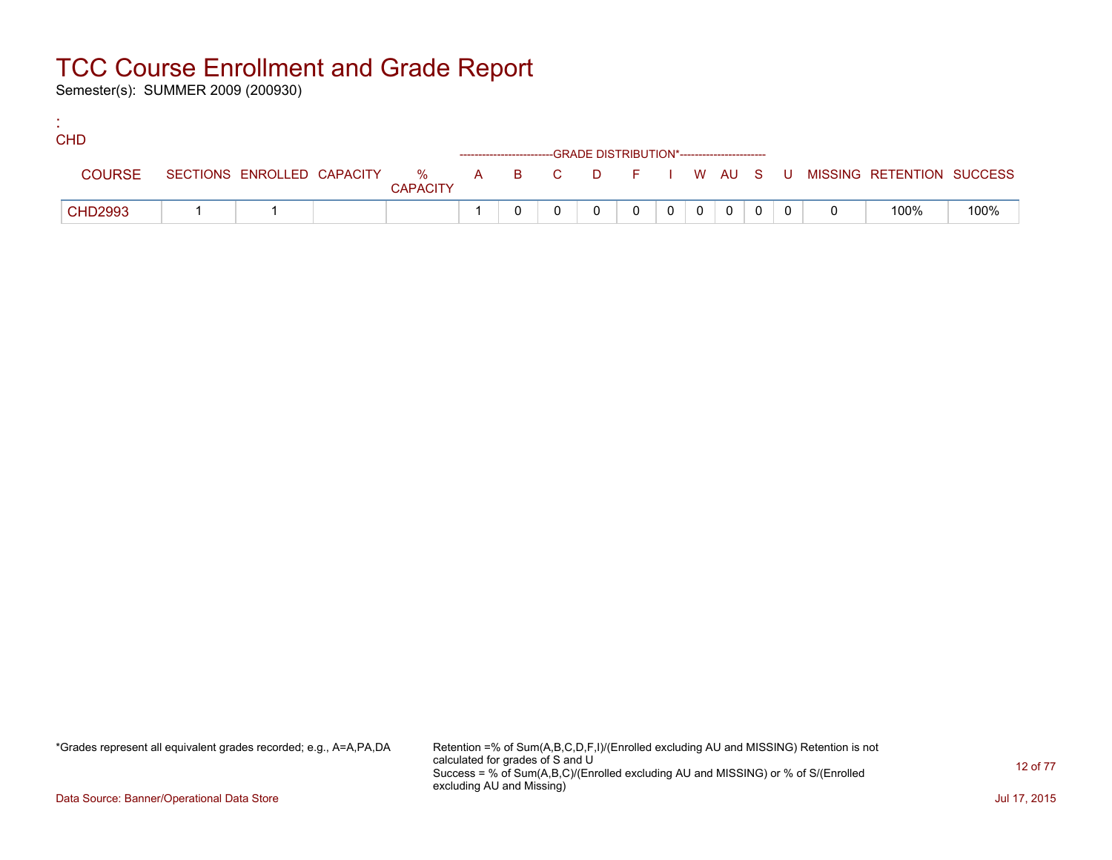Semester(s): SUMMER 2009 (200930)

:

| <b>CHD</b>     |  |                 |  |                                                                    |          |          |                |  |                                                                             |      |
|----------------|--|-----------------|--|--------------------------------------------------------------------|----------|----------|----------------|--|-----------------------------------------------------------------------------|------|
|                |  |                 |  | ------------------------GRADE DISTRIBUTION*----------------------- |          |          |                |  |                                                                             |      |
| <b>COURSE</b>  |  | <b>CAPACITY</b> |  |                                                                    |          |          |                |  | SECTIONS ENROLLED CAPACITY % A B C D F I W AU S U MISSING RETENTION SUCCESS |      |
| <b>CHD2993</b> |  |                 |  |                                                                    | $\Omega$ | $\Omega$ | $\overline{0}$ |  | 100%                                                                        | 100% |

\*Grades represent all equivalent grades recorded; e.g., A=A,PA,DA Retention =% of Sum(A,B,C,D,F,I)/(Enrolled excluding AU and MISSING) Retention is not calculated for grades of S and U Success = % of Sum(A,B,C)/(Enrolled excluding AU and MISSING) or % of S/(Enrolled excluding AU and Missing)

Data Source: Banner/Operational Data Store Jul 17, 2015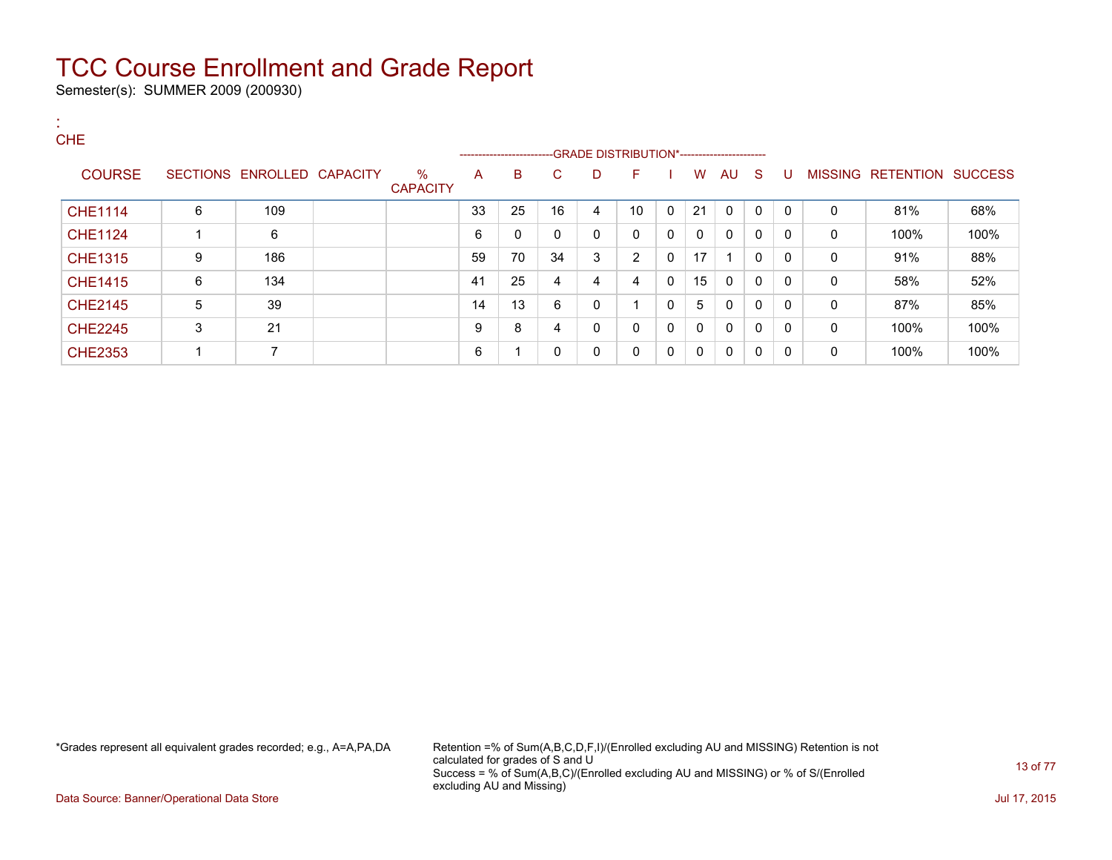Semester(s): SUMMER 2009 (200930)

:

| <b>CHE</b>     |   |                            |                         |    | ------------------------GRADE DISTRIBUTION*----------------------- |    |   |              |   |    |              |              |              |              |                           |      |
|----------------|---|----------------------------|-------------------------|----|--------------------------------------------------------------------|----|---|--------------|---|----|--------------|--------------|--------------|--------------|---------------------------|------|
| <b>COURSE</b>  |   | SECTIONS ENROLLED CAPACITY | $\%$<br><b>CAPACITY</b> | A  | B                                                                  | C  | D | F            |   | W  | AU           | - S          | U            |              | MISSING RETENTION SUCCESS |      |
| <b>CHE1114</b> | 6 | 109                        |                         | 33 | 25                                                                 | 16 | 4 | 10           | 0 | 21 | 0            | $\Omega$     | $\mathbf{0}$ | 0            | 81%                       | 68%  |
| <b>CHE1124</b> |   | 6                          |                         | 6  | 0                                                                  | 0  | 0 | 0            | 0 | 0  | 0            | $\mathbf{0}$ | $\mathbf{0}$ | 0            | 100%                      | 100% |
| <b>CHE1315</b> | 9 | 186                        |                         | 59 | 70                                                                 | 34 | 3 | 2            | 0 | 17 |              | $\mathbf{0}$ | 0            | $\mathbf{0}$ | 91%                       | 88%  |
| <b>CHE1415</b> | 6 | 134                        |                         | 41 | 25                                                                 | 4  | 4 | 4            | 0 | 15 | $\Omega$     | $\mathbf{0}$ | $\mathbf{0}$ | 0            | 58%                       | 52%  |
| <b>CHE2145</b> | 5 | 39                         |                         | 14 | 13                                                                 | 6  | 0 |              | 0 | 5  | 0            | 0            | $\mathbf{0}$ | 0            | 87%                       | 85%  |
| <b>CHE2245</b> | 3 | 21                         |                         | 9  | 8                                                                  | 4  | 0 | 0            | 0 | 0  | $\mathbf{0}$ | $\mathbf{0}$ | $\mathbf{0}$ | 0            | 100%                      | 100% |
| <b>CHE2353</b> |   | $\overline{\phantom{a}}$   |                         | 6  | -1                                                                 | 0  | 0 | $\mathbf{0}$ | 0 | 0  | 0            | $\mathbf{0}$ | 0            | 0            | 100%                      | 100% |

\*Grades represent all equivalent grades recorded; e.g., A=A,PA,DA Retention =% of Sum(A,B,C,D,F,I)/(Enrolled excluding AU and MISSING) Retention is not calculated for grades of S and U Success = % of Sum(A,B,C)/(Enrolled excluding AU and MISSING) or % of S/(Enrolled excluding AU and Missing)

Data Source: Banner/Operational Data Store Jul 17, 2015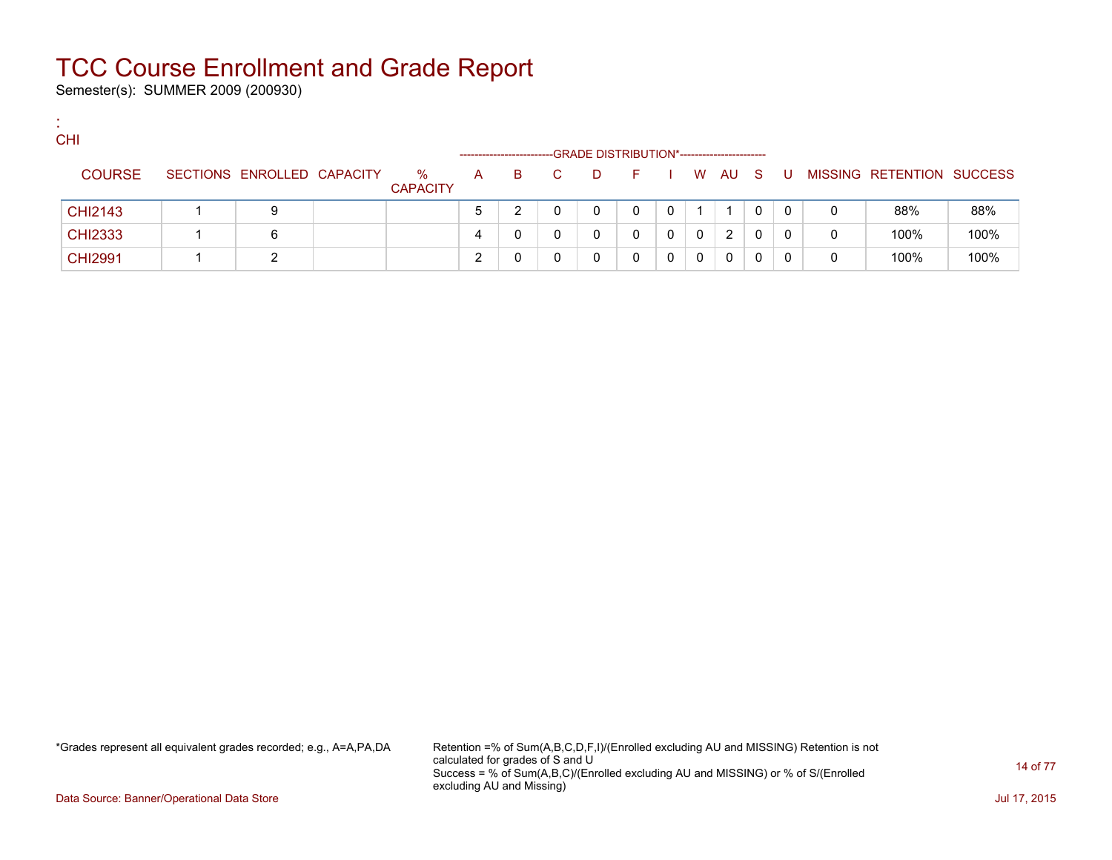Semester(s): SUMMER 2009 (200930)

:

| <b>CHI</b>     |                            |                         |             |    |    | -GRADE DISTRIBUTION*------------------------ |   |              |        |              |    |   |                           |      |
|----------------|----------------------------|-------------------------|-------------|----|----|----------------------------------------------|---|--------------|--------|--------------|----|---|---------------------------|------|
| <b>COURSE</b>  | SECTIONS ENROLLED CAPACITY | $\%$<br><b>CAPACITY</b> | A           | B. | -D | E.                                           |   |              | W AU S |              | -U |   | MISSING RETENTION SUCCESS |      |
| <b>CHI2143</b> | 9                          |                         | $\mathbf b$ |    |    |                                              | 0 |              |        | $\mathbf{0}$ | 0  |   | 88%                       | 88%  |
| <b>CHI2333</b> |                            |                         | 4           |    |    |                                              | 0 | $\mathbf{0}$ | 2      | 0            |    | 0 | 100%                      | 100% |
| <b>CHI2991</b> | ົ                          |                         |             |    |    |                                              |   | 0            | 0      | 0            |    |   | 100%                      | 100% |

\*Grades represent all equivalent grades recorded; e.g., A=A,PA,DA Retention =% of Sum(A,B,C,D,F,I)/(Enrolled excluding AU and MISSING) Retention is not calculated for grades of S and U Success = % of Sum(A,B,C)/(Enrolled excluding AU and MISSING) or % of S/(Enrolled excluding AU and Missing)

Data Source: Banner/Operational Data Store Jul 17, 2015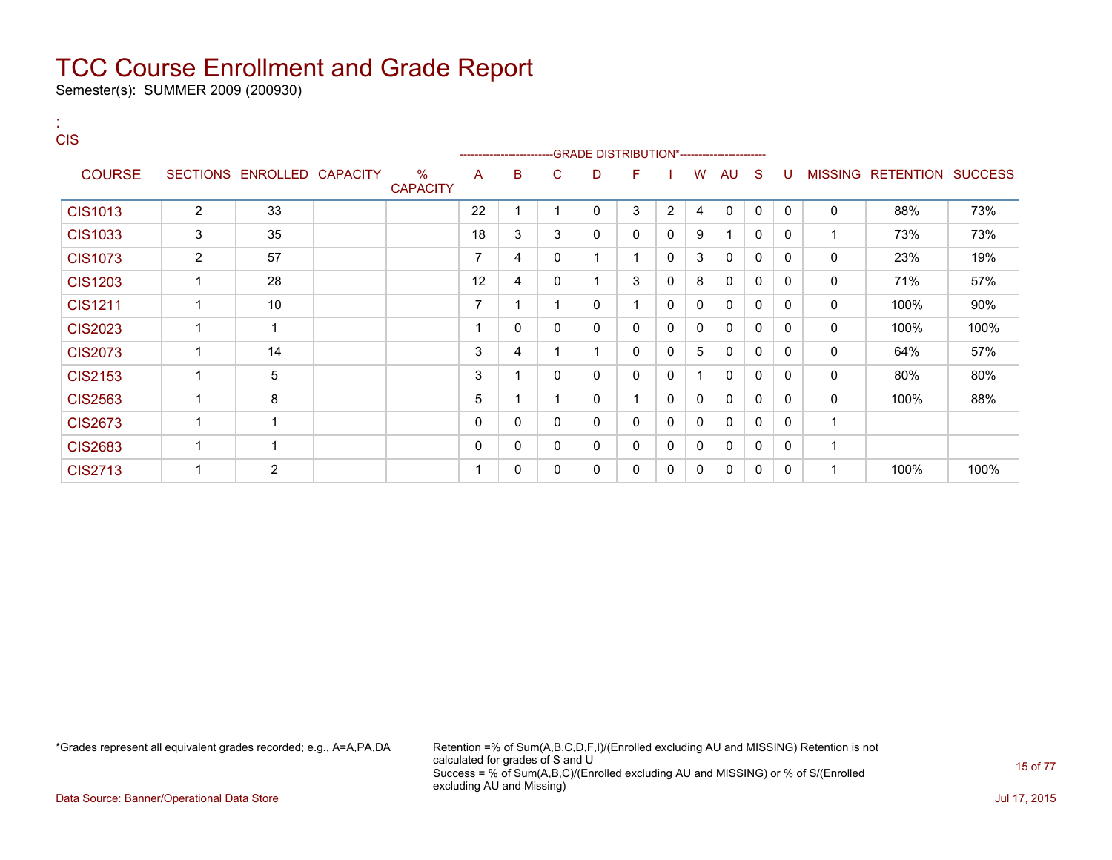Semester(s): SUMMER 2009 (200930)

:

| <b>CIS</b>     |                |                            |                         |    |                              |   | -GRADE DISTRIBUTION*---------------------- |   |                |   |              |              |              |              |                           |      |
|----------------|----------------|----------------------------|-------------------------|----|------------------------------|---|--------------------------------------------|---|----------------|---|--------------|--------------|--------------|--------------|---------------------------|------|
| <b>COURSE</b>  |                | SECTIONS ENROLLED CAPACITY | $\%$<br><b>CAPACITY</b> | A  | -----------------------<br>B | C | D                                          | F |                | W | AU           | <sub>S</sub> | U            |              | MISSING RETENTION SUCCESS |      |
| <b>CIS1013</b> | 2              | 33                         |                         | 22 | 1                            | ٠ | 0                                          | 3 | $\overline{2}$ | 4 | 0            | $\mathbf{0}$ | $\Omega$     | $\mathbf 0$  | 88%                       | 73%  |
| <b>CIS1033</b> | 3              | 35                         |                         | 18 | 3                            | 3 | 0                                          | 0 | 0              | 9 | 1            | $\mathbf{0}$ | $\mathbf{0}$ | $\mathbf{1}$ | 73%                       | 73%  |
| <b>CIS1073</b> | $\overline{2}$ | 57                         |                         | 7  | 4                            | 0 |                                            | 1 | 0              | 3 | $\mathbf{0}$ | 0            | $\Omega$     | $\mathbf 0$  | 23%                       | 19%  |
| <b>CIS1203</b> |                | 28                         |                         | 12 | 4                            | 0 |                                            | 3 | 0              | 8 | 0            | $\Omega$     | $\Omega$     | $\mathbf 0$  | 71%                       | 57%  |
| <b>CIS1211</b> |                | 10                         |                         | 7  |                              |   | 0                                          |   | 0              | 0 | $\mathbf{0}$ | 0            | $\Omega$     | 0            | 100%                      | 90%  |
| <b>CIS2023</b> |                | 1                          |                         |    | 0                            | 0 | $\mathbf{0}$                               | 0 | 0              | 0 | $\mathbf{0}$ | $\Omega$     | $\mathbf{0}$ | $\mathbf 0$  | 100%                      | 100% |
| <b>CIS2073</b> |                | 14                         |                         | 3  | 4                            |   |                                            | 0 | 0              | 5 | $\mathbf{0}$ | $\Omega$     | $\Omega$     | $\mathbf 0$  | 64%                       | 57%  |
| <b>CIS2153</b> |                | 5                          |                         | 3  |                              | 0 | 0                                          | 0 | 0              | 1 | $\Omega$     | $\Omega$     | $\mathbf{0}$ | 0            | 80%                       | 80%  |
| <b>CIS2563</b> |                | 8                          |                         | 5  |                              |   | 0                                          |   | 0              | 0 | $\mathbf{0}$ | 0            | $\Omega$     | $\mathbf 0$  | 100%                      | 88%  |
| <b>CIS2673</b> |                |                            |                         | 0  | 0                            | 0 | $\mathbf{0}$                               | 0 | 0              | 0 | $\mathbf{0}$ | $\Omega$     | $\Omega$     | $\mathbf{1}$ |                           |      |
| <b>CIS2683</b> |                |                            |                         | 0  | 0                            | 0 | 0                                          | 0 | 0              | 0 | $\mathbf{0}$ | $\Omega$     | $\mathbf{0}$ | $\mathbf 1$  |                           |      |
| <b>CIS2713</b> |                | $\overline{2}$             |                         |    | 0                            | 0 | $\mathbf{0}$                               | 0 | 0              | 0 | $\mathbf{0}$ | $\Omega$     | 0            |              | 100%                      | 100% |

\*Grades represent all equivalent grades recorded; e.g., A=A,PA,DA Retention =% of Sum(A,B,C,D,F,I)/(Enrolled excluding AU and MISSING) Retention is not calculated for grades of S and U Success = % of Sum(A,B,C)/(Enrolled excluding AU and MISSING) or % of S/(Enrolled excluding AU and Missing)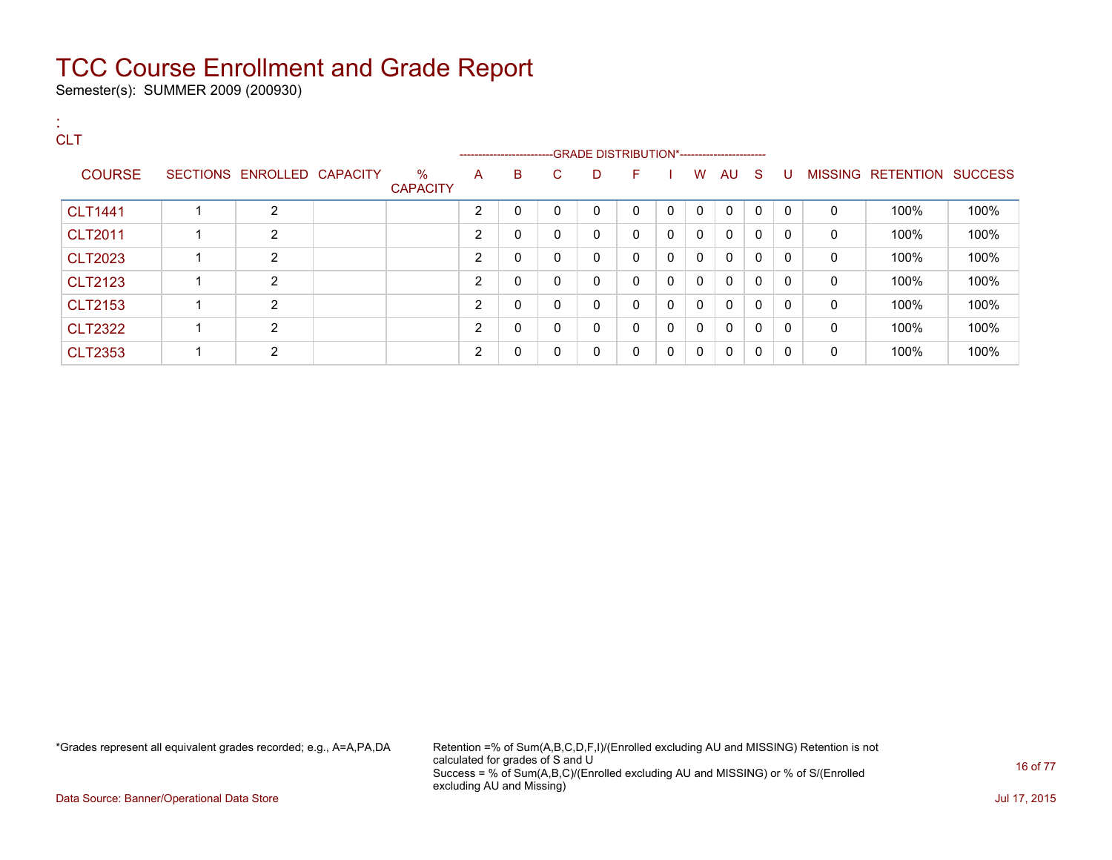Semester(s): SUMMER 2009 (200930)

#### : **CLT** ---GRADE DISTRIBUTION\*------------------------COURSE SECTIONS ENROLLED CAPACITY % **CAPACITY** A B C D F I W AU S U MISSING RETENTION SUCCESS CLT1441 1 2 2 0 0 0 0 0 0 0 0 0 0 100% 100% CLT2011 1 2 2 0 0 0 0 0 0 0 0 0 0 100% 100% CLT2023 1 2 2 0 0 0 0 0 0 0 0 0 0 100% 100% CLT2123 1 2 2 0 0 0 0 0 0 0 0 0 0 100% 100% CLT2153 1 2 2 0 0 0 0 0 0 0 0 0 0 100% 100% CLT2322 1 2 2 0 0 0 0 0 0 0 0 0 0 100% 100% CLT2353 1 2 2 0 0 0 0 0 0 0 0 0 0 100% 100%

\*Grades represent all equivalent grades recorded; e.g., A=A,PA,DA Retention =% of Sum(A,B,C,D,F,I)/(Enrolled excluding AU and MISSING) Retention is not calculated for grades of S and U Success = % of Sum(A,B,C)/(Enrolled excluding AU and MISSING) or % of S/(Enrolled excluding AU and Missing)

Data Source: Banner/Operational Data Store Jul 17, 2015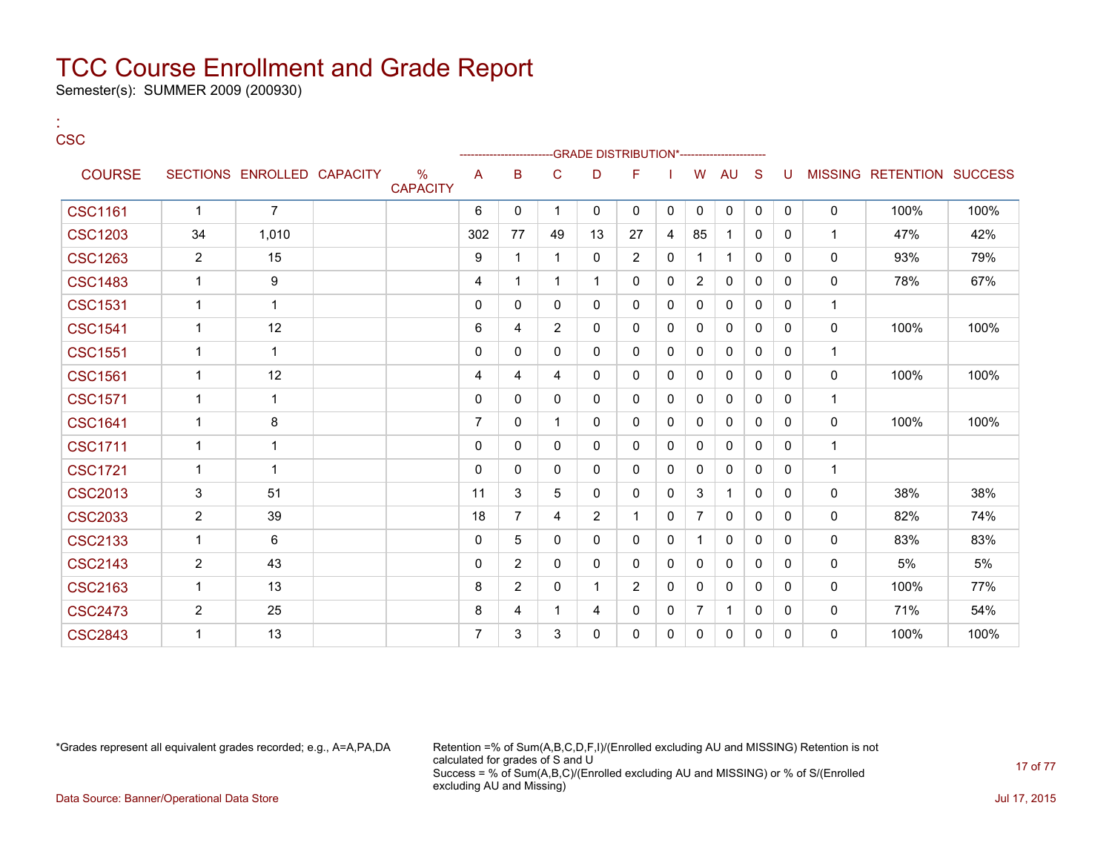Semester(s): SUMMER 2009 (200930)

| × | $\overline{\phantom{a}}$<br>۰. | -<br>v |
|---|--------------------------------|--------|

:

|                |                |                            |                         |                |                |                |                | -GRADE DISTRIBUTION*---------------------- |              |                |              |              |              |              |                           |      |
|----------------|----------------|----------------------------|-------------------------|----------------|----------------|----------------|----------------|--------------------------------------------|--------------|----------------|--------------|--------------|--------------|--------------|---------------------------|------|
| <b>COURSE</b>  |                | SECTIONS ENROLLED CAPACITY | $\%$<br><b>CAPACITY</b> | A              | B              | $\mathsf{C}$   | D              | F                                          |              | W              | AU           | S            | U            |              | MISSING RETENTION SUCCESS |      |
| <b>CSC1161</b> | $\mathbf{1}$   | $\overline{7}$             |                         | 6              | $\Omega$       |                | 0              | 0                                          | $\mathbf{0}$ | $\mathbf 0$    | $\mathbf 0$  | $\mathbf{0}$ | $\mathbf{0}$ | 0            | 100%                      | 100% |
| <b>CSC1203</b> | 34             | 1,010                      |                         | 302            | 77             | 49             | 13             | 27                                         | 4            | 85             | 1            | $\mathbf{0}$ | 0            | $\mathbf{1}$ | 47%                       | 42%  |
| <b>CSC1263</b> | $\overline{2}$ | 15                         |                         | 9              | 1              |                | 0              | $\overline{2}$                             | $\mathbf{0}$ | -1             | $\mathbf{1}$ | $\Omega$     | $\Omega$     | 0            | 93%                       | 79%  |
| <b>CSC1483</b> | $\mathbf{1}$   | 9                          |                         | 4              | 1              |                | 1              | 0                                          | 0            | $\overline{2}$ | 0            | $\mathbf{0}$ | $\mathbf{0}$ | 0            | 78%                       | 67%  |
| <b>CSC1531</b> | $\mathbf{1}$   | $\mathbf 1$                |                         | $\mathbf 0$    | $\mathbf{0}$   | 0              | 0              | 0                                          | $\mathbf{0}$ | $\Omega$       | $\mathbf{0}$ | $\Omega$     | $\Omega$     | $\mathbf{1}$ |                           |      |
| <b>CSC1541</b> | 1              | 12                         |                         | 6              | 4              | $\overline{2}$ | 0              | 0                                          | $\mathbf{0}$ | $\Omega$       | $\mathbf{0}$ | $\mathbf{0}$ | $\Omega$     | 0            | 100%                      | 100% |
| <b>CSC1551</b> | $\mathbf{1}$   | $\mathbf 1$                |                         | $\mathbf 0$    | 0              | 0              | 0              | 0                                          | 0            | 0              | 0            | $\mathbf{0}$ | $\mathbf{0}$ | $\mathbf{1}$ |                           |      |
| <b>CSC1561</b> | $\mathbf 1$    | 12                         |                         | 4              | 4              | 4              | 0              | 0                                          | 0            | $\Omega$       | 0            | $\mathbf{0}$ | 0            | 0            | 100%                      | 100% |
| <b>CSC1571</b> | $\mathbf{1}$   | 1                          |                         | $\mathbf 0$    | $\Omega$       | 0              | 0              | 0                                          | $\mathbf{0}$ | 0              | 0            | $\mathbf{0}$ | $\mathbf{0}$ | $\mathbf{1}$ |                           |      |
| <b>CSC1641</b> | $\mathbf{1}$   | 8                          |                         | $\overline{7}$ | $\mathbf{0}$   |                | 0              | 0                                          | $\mathbf{0}$ | 0              | 0            | $\Omega$     | $\Omega$     | 0            | 100%                      | 100% |
| <b>CSC1711</b> | 1              | 1                          |                         | $\mathbf 0$    | 0              | 0              | 0              | 0                                          | 0            | 0              | 0            | $\mathbf{0}$ | 0            | $\mathbf{1}$ |                           |      |
| <b>CSC1721</b> | $\mathbf{1}$   | $\mathbf 1$                |                         | $\mathbf 0$    | $\mathbf{0}$   | $\mathbf{0}$   | 0              | 0                                          | $\mathbf{0}$ | $\Omega$       | $\mathbf{0}$ | $\mathbf{0}$ | $\Omega$     | $\mathbf{1}$ |                           |      |
| <b>CSC2013</b> | 3              | 51                         |                         | 11             | 3              | 5              | 0              | 0                                          | 0            | 3              | $\mathbf 1$  | 0            | 0            | 0            | 38%                       | 38%  |
| <b>CSC2033</b> | $\overline{2}$ | 39                         |                         | 18             | $\overline{7}$ | 4              | $\overline{2}$ | 1                                          | $\mathbf{0}$ | $\overline{7}$ | 0            | $\mathbf{0}$ | 0            | 0            | 82%                       | 74%  |
| <b>CSC2133</b> | 1              | 6                          |                         | $\mathbf{0}$   | 5              | 0              | 0              | 0                                          | 0            |                | 0            | 0            | $\mathbf{0}$ | $\mathbf{0}$ | 83%                       | 83%  |
| <b>CSC2143</b> | $\overline{2}$ | 43                         |                         | $\mathbf 0$    | $\overline{2}$ | 0              | 0              | 0                                          | 0            | 0              | 0            | $\mathbf{0}$ | 0            | 0            | 5%                        | 5%   |
| <b>CSC2163</b> | $\mathbf 1$    | 13                         |                         | 8              | 2              | $\mathbf{0}$   | 1              | $\overline{2}$                             | 0            | 0              | 0            | $\Omega$     | $\Omega$     | 0            | 100%                      | 77%  |
| <b>CSC2473</b> | $\overline{c}$ | 25                         |                         | 8              | 4              |                | 4              | 0                                          | 0            | $\overline{7}$ | $\mathbf 1$  | $\mathbf{0}$ | 0            | 0            | 71%                       | 54%  |
| <b>CSC2843</b> |                | 13                         |                         | $\overline{7}$ | 3              | 3              | 0              | 0                                          | $\mathbf{0}$ | 0              | $\mathbf{0}$ | 0            | $\Omega$     | 0            | 100%                      | 100% |

\*Grades represent all equivalent grades recorded; e.g., A=A,PA,DA Retention =% of Sum(A,B,C,D,F,I)/(Enrolled excluding AU and MISSING) Retention is not calculated for grades of S and U Success = % of Sum(A,B,C)/(Enrolled excluding AU and MISSING) or % of S/(Enrolled excluding AU and Missing) Data Source: Banner/Operational Data Store **July 17, 2015**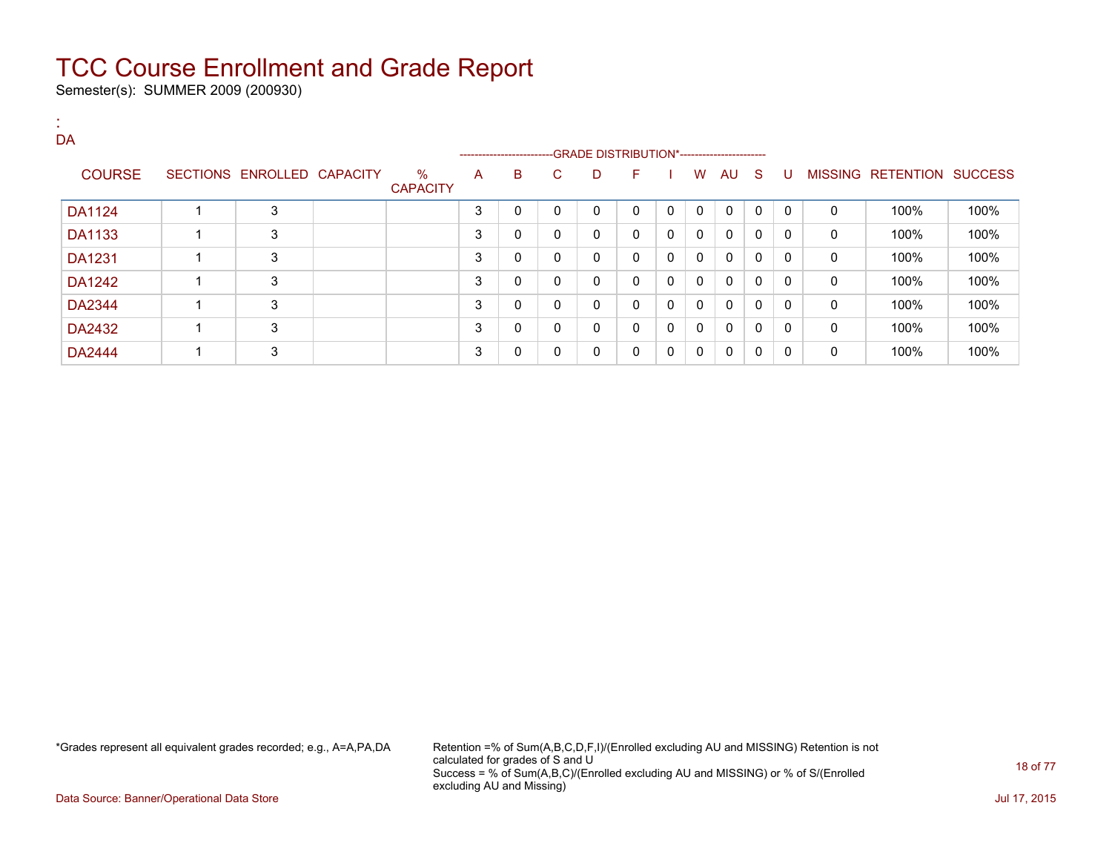Semester(s): SUMMER 2009 (200930)

| DA            |   |                            |                         |   |                        |              |                                              |              |              |              |              |              |              |              |                           |      |
|---------------|---|----------------------------|-------------------------|---|------------------------|--------------|----------------------------------------------|--------------|--------------|--------------|--------------|--------------|--------------|--------------|---------------------------|------|
|               |   |                            |                         |   | ---------------------- |              | --GRADE DISTRIBUTION*----------------------- |              |              |              |              |              |              |              |                           |      |
| <b>COURSE</b> |   | SECTIONS ENROLLED CAPACITY | $\%$<br><b>CAPACITY</b> | A | B                      | C.           | D                                            | F            |              | W            | AU S         |              | U            |              | MISSING RETENTION SUCCESS |      |
| DA1124        |   | 3                          |                         | 3 | 0                      | 0            | 0                                            | $\Omega$     | $\mathbf{0}$ | $\mathbf{0}$ | $\mathbf{0}$ | $\mathbf{0}$ | $\mathbf{0}$ | $\mathbf{0}$ | 100%                      | 100% |
| <b>DA1133</b> |   | 3                          |                         | 3 | 0                      | 0            | 0                                            | 0            | 0            | 0            | 0            | 0            | 0            | 0            | 100%                      | 100% |
| <b>DA1231</b> |   | 3                          |                         | 3 | 0                      | 0            | 0                                            | $\mathbf{0}$ | 0            | $\mathbf{0}$ | $\mathbf{0}$ | $\mathbf{0}$ | 0            | 0            | 100%                      | 100% |
| DA1242        |   | 3                          |                         | 3 | 0                      | 0            | 0                                            | $\mathbf{0}$ | 0            | $\mathbf{0}$ | $\mathbf{0}$ | $\mathbf{0}$ | 0            | 0            | 100%                      | 100% |
| DA2344        |   | 3                          |                         | 3 | 0                      | $\mathbf{0}$ | 0                                            | $\mathbf{0}$ | $\mathbf{0}$ | $\mathbf{0}$ | $\mathbf{0}$ | 0            | 0            | $\mathbf{0}$ | 100%                      | 100% |
| DA2432        | ٠ | 3                          |                         | 3 | 0                      | 0            | 0                                            | $\mathbf{0}$ | 0            | $\mathbf{0}$ | $\mathbf{0}$ | 0            | $\mathbf{0}$ | 0            | 100%                      | 100% |
| <b>DA2444</b> | ٠ | 3                          |                         | 3 | 0                      | $\mathbf{0}$ | 0                                            | $\mathbf{0}$ | $\Omega$     | 0            | $\mathbf{0}$ | 0            | 0            | $\mathbf{0}$ | 100%                      | 100% |

\*Grades represent all equivalent grades recorded; e.g., A=A,PA,DA Retention =% of Sum(A,B,C,D,F,I)/(Enrolled excluding AU and MISSING) Retention is not calculated for grades of S and U Success = % of Sum(A,B,C)/(Enrolled excluding AU and MISSING) or % of S/(Enrolled excluding AU and Missing)

Data Source: Banner/Operational Data Store Jul 17, 2015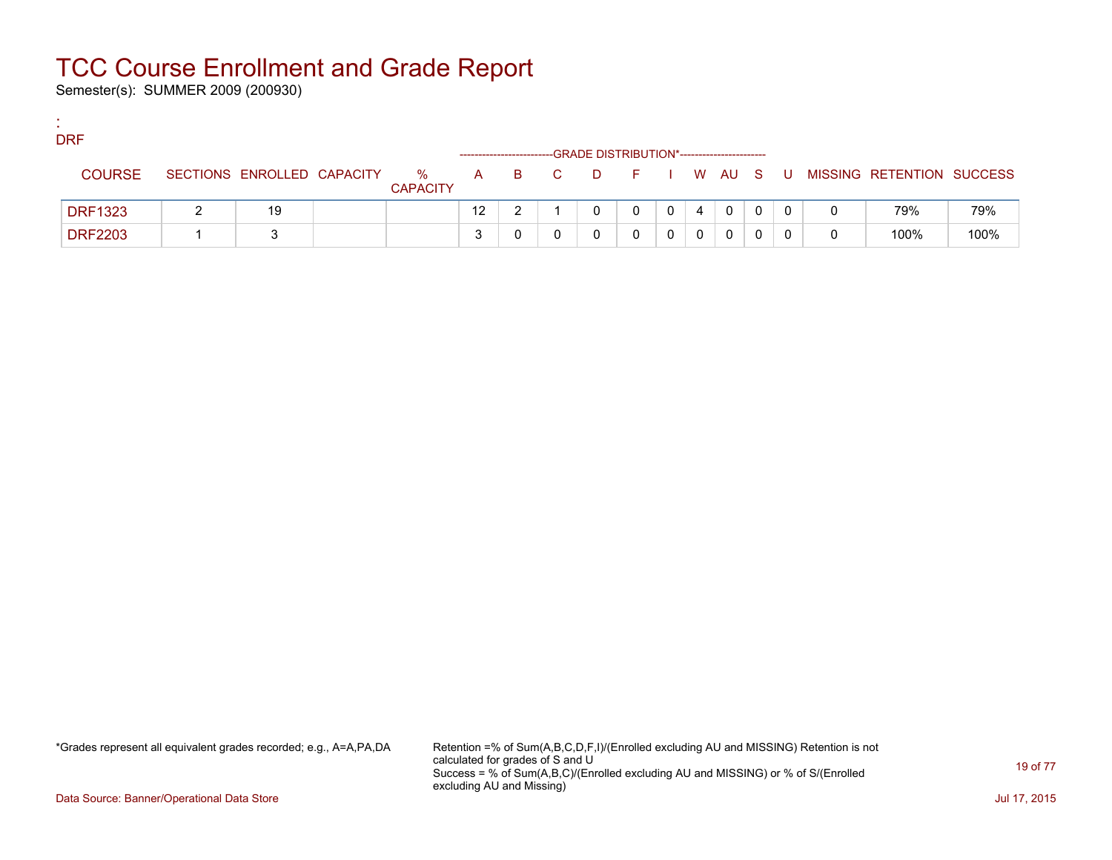Semester(s): SUMMER 2009 (200930)

:

| <b>DRF</b>     |                            |                         |                   |       | -GRADE DISTRIBUTION*----------------------- |   |   |              |    |                           |      |
|----------------|----------------------------|-------------------------|-------------------|-------|---------------------------------------------|---|---|--------------|----|---------------------------|------|
| <b>COURSE</b>  | SECTIONS ENROLLED CAPACITY | $\%$<br><b>CAPACITY</b> |                   | A B C | DFIWAUS                                     |   |   |              | U. | MISSING RETENTION SUCCESS |      |
| <b>DRF1323</b> | 19                         |                         | $12 \overline{ }$ |       |                                             | 0 | 4 | $\mathbf{0}$ |    | 79%                       | 79%  |
| <b>DRF2203</b> |                            |                         |                   |       |                                             |   |   | 0            |    | 100%                      | 100% |

\*Grades represent all equivalent grades recorded; e.g., A=A,PA,DA Retention =% of Sum(A,B,C,D,F,I)/(Enrolled excluding AU and MISSING) Retention is not calculated for grades of S and U Success = % of Sum(A,B,C)/(Enrolled excluding AU and MISSING) or % of S/(Enrolled excluding AU and Missing)

Data Source: Banner/Operational Data Store Jul 17, 2015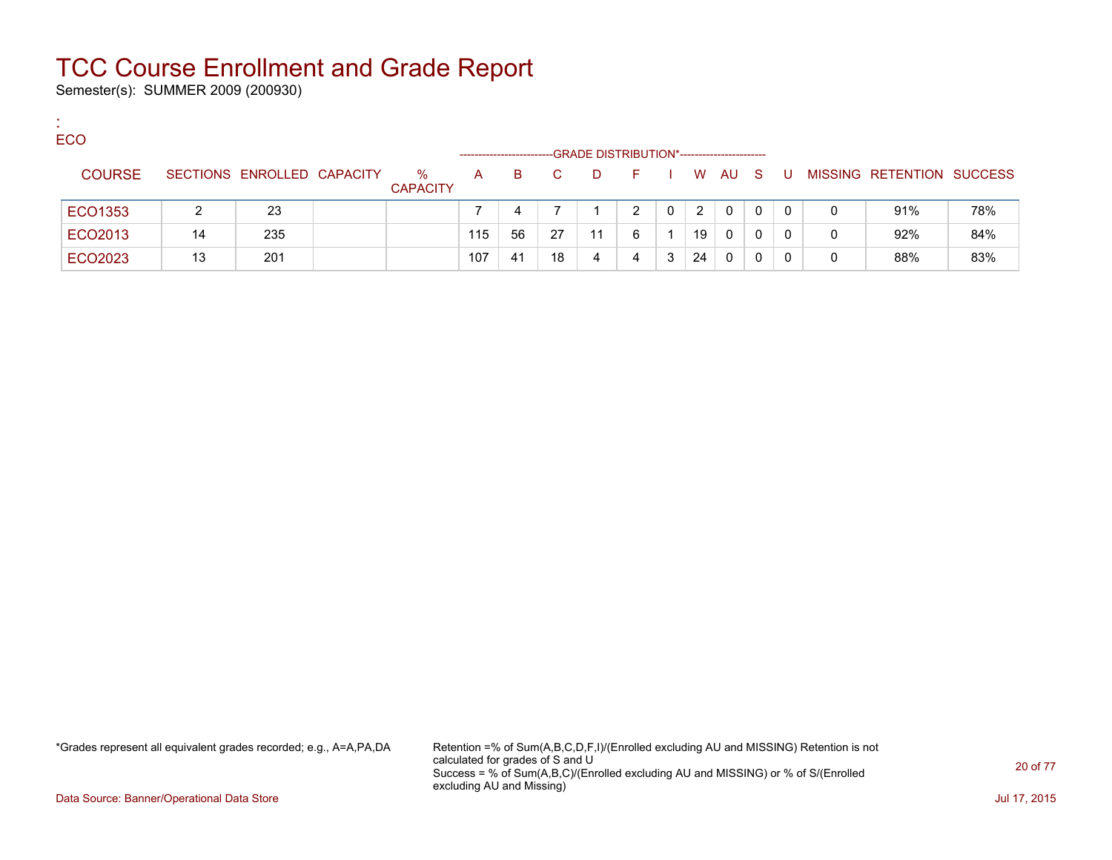Semester(s): SUMMER 2009 (200930)

:

| <b>ECO</b>    |    |                            |                         | ---------------------- |     |              |    | -GRADE DISTRIBUTION*---------------------- |   |    |              |   |     |   |                           |     |
|---------------|----|----------------------------|-------------------------|------------------------|-----|--------------|----|--------------------------------------------|---|----|--------------|---|-----|---|---------------------------|-----|
| <b>COURSE</b> |    | SECTIONS ENROLLED CAPACITY | $\%$<br><b>CAPACITY</b> | $\mathsf{A}$           | B.  | $\mathbf{C}$ | D. | - F -                                      |   |    | W AU S       |   | . U |   | MISSING RETENTION SUCCESS |     |
| ECO1353       |    | -23                        |                         |                        |     |              |    | 2                                          | 0 | 2  | $\mathbf{0}$ | 0 | 0   | 0 | 91%                       | 78% |
| ECO2013       | 14 | 235                        |                         | 115                    | 56  | 27           | 11 | 6                                          |   | 19 | 0            | 0 |     | 0 | 92%                       | 84% |
| ECO2023       | 13 | 201                        |                         | 107                    | -41 | 18           | 4  | 4                                          | 3 | 24 | 0            | 0 |     |   | 88%                       | 83% |

\*Grades represent all equivalent grades recorded; e.g., A=A,PA,DA Retention =% of Sum(A,B,C,D,F,I)/(Enrolled excluding AU and MISSING) Retention is not calculated for grades of S and U Success = % of Sum(A,B,C)/(Enrolled excluding AU and MISSING) or % of S/(Enrolled excluding AU and Missing)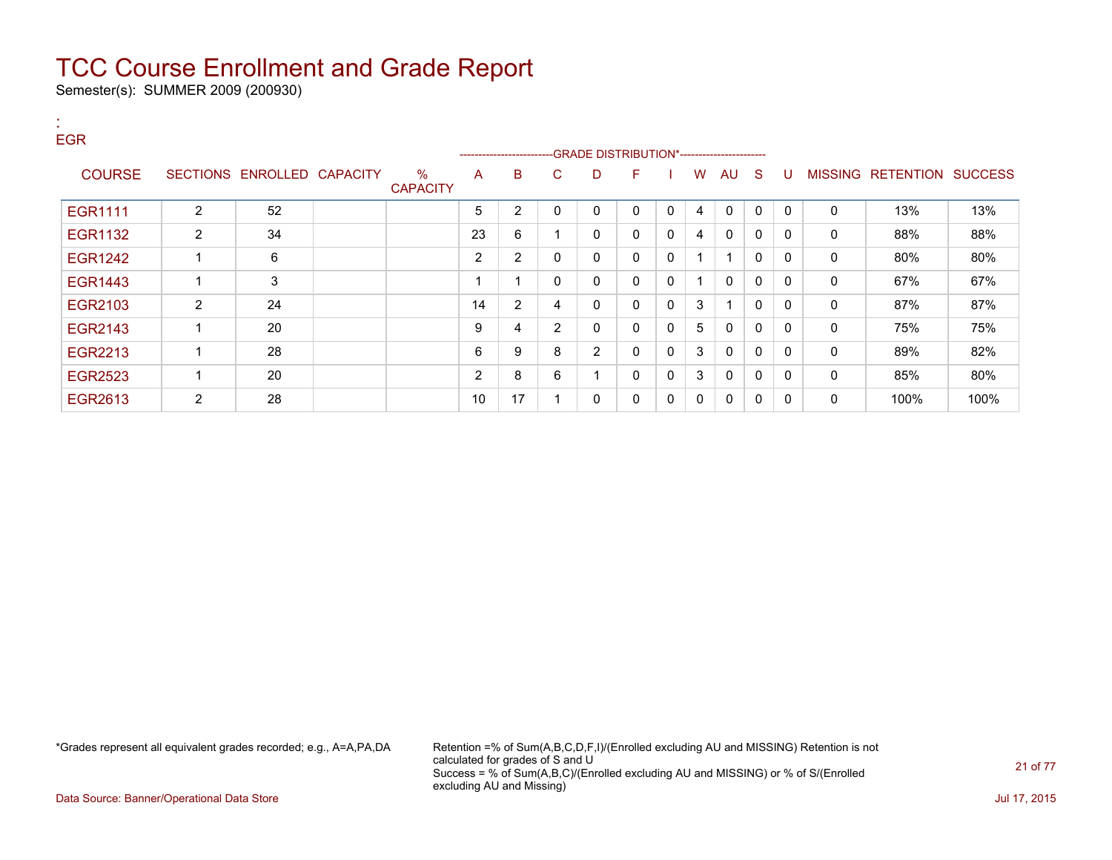Semester(s): SUMMER 2009 (200930)

#### : EGR ---GRADE DISTRIBUTION\*------------------------COURSE SECTIONS ENROLLED CAPACITY % **CAPACITY** A B C D F I W AU S U MISSING RETENTION SUCCESS EGR1111 | 2 | 52 | | 5 | 2 | 0 | 0 | 0 | 4 | 0 | 0 | 0 | 0 | 13% | 13% EGR1132 2 34 23 6 1 0 0 0 4 0 0 0 0 88% 88% EGR1242 1 6 2 2 0 0 0 0 1 1 0 0 0 80% 80% EGR1443 1 3 1 1 0 0 0 0 1 0 0 0 0 67% 67% EGR2103 2 24 24 14 2 4 0 0 3 1 0 0 0 87% 87% EGR2143 1 20 9 4 2 0 0 0 5 0 0 0 0 75% 75% EGR2213 1 28 6 9 8 2 0 0 3 0 0 0 0 89% 82% EGR2523 1 20 2 8 6 1 0 0 3 0 0 0 0 85% 80% EGR2613 | 2 | 28 | | 10 | 17 | 1 | 0 | 0 | 0 | 0 | 0 | 0 | 0 | 100% | 100%

\*Grades represent all equivalent grades recorded; e.g., A=A,PA,DA Retention =% of Sum(A,B,C,D,F,I)/(Enrolled excluding AU and MISSING) Retention is not calculated for grades of S and U Success = % of Sum(A,B,C)/(Enrolled excluding AU and MISSING) or % of S/(Enrolled excluding AU and Missing)

Data Source: Banner/Operational Data Store Jul 17, 2015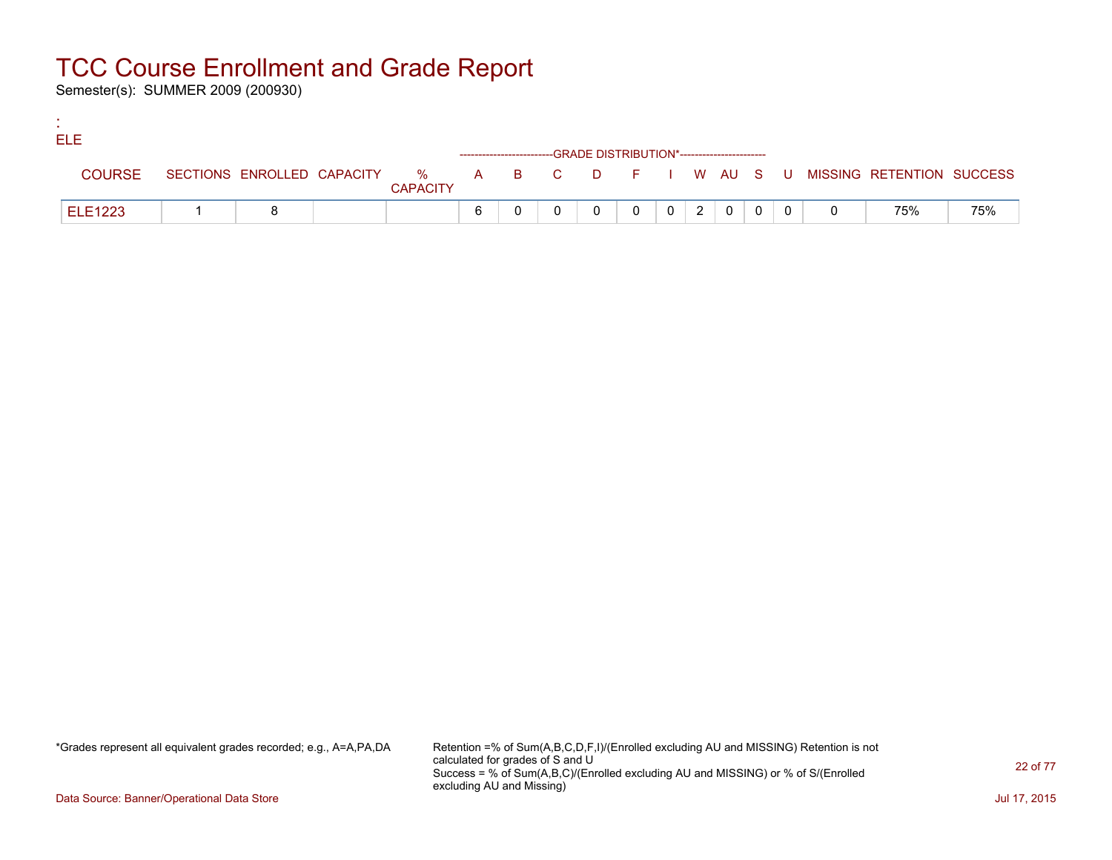Semester(s): SUMMER 2009 (200930)

:

| <b>ELE</b>     |  |                 |   |                                                                    |  |                |              |          |  |                                                                             |     |
|----------------|--|-----------------|---|--------------------------------------------------------------------|--|----------------|--------------|----------|--|-----------------------------------------------------------------------------|-----|
|                |  |                 |   | ------------------------GRADE DISTRIBUTION*----------------------- |  |                |              |          |  |                                                                             |     |
| <b>COURSE</b>  |  | <b>CAPACITY</b> |   |                                                                    |  |                |              |          |  | SECTIONS ENROLLED CAPACITY % A B C D F I W AU S U MISSING RETENTION SUCCESS |     |
| <b>ELE1223</b> |  |                 | 6 |                                                                    |  | $\overline{2}$ | $\mathbf{0}$ | $\Omega$ |  | 75%                                                                         | 75% |

\*Grades represent all equivalent grades recorded; e.g., A=A,PA,DA Retention =% of Sum(A,B,C,D,F,I)/(Enrolled excluding AU and MISSING) Retention is not calculated for grades of S and U Success = % of Sum(A,B,C)/(Enrolled excluding AU and MISSING) or % of S/(Enrolled excluding AU and Missing)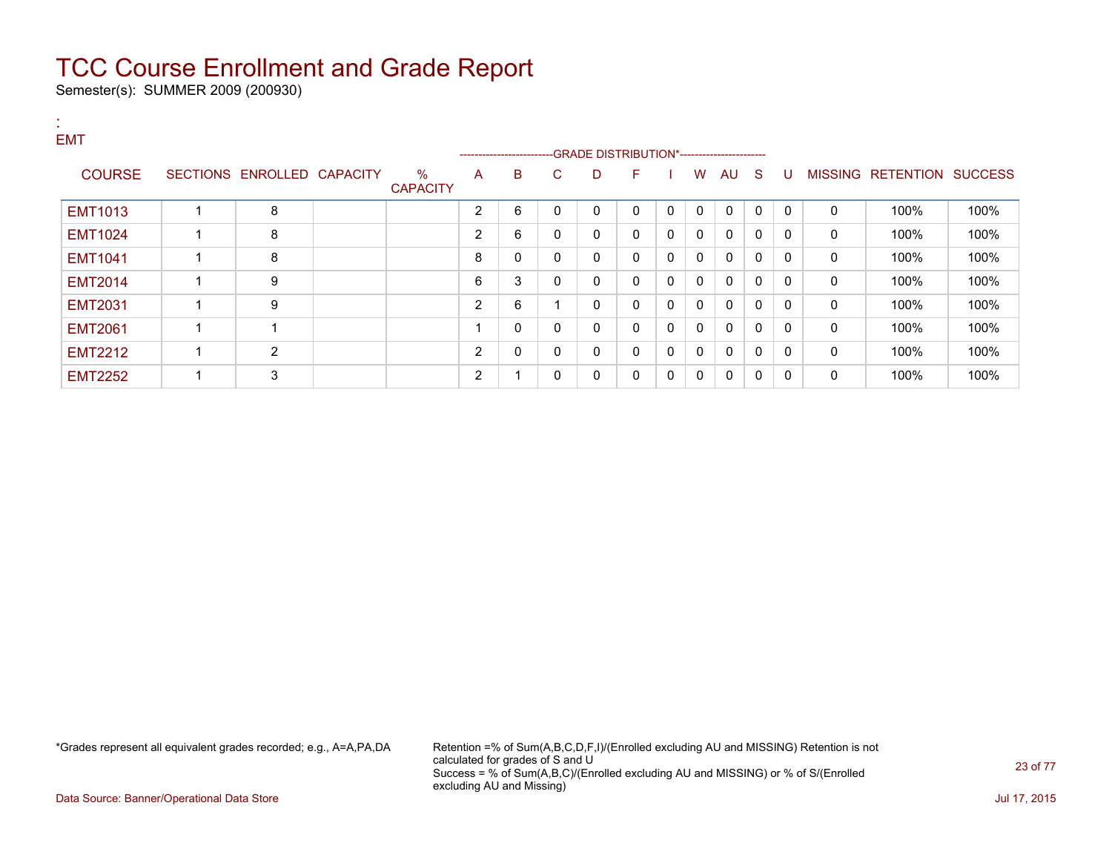Semester(s): SUMMER 2009 (200930)

:

#### EMT ---GRADE DISTRIBUTION\*------------------------COURSE SECTIONS ENROLLED CAPACITY % **CAPACITY** A B C D F I W AU S U MISSING RETENTION SUCCESS EMT1013 | 1 | 8 | | 2 |6 |0 |0 |0 |0 |0 |0 |0 | 100% | 100% EMT1024 | 1 | 8 | | | 2 | 6 | 0 | 0 | 0 | 0 | 0 | 0 | 0 | 0 | 100% | 100% EMT1041 1 8 8 0 0 0 0 0 0 0 0 0 0 100% 100% EMT2014 | 1 | 9 | | | 6 | 3 | 0 | 0 | 0 | 0 | 0 | 0 | 0 | 0 | 100% | 100% EMT2031 | 1 | 9 | | | 2 | 6 | 1 | 0 | 0 | 0 | 0 | 0 | 0 | 0 | 100% | 100% EMT2061 1 1 1 0 0 0 0 0 0 0 0 0 0 100% 100%  $\textsf{EMT2212} \quad|\quad 1\quad \quad |\quad 2\quad \quad |\quad -\quad |\quad 2\quad \mid 0\quad \mid 0\quad \mid 0\quad \mid 0\quad \mid 0\mid 0\mid 0\mid 0\quad \mid 0\quad \mid 100\% \quad \mid 100\%$ EMT2252 | 1 | 3 | | 2 | 1 | 0 | 0 | 0 | 0 | 0 | 0 | 0 | 0 | 100% | 100%

\*Grades represent all equivalent grades recorded; e.g., A=A,PA,DA Retention =% of Sum(A,B,C,D,F,I)/(Enrolled excluding AU and MISSING) Retention is not calculated for grades of S and U Success = % of Sum(A,B,C)/(Enrolled excluding AU and MISSING) or % of S/(Enrolled excluding AU and Missing)

Data Source: Banner/Operational Data Store Jul 17, 2015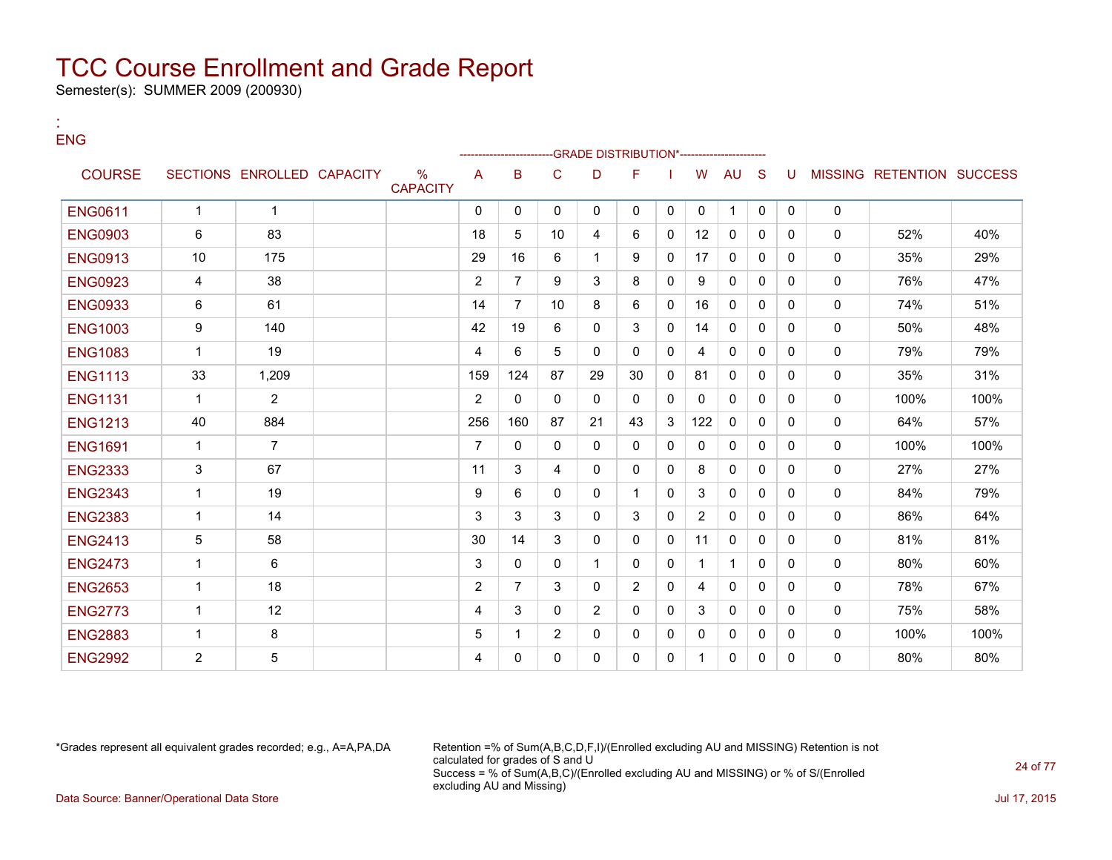Semester(s): SUMMER 2009 (200930)

:

#### ENG --GRADE DISTRIBUTION\*------------------------COURSE SECTIONS ENROLLED CAPACITY % **CAPACITY** A B C D F I W AU S U MISSING RETENTION SUCCESS ENG0611 1 1 0 0 0 0 0 0 0 1 0 0 0 ENG0903 6 83 18 5 10 4 6 0 12 0 0 0 0 52% 40% ENG0913 10 175 29 16 6 1 9 0 17 0 0 0 0 35% 29% ENG0923 4 38 2 7 9 3 8 0 9 0 0 0 0 76% 47% ENG0933 6 61 14 7 10 8 6 0 16 0 0 0 0 74% 51% ENG1003 9 140 42 19 6 0 3 0 14 0 0 0 0 50% 48% ENG1083 | 1 | 19 | | | 4 | 6 | 5 | 0 | 0 | 0 | 4 | 0 | 0 | 0 | 0 | 79% | 79% ENG1113 | 33 | 1,209 | | | 159 124 | 87 | 29 | 30 | 0 | 81 | 0 | 0 | 0 | 0 | 35% | 31% ENG1131 1 2 2 0 0 0 0 0 0 0 0 0 0 100% 100% ENG1213 40 884 256 160 87 21 43 3 122 0 0 0 0 64% 57% ENG1691 1 7 7 0 0 0 0 0 0 0 0 0 0 100% 100% ENG2333 3 67 11 3 4 0 0 0 8 0 0 0 0 27% 27% ENG2343 1 19 9 6 0 0 1 0 3 0 0 0 0 84% 79% ENG2383 1 14 3 3 3 0 3 0 2 0 0 0 0 86% 64% ENG2413 5 58 30 14 3 0 0 0 11 0 0 0 0 81% 81% ENG2473 1 6 3 0 0 1 0 0 1 1 0 0 0 80% 60% ENG2653 1 18 2 7 3 0 2 0 4 0 0 0 0 78% 67%  $\textsf{ENG2773} \quad | \quad 1 \quad | \quad 12 \quad | \quad \quad | \quad 4 \quad | \quad 3 \quad | \quad 0 \quad | \quad 2 \quad | \quad 0 \quad | \quad 0 \quad | \quad 3 \quad | \quad 0 \quad | \quad 0 \quad | \quad \quad 0 \quad | \quad 75\% \quad | \quad 58\%$ ENG2883 1 8 5 1 2 0 0 0 0 0 0 0 0 100% 100%  ${\sf ENG2992}$   $\qquad \qquad \ \ \, 2$   $\qquad \quad \ \, 5$   $\qquad \qquad \mid \qquad \mid \qquad \mid \quad \ \ \, 4$   $\mid \; 0 \mid \; 0 \mid \; 0$   $\mid \; 0 \mid \; 0 \mid \; 1 \mid \; 0$   $\mid \; 0 \mid \; 0$   $\mid \quad \ \ \, 0$   $\qquad \quad \ \, 80\%$   $\qquad \quad \ \, 80\%$

\*Grades represent all equivalent grades recorded; e.g., A=A,PA,DA Retention =% of Sum(A,B,C,D,F,I)/(Enrolled excluding AU and MISSING) Retention is not calculated for grades of S and U Success = % of Sum(A,B,C)/(Enrolled excluding AU and MISSING) or % of S/(Enrolled excluding AU and Missing) Data Source: Banner/Operational Data Store Jul 17, 2015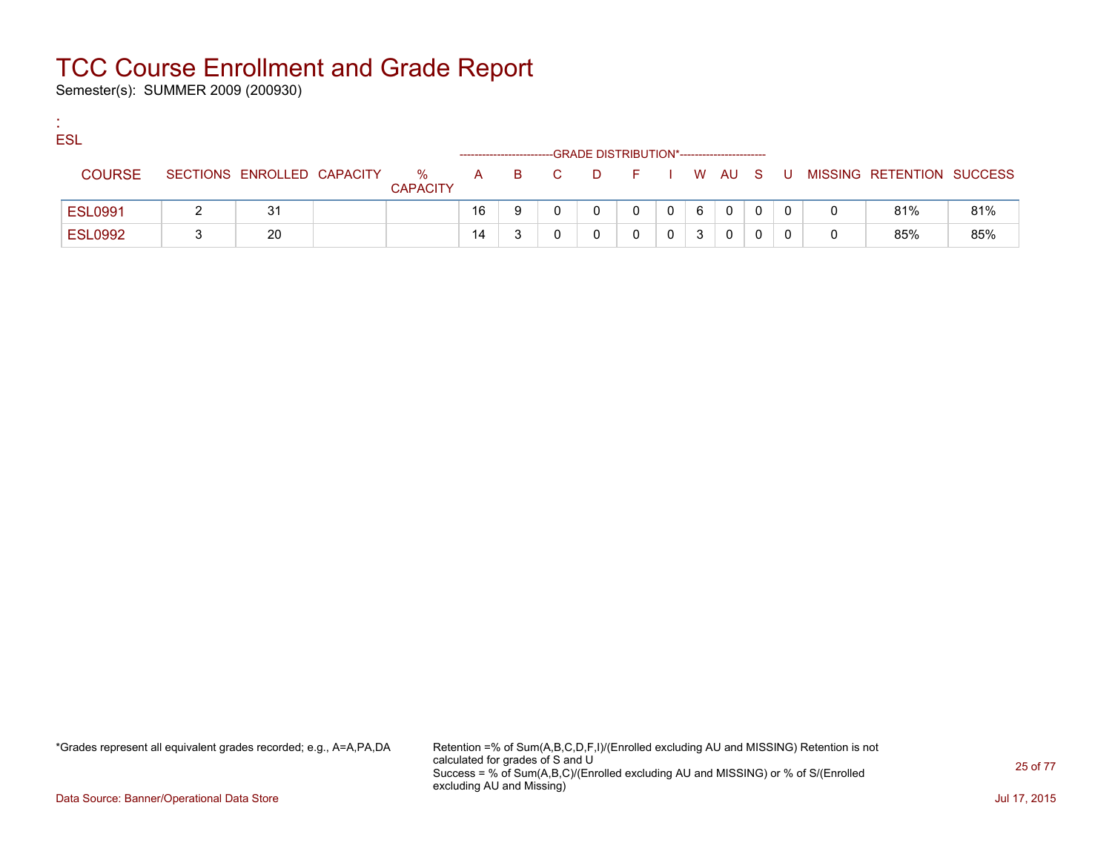Semester(s): SUMMER 2009 (200930)

:

| <b>ESL</b>     |                            |                      |     |     | -GRADE DISTRIBUTION*----------------------- |            |              |   |              |    |                           |     |
|----------------|----------------------------|----------------------|-----|-----|---------------------------------------------|------------|--------------|---|--------------|----|---------------------------|-----|
| <b>COURSE</b>  | SECTIONS ENROLLED CAPACITY | %<br><b>CAPACITY</b> | A a | B C | <b>D</b>                                    | F I W AU S |              |   |              | -U | MISSING RETENTION SUCCESS |     |
| <b>ESL0991</b> | 31                         |                      | 16  |     |                                             | 0          | $\mathbf{0}$ | 6 | $\mathbf{0}$ |    | 81%                       | 81% |
| <b>ESL0992</b> | 20                         |                      | 14  |     |                                             |            |              |   | $\mathbf{0}$ |    | 85%                       | 85% |

\*Grades represent all equivalent grades recorded; e.g., A=A,PA,DA Retention =% of Sum(A,B,C,D,F,I)/(Enrolled excluding AU and MISSING) Retention is not calculated for grades of S and U Success = % of Sum(A,B,C)/(Enrolled excluding AU and MISSING) or % of S/(Enrolled excluding AU and Missing)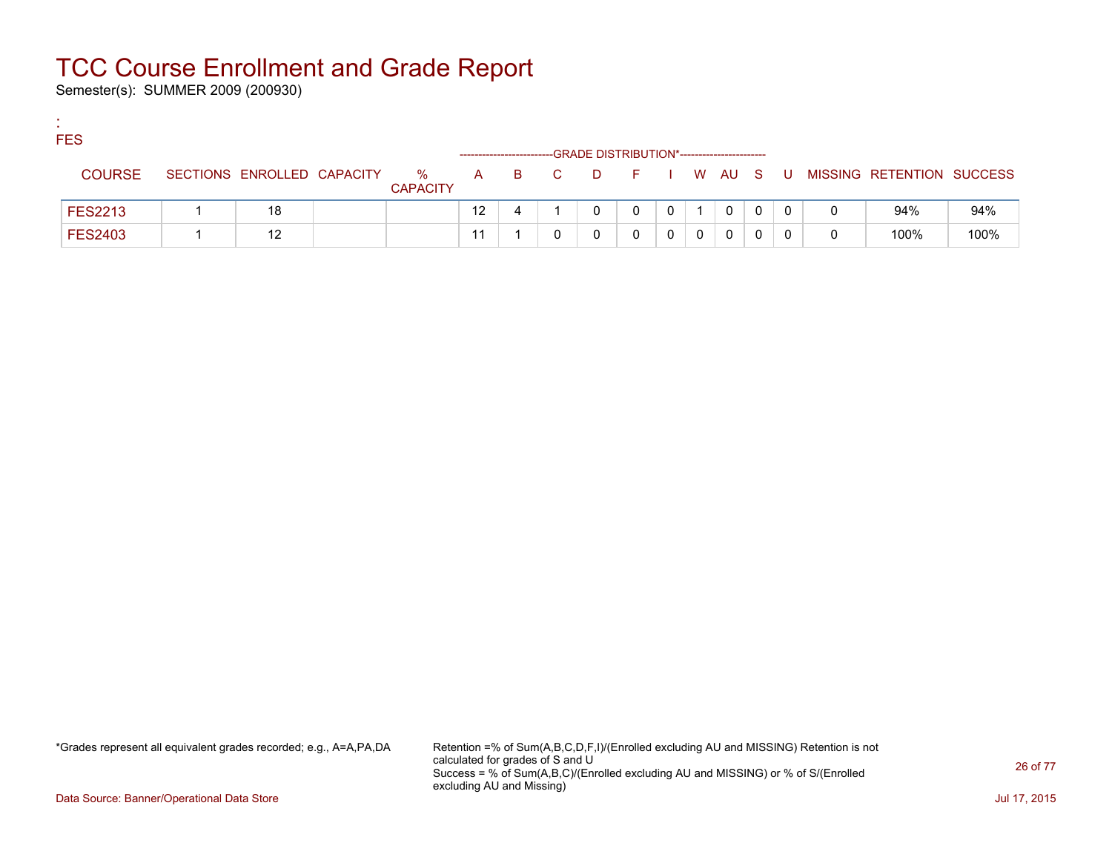Semester(s): SUMMER 2009 (200930)

:

| <b>FES</b>     |                            |                      |                   |       | -GRADE DISTRIBUTION*----------------------- |        |  |              |   |                           |      |
|----------------|----------------------------|----------------------|-------------------|-------|---------------------------------------------|--------|--|--------------|---|---------------------------|------|
| <b>COURSE</b>  | SECTIONS ENROLLED CAPACITY | %<br><b>CAPACITY</b> |                   | A B C | <b>D</b>                                    | FIWAUS |  |              | U | MISSING RETENTION SUCCESS |      |
| <b>FES2213</b> | 18                         |                      | $12 \overline{ }$ |       |                                             |        |  | $\mathbf{0}$ |   | 94%                       | 94%  |
| <b>FES2403</b> | 12                         |                      |                   |       |                                             |        |  | 0            |   | 100%                      | 100% |

\*Grades represent all equivalent grades recorded; e.g., A=A,PA,DA Retention =% of Sum(A,B,C,D,F,I)/(Enrolled excluding AU and MISSING) Retention is not calculated for grades of S and U Success = % of Sum(A,B,C)/(Enrolled excluding AU and MISSING) or % of S/(Enrolled excluding AU and Missing)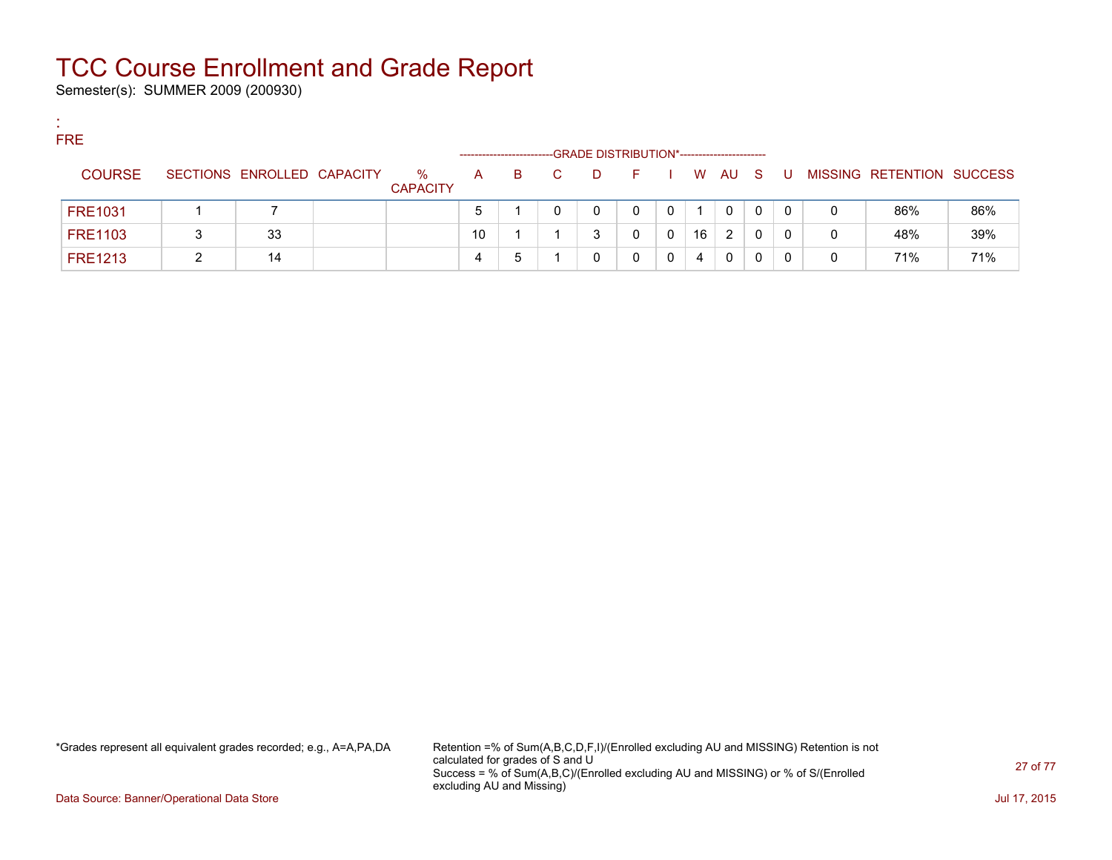Semester(s): SUMMER 2009 (200930)

:

| <b>FRE</b>     |                            |                         | --------------------- |    |    | -GRADE DISTRIBUTION*----------------------- |    |   |    |      |     |     |          |                           |     |
|----------------|----------------------------|-------------------------|-----------------------|----|----|---------------------------------------------|----|---|----|------|-----|-----|----------|---------------------------|-----|
| <b>COURSE</b>  | SECTIONS ENROLLED CAPACITY | $\%$<br><b>CAPACITY</b> | A                     | B. | C. | D                                           | E. |   |    | W AU | - S | . U |          | MISSING RETENTION SUCCESS |     |
| <b>FRE1031</b> |                            |                         | 5                     |    |    | 0                                           |    | 0 |    | 0    | 0   | 0   | 0        | 86%                       | 86% |
| <b>FRE1103</b> | 33                         |                         | 10                    |    |    | 2                                           |    | 0 | 16 | 2    | 0   | 0   | $\Omega$ | 48%                       | 39% |
| <b>FRE1213</b> | 14                         |                         | 4                     | b  |    |                                             |    | 0 | 4  | 0    | 0   | 0   | 0        | 71%                       | 71% |

\*Grades represent all equivalent grades recorded; e.g., A=A,PA,DA Retention =% of Sum(A,B,C,D,F,I)/(Enrolled excluding AU and MISSING) Retention is not calculated for grades of S and U Success = % of Sum(A,B,C)/(Enrolled excluding AU and MISSING) or % of S/(Enrolled excluding AU and Missing)

Data Source: Banner/Operational Data Store Jul 17, 2015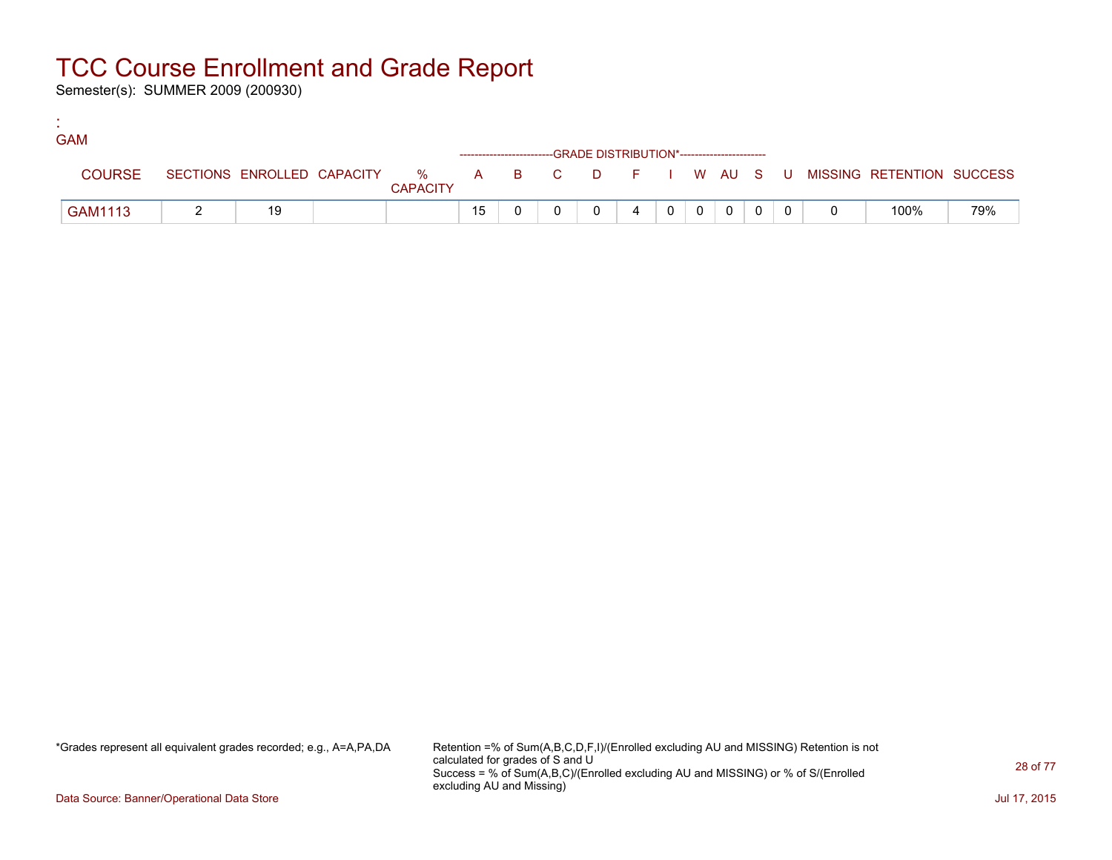Semester(s): SUMMER 2009 (200930)

:

| <b>GAM</b>    |    |                 |    |  |                                                                    |  |             |  |  |                                                                             |     |
|---------------|----|-----------------|----|--|--------------------------------------------------------------------|--|-------------|--|--|-----------------------------------------------------------------------------|-----|
|               |    |                 |    |  | ------------------------GRADE DISTRIBUTION*----------------------- |  |             |  |  |                                                                             |     |
| <b>COURSE</b> |    | <b>CAPACITY</b> |    |  |                                                                    |  |             |  |  | SECTIONS ENROLLED CAPACITY % A B C D F I W AU S U MISSING RETENTION SUCCESS |     |
| GAM1113       | 19 |                 | 15 |  |                                                                    |  | $0$ $0$ $0$ |  |  | 100%                                                                        | 79% |

\*Grades represent all equivalent grades recorded; e.g., A=A,PA,DA Retention =% of Sum(A,B,C,D,F,I)/(Enrolled excluding AU and MISSING) Retention is not calculated for grades of S and U Success = % of Sum(A,B,C)/(Enrolled excluding AU and MISSING) or % of S/(Enrolled excluding AU and Missing)

Data Source: Banner/Operational Data Store Jul 17, 2015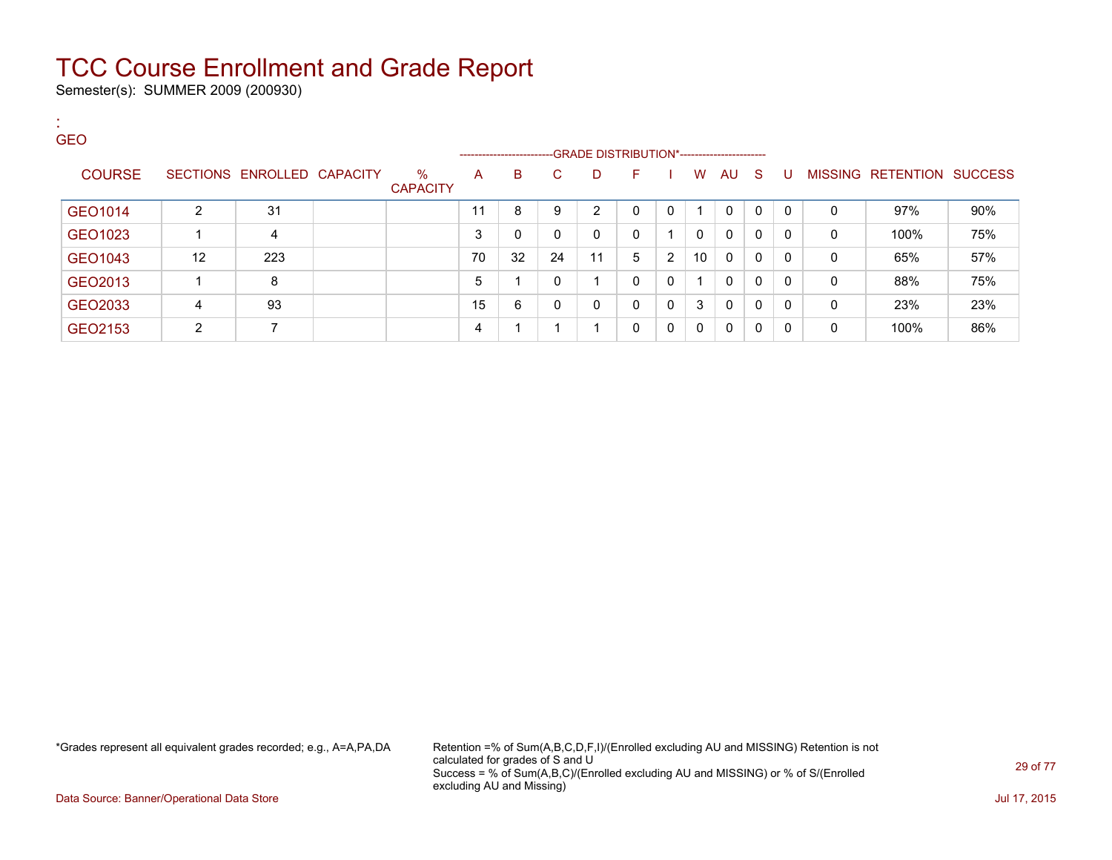Semester(s): SUMMER 2009 (200930)

| . .<br><b>GEO</b> |                |                            |                         |    |                                                                    |              |    |          |                |              |              |              |              |              |                           |     |
|-------------------|----------------|----------------------------|-------------------------|----|--------------------------------------------------------------------|--------------|----|----------|----------------|--------------|--------------|--------------|--------------|--------------|---------------------------|-----|
|                   |                |                            |                         |    | ------------------------GRADE DISTRIBUTION*----------------------- |              |    |          |                |              |              |              |              |              |                           |     |
| <b>COURSE</b>     |                | SECTIONS ENROLLED CAPACITY | $\%$<br><b>CAPACITY</b> | A  | B                                                                  | $\mathbf{C}$ | D  | F.       |                | W            | AU S         |              | <b>U</b>     |              | MISSING RETENTION SUCCESS |     |
| GEO1014           | $\overline{2}$ | 31                         |                         | 11 | 8                                                                  | 9            | 2  | $\Omega$ | 0              |              | $\mathbf{0}$ | $\Omega$     | $\mathbf{0}$ | $\mathbf{0}$ | 97%                       | 90% |
| GEO1023           |                | 4                          |                         | 3  | 0                                                                  | $\mathbf{0}$ | 0  | $\Omega$ |                | $\mathbf{0}$ | $\mathbf{0}$ | $\mathbf{0}$ | $\mathbf{0}$ | $\Omega$     | 100%                      | 75% |
| GEO1043           | 12             | 223                        |                         | 70 | 32                                                                 | 24           | 11 | 5        | $\overline{2}$ | 10           | $\Omega$     | $\mathbf{0}$ | 0            | $\mathbf 0$  | 65%                       | 57% |
| GEO2013           |                | 8                          |                         | 5  |                                                                    | 0            | 1  | $\Omega$ | 0              |              | $\mathbf{0}$ | $\mathbf{0}$ | $\mathbf{0}$ | $\mathbf 0$  | 88%                       | 75% |
| GEO2033           | 4              | 93                         |                         | 15 | 6                                                                  | 0            | 0  | $\Omega$ | $\mathbf{0}$   | 3            | $\mathbf{0}$ | $\mathbf{0}$ | $\mathbf{0}$ | $\mathbf{0}$ | 23%                       | 23% |
| GEO2153           | $\overline{2}$ | 7                          |                         | 4  |                                                                    |              | -4 | 0        | 0              | 0            | $\mathbf{0}$ | $\mathbf{0}$ | 0            | $\mathbf{0}$ | 100%                      | 86% |

\*Grades represent all equivalent grades recorded; e.g., A=A,PA,DA Retention =% of Sum(A,B,C,D,F,I)/(Enrolled excluding AU and MISSING) Retention is not calculated for grades of S and U Success = % of Sum(A,B,C)/(Enrolled excluding AU and MISSING) or % of S/(Enrolled excluding AU and Missing)

Data Source: Banner/Operational Data Store Jul 17, 2015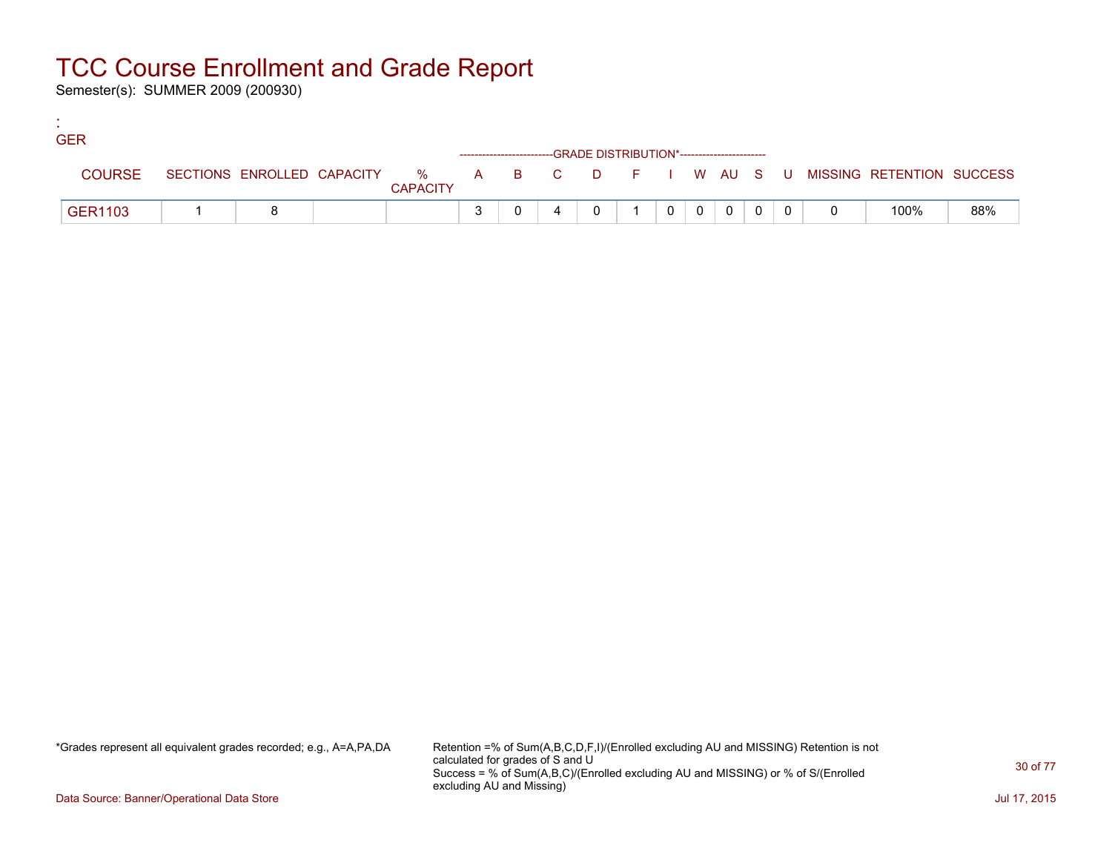Semester(s): SUMMER 2009 (200930)

:

| <b>GER</b>     |  |                 |  |                                                                    |  |          |                |  |                                                                               |     |
|----------------|--|-----------------|--|--------------------------------------------------------------------|--|----------|----------------|--|-------------------------------------------------------------------------------|-----|
|                |  |                 |  | ------------------------GRADE DISTRIBUTION*----------------------- |  |          |                |  |                                                                               |     |
| <b>COURSE</b>  |  | <b>CAPACITY</b> |  |                                                                    |  |          |                |  | SECTIONS ENROLLED CAPACITY 5 % A B C D F I W AU S U MISSING RETENTION SUCCESS |     |
| <b>GER1103</b> |  |                 |  |                                                                    |  | $\Omega$ | $\overline{0}$ |  | 100%                                                                          | 88% |

\*Grades represent all equivalent grades recorded; e.g., A=A,PA,DA Retention =% of Sum(A,B,C,D,F,I)/(Enrolled excluding AU and MISSING) Retention is not calculated for grades of S and U Success = % of Sum(A,B,C)/(Enrolled excluding AU and MISSING) or % of S/(Enrolled excluding AU and Missing)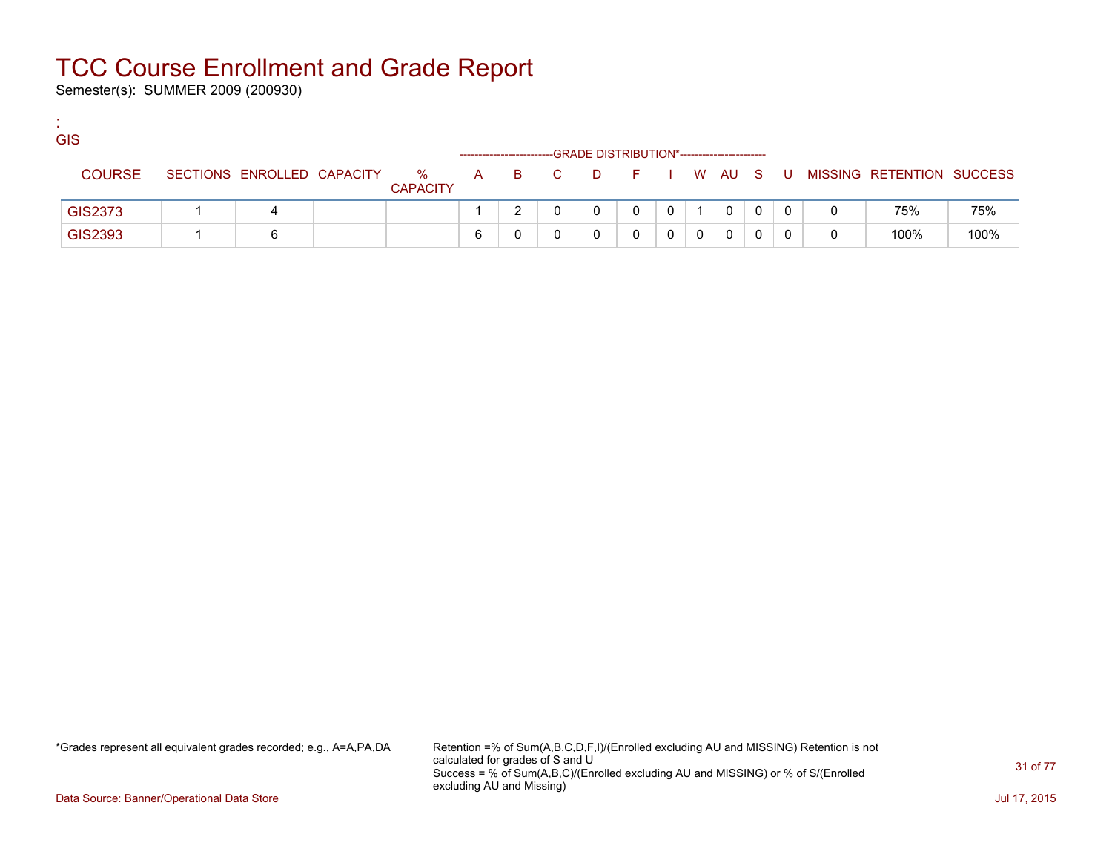Semester(s): SUMMER 2009 (200930)

:

| <b>GIS</b>    |                            |                      |   |     |          | -GRADE DISTRIBUTION*----------------------- |              |   |   |   |                           |      |
|---------------|----------------------------|----------------------|---|-----|----------|---------------------------------------------|--------------|---|---|---|---------------------------|------|
| <b>COURSE</b> | SECTIONS ENROLLED CAPACITY | %<br><b>CAPACITY</b> | A | BC. | <b>D</b> | FIWAUS                                      |              |   | U |   | MISSING RETENTION SUCCESS |      |
| GIS2373       | 4                          |                      |   |     |          |                                             | $\mathbf{0}$ | 0 |   |   | 75%                       | 75%  |
| GIS2393       |                            |                      | 6 |     |          |                                             |              |   |   | 0 | 100%                      | 100% |

\*Grades represent all equivalent grades recorded; e.g., A=A,PA,DA Retention =% of Sum(A,B,C,D,F,I)/(Enrolled excluding AU and MISSING) Retention is not calculated for grades of S and U Success = % of Sum(A,B,C)/(Enrolled excluding AU and MISSING) or % of S/(Enrolled excluding AU and Missing)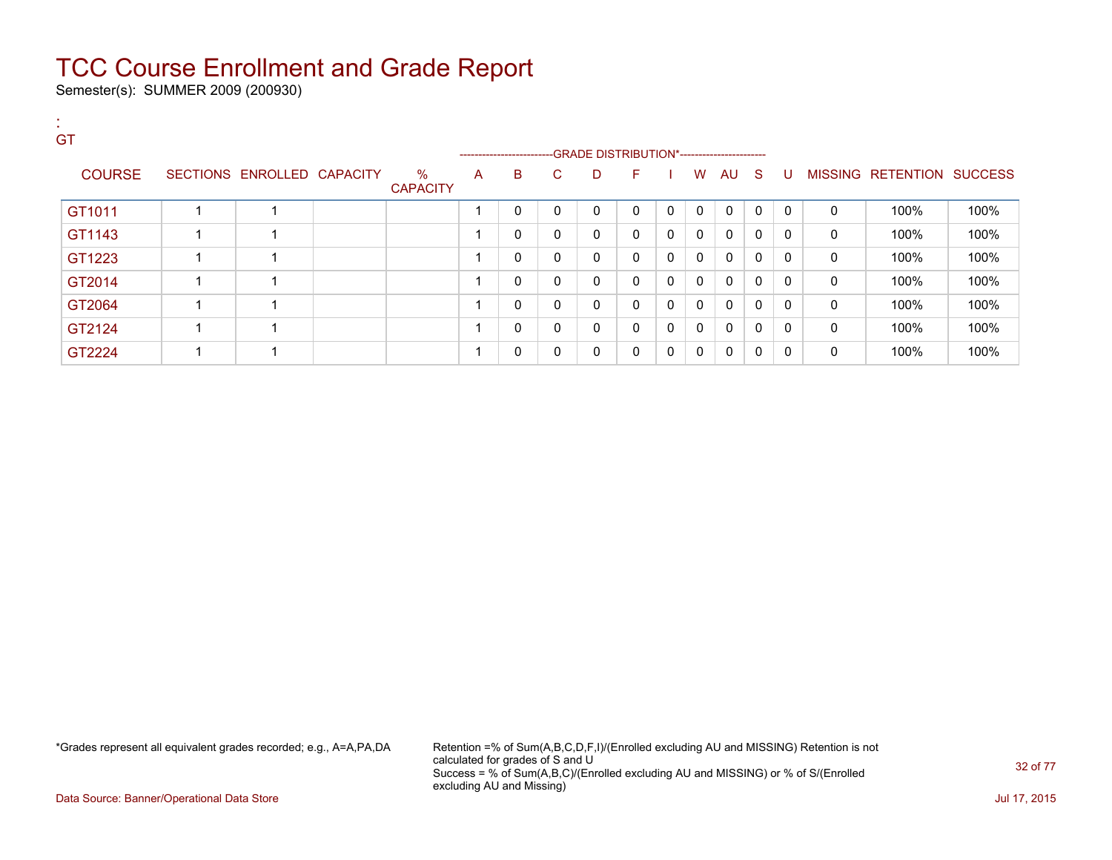Semester(s): SUMMER 2009 (200930)

:

| <b>GT</b>     |                            |                         |   | ------------------------GRADE DISTRIBUTION*----------------------- |          |              |              |          |          |              |              |              |              |                           |      |
|---------------|----------------------------|-------------------------|---|--------------------------------------------------------------------|----------|--------------|--------------|----------|----------|--------------|--------------|--------------|--------------|---------------------------|------|
| <b>COURSE</b> | SECTIONS ENROLLED CAPACITY | $\%$<br><b>CAPACITY</b> | A | B                                                                  | C.       | D            | F.           |          | W        | AU           | - S          | - U -        |              | MISSING RETENTION SUCCESS |      |
| GT1011        |                            |                         |   | $\mathbf 0$                                                        | $\Omega$ | 0            | $\Omega$     | $\Omega$ | $\Omega$ | $\Omega$     | $\Omega$     | $\mathsf{C}$ | $\Omega$     | 100%                      | 100% |
| GT1143        |                            |                         |   | $\mathbf{0}$                                                       | 0        | 0            | $\mathbf{0}$ | $\Omega$ | $\Omega$ | $\mathbf{0}$ | $\Omega$     | $\Omega$     | 0            | 100%                      | 100% |
| GT1223        |                            |                         |   | $\mathbf{0}$                                                       | $\Omega$ | 0            | 0            | $\Omega$ | $\Omega$ | $\Omega$     | $\Omega$     | $\Omega$     | 0            | 100%                      | 100% |
| GT2014        |                            |                         |   | $\mathbf{0}$                                                       | $\Omega$ | $\mathbf 0$  | $\mathbf{0}$ | $\Omega$ | $\Omega$ | $\Omega$     | $\Omega$     | - 0          | 0            | 100%                      | 100% |
| GT2064        |                            |                         |   | $\Omega$                                                           | $\Omega$ | 0            | $\mathbf{0}$ | $\Omega$ | $\Omega$ | $\Omega$     | 0            | $\Omega$     | 0            | 100%                      | 100% |
| GT2124        |                            |                         |   | $\Omega$                                                           | $\Omega$ | $\mathbf{0}$ | $\mathbf{0}$ | $\Omega$ | $\Omega$ | $\Omega$     | $\Omega$     | $\Omega$     | $\mathbf{0}$ | 100%                      | 100% |
| GT2224        |                            |                         |   | 0                                                                  | $\Omega$ | 0            | 0            | $\Omega$ | $\Omega$ | $\Omega$     | $\mathbf{0}$ | - 0          | 0            | 100%                      | 100% |

\*Grades represent all equivalent grades recorded; e.g., A=A,PA,DA Retention =% of Sum(A,B,C,D,F,I)/(Enrolled excluding AU and MISSING) Retention is not calculated for grades of S and U Success = % of Sum(A,B,C)/(Enrolled excluding AU and MISSING) or % of S/(Enrolled excluding AU and Missing)

Data Source: Banner/Operational Data Store Jul 17, 2015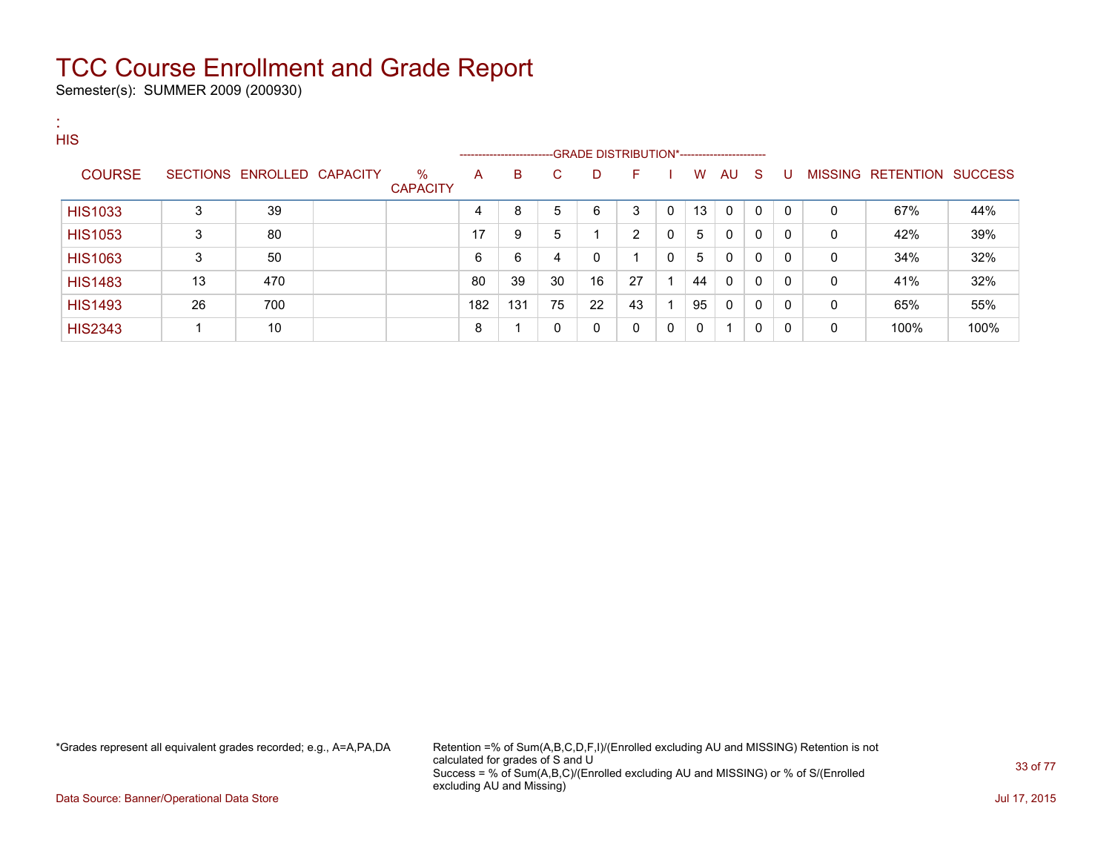Semester(s): SUMMER 2009 (200930)

| л.<br><b>ALC</b><br><b>HIS</b> |    |                            |                      |     | --------------------------GRADE DISTRIBUTION*----------------------- |    |    |              |   |    |              |              |              |   |                           |      |
|--------------------------------|----|----------------------------|----------------------|-----|----------------------------------------------------------------------|----|----|--------------|---|----|--------------|--------------|--------------|---|---------------------------|------|
| <b>COURSE</b>                  |    | SECTIONS ENROLLED CAPACITY | %<br><b>CAPACITY</b> | A   | B                                                                    | C. | D  | F            |   | W  | AU S         |              | -U           |   | MISSING RETENTION SUCCESS |      |
| <b>HIS1033</b>                 | 3  | 39                         |                      | 4   | 8                                                                    | 5  | 6  | 3            | 0 | 13 | $\mathbf{0}$ | $\mathbf{0}$ | $\Omega$     | 0 | 67%                       | 44%  |
| <b>HIS1053</b>                 | 3  | 80                         |                      | 17  | 9                                                                    | 5  |    | 2            | 0 | 5  | 0            | $\mathbf{0}$ | 0            | 0 | 42%                       | 39%  |
| <b>HIS1063</b>                 | 3  | 50                         |                      | 6   | 6                                                                    | 4  | 0  |              | 0 | 5  | 0            | 0            | 0            | 0 | 34%                       | 32%  |
| <b>HIS1483</b>                 | 13 | 470                        |                      | 80  | 39                                                                   | 30 | 16 | 27           |   | 44 | 0            | $\mathbf{0}$ | $\mathbf{0}$ | 0 | 41%                       | 32%  |
| <b>HIS1493</b>                 | 26 | 700                        |                      | 182 | 131                                                                  | 75 | 22 | 43           |   | 95 | $\mathbf{0}$ | $\mathbf{0}$ | $\Omega$     | 0 | 65%                       | 55%  |
| <b>HIS2343</b>                 |    | 10                         |                      | 8   | 1                                                                    | 0  | 0  | $\mathbf{0}$ | 0 | 0  |              | 0            | 0            | 0 | 100%                      | 100% |

\*Grades represent all equivalent grades recorded; e.g., A=A,PA,DA Retention =% of Sum(A,B,C,D,F,I)/(Enrolled excluding AU and MISSING) Retention is not calculated for grades of S and U Success = % of Sum(A,B,C)/(Enrolled excluding AU and MISSING) or % of S/(Enrolled excluding AU and Missing)

Data Source: Banner/Operational Data Store Jul 17, 2015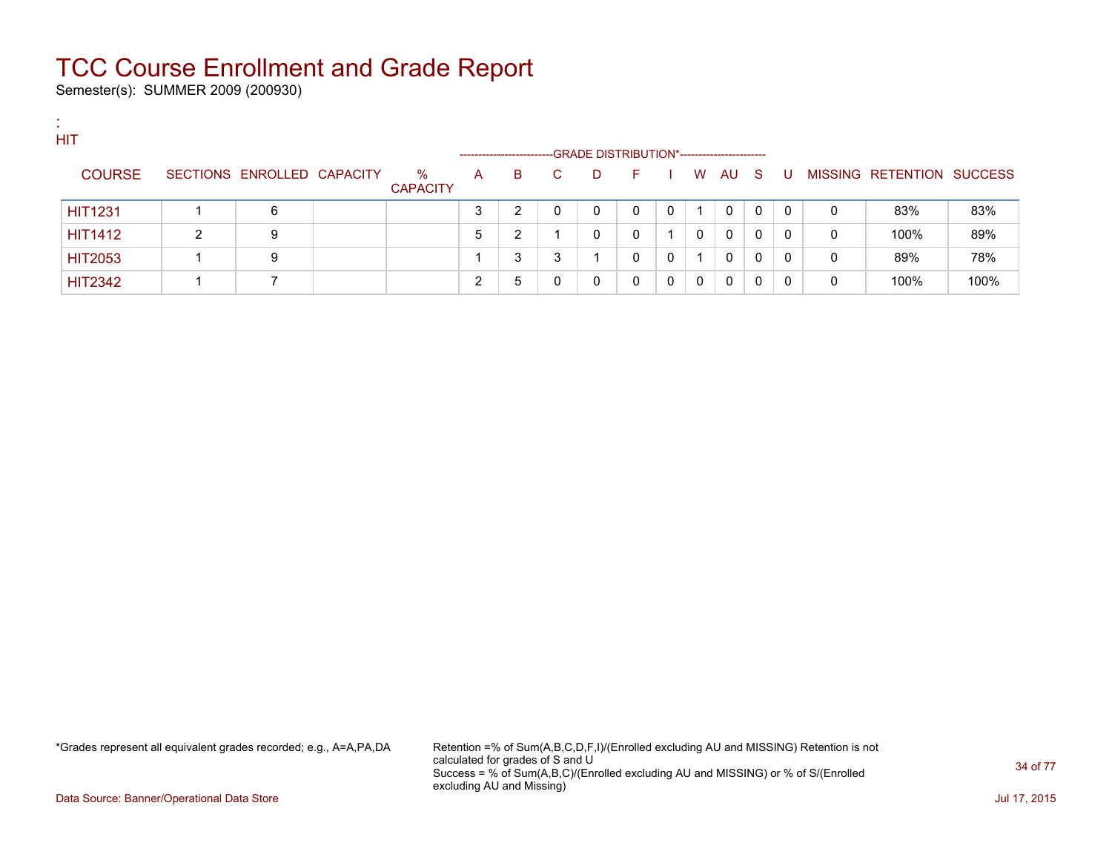Semester(s): SUMMER 2009 (200930)

:

| <b>ALC</b> | <b>HIT</b>     |   |                            |                         |   |                             |        |                                                   |    |          |   |              |              |          |   |                           |      |
|------------|----------------|---|----------------------------|-------------------------|---|-----------------------------|--------|---------------------------------------------------|----|----------|---|--------------|--------------|----------|---|---------------------------|------|
|            | <b>COURSE</b>  |   | SECTIONS ENROLLED CAPACITY | $\%$<br><b>CAPACITY</b> | A | ----------------------<br>B | C.     | -GRADE DISTRIBUTION*-----------------------<br>D. | н. |          | W | AU           | - S          | U        |   | MISSING RETENTION SUCCESS |      |
|            | <b>HIT1231</b> |   | 6                          |                         | ⌒ | 2                           |        | $\Omega$                                          | 0  | $\Omega$ |   | $\mathbf{0}$ | $\mathbf{0}$ | $\Omega$ | 0 | 83%                       | 83%  |
|            | <b>HIT1412</b> | 2 | 9                          |                         | 5 | າ<br>∠                      |        |                                                   | 0  |          | 0 | $\Omega$     | 0            | 0        | 0 | 100%                      | 89%  |
|            | <b>HIT2053</b> |   | 9                          |                         |   | 3                           | ◠<br>ມ |                                                   | 0  |          |   | $\mathbf{0}$ | 0            | 0        | 0 | 89%                       | 78%  |
|            | <b>HIT2342</b> |   |                            |                         |   | 5                           | 0      |                                                   | 0  |          | 0 | 0            | 0            |          | 0 | 100%                      | 100% |

\*Grades represent all equivalent grades recorded; e.g., A=A,PA,DA Retention =% of Sum(A,B,C,D,F,I)/(Enrolled excluding AU and MISSING) Retention is not calculated for grades of S and U Success = % of Sum(A,B,C)/(Enrolled excluding AU and MISSING) or % of S/(Enrolled excluding AU and Missing)

Data Source: Banner/Operational Data Store Jul 17, 2015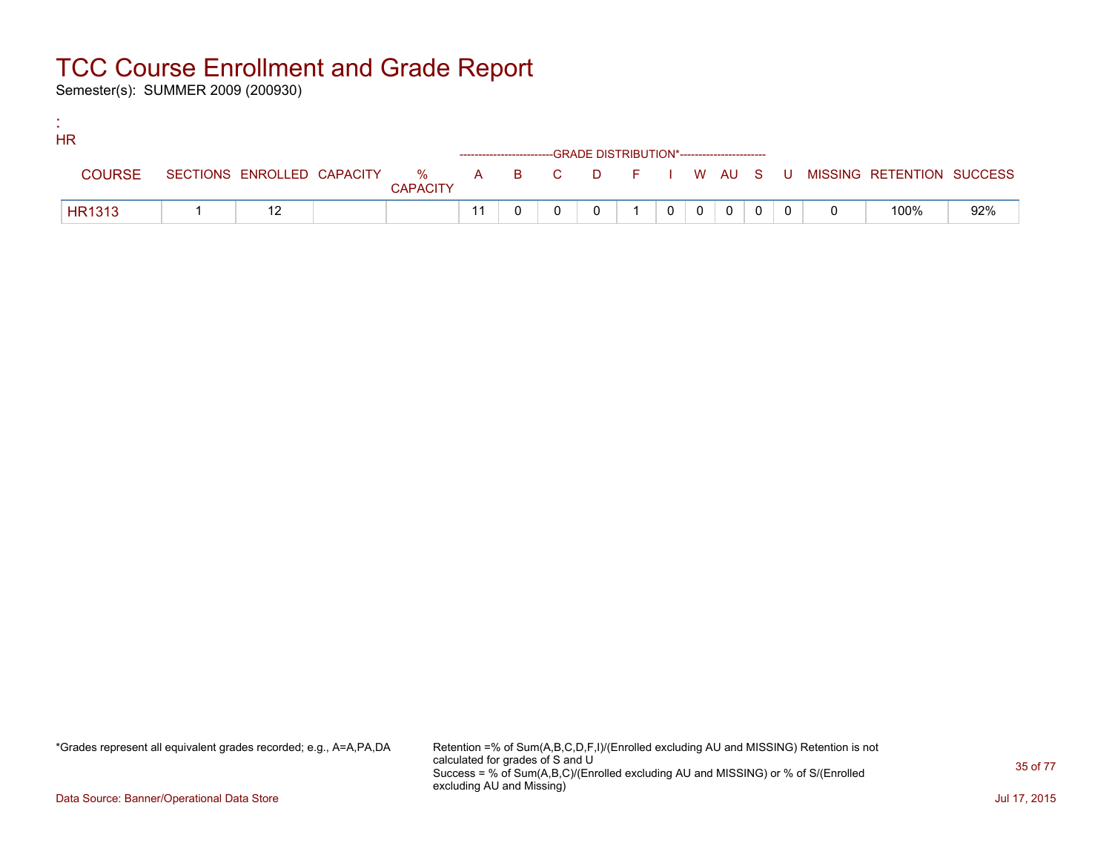Semester(s): SUMMER 2009 (200930)

:

| <b>HR</b>     |  |                 |  |                                                                                 |                |                |              |  |                                                                               |     |
|---------------|--|-----------------|--|---------------------------------------------------------------------------------|----------------|----------------|--------------|--|-------------------------------------------------------------------------------|-----|
|               |  |                 |  | ------------------------GRADE            DISTRIBUTION*------------------------- |                |                |              |  |                                                                               |     |
| <b>COURSE</b> |  | <b>CAPACITY</b> |  |                                                                                 |                |                |              |  | SECTIONS ENROLLED CAPACITY 5 % A B C D F I W AU S U MISSING RETENTION SUCCESS |     |
| <b>HR1313</b> |  |                 |  |                                                                                 | 0 <sup>1</sup> | 0 <sup>1</sup> | $\mathbf{0}$ |  | 100%                                                                          | 92% |

\*Grades represent all equivalent grades recorded; e.g., A=A,PA,DA Retention =% of Sum(A,B,C,D,F,I)/(Enrolled excluding AU and MISSING) Retention is not calculated for grades of S and U Success = % of Sum(A,B,C)/(Enrolled excluding AU and MISSING) or % of S/(Enrolled excluding AU and Missing)

Data Source: Banner/Operational Data Store Jul 17, 2015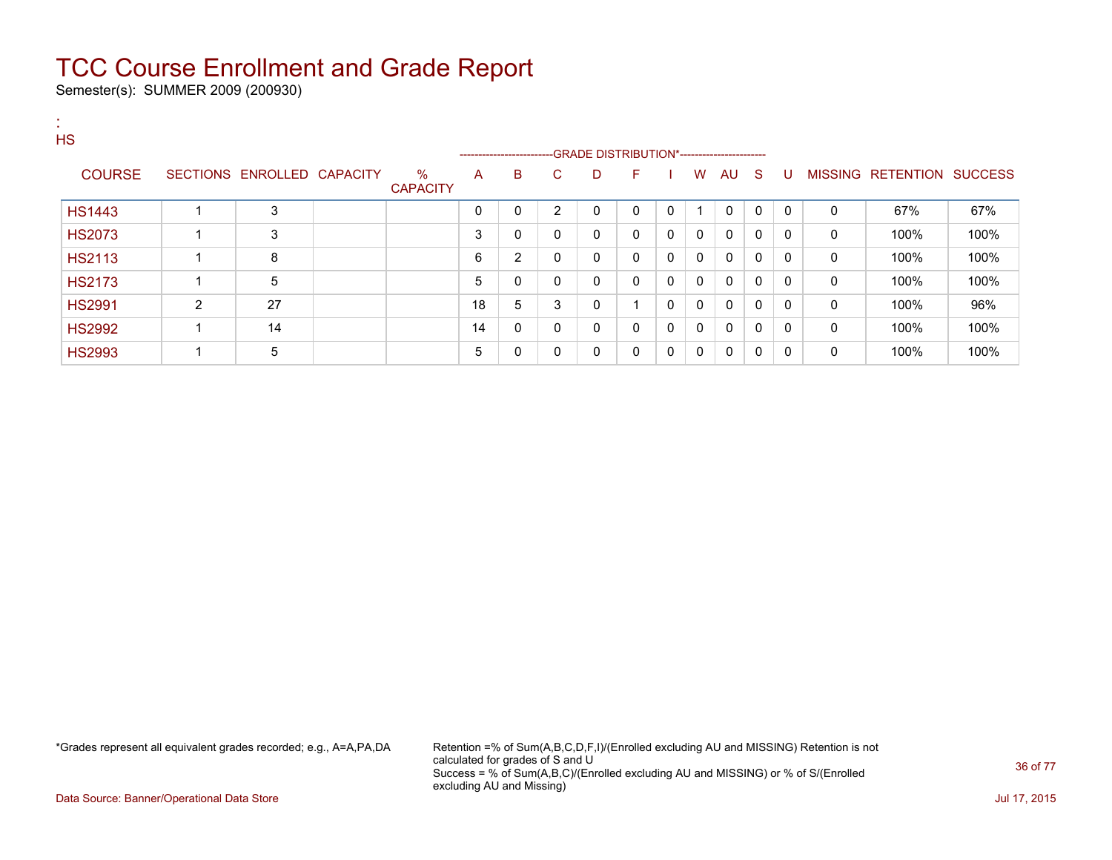Semester(s): SUMMER 2009 (200930)

| <b>A</b><br><b>HS</b> |                |                            |                         |    |                         |                |                                              |              |              |              |              |              |              |              |                           |      |
|-----------------------|----------------|----------------------------|-------------------------|----|-------------------------|----------------|----------------------------------------------|--------------|--------------|--------------|--------------|--------------|--------------|--------------|---------------------------|------|
|                       |                |                            |                         |    | ----------------------- |                | --GRADE DISTRIBUTION*----------------------- |              |              |              |              |              |              |              |                           |      |
| <b>COURSE</b>         |                | SECTIONS ENROLLED CAPACITY | $\%$<br><b>CAPACITY</b> | A  | B                       | C.             | D                                            | F            |              | W            | AU S         |              | U            |              | MISSING RETENTION SUCCESS |      |
| <b>HS1443</b>         |                | 3                          |                         | 0  | 0                       | $\overline{2}$ | 0                                            | $\Omega$     | 0            | 1            | $\mathbf{0}$ | $\mathbf{0}$ | $\mathbf{0}$ | $\mathbf{0}$ | 67%                       | 67%  |
| <b>HS2073</b>         |                | 3                          |                         | 3  | 0                       | 0              | 0                                            | $\mathbf{0}$ | 0            | $\mathbf{0}$ | 0            | $\mathbf{0}$ | $\mathbf{0}$ | 0            | 100%                      | 100% |
| <b>HS2113</b>         |                | 8                          |                         | 6  | $\overline{2}$          | $\mathbf{0}$   | 0                                            | $\mathbf{0}$ | $\mathbf 0$  | $\mathbf{0}$ | $\mathbf{0}$ | $\mathbf{0}$ | 0            | $\mathbf{0}$ | 100%                      | 100% |
| <b>HS2173</b>         |                | 5                          |                         | 5  | 0                       | $\mathbf{0}$   | 0                                            | $\mathbf{0}$ | $\mathbf{0}$ | $\mathbf{0}$ | $\mathbf{0}$ | $\mathbf{0}$ | $\mathbf{0}$ | 0            | 100%                      | 100% |
| <b>HS2991</b>         | $\overline{2}$ | 27                         |                         | 18 | 5                       | 3              | 0                                            | и            | 0            | $\mathbf{0}$ | $\mathbf{0}$ | $\Omega$     | $\Omega$     | $\mathbf{0}$ | 100%                      | 96%  |
| <b>HS2992</b>         |                | 14                         |                         | 14 | 0                       | $\mathbf{0}$   | 0                                            | $\mathbf{0}$ | $\mathbf 0$  | $\mathbf{0}$ | $\mathbf{0}$ | $\mathbf{0}$ | $\mathbf{0}$ | 0            | 100%                      | 100% |
| <b>HS2993</b>         |                | 5                          |                         | 5  | 0                       | $\mathbf{0}$   | 0                                            | $\mathbf{0}$ | $\mathbf{0}$ | $\mathbf{0}$ | $\mathbf{0}$ | $\mathbf{0}$ | $\mathbf{0}$ | 0            | 100%                      | 100% |

\*Grades represent all equivalent grades recorded; e.g., A=A,PA,DA Retention =% of Sum(A,B,C,D,F,I)/(Enrolled excluding AU and MISSING) Retention is not calculated for grades of S and U Success = % of Sum(A,B,C)/(Enrolled excluding AU and MISSING) or % of S/(Enrolled excluding AU and Missing)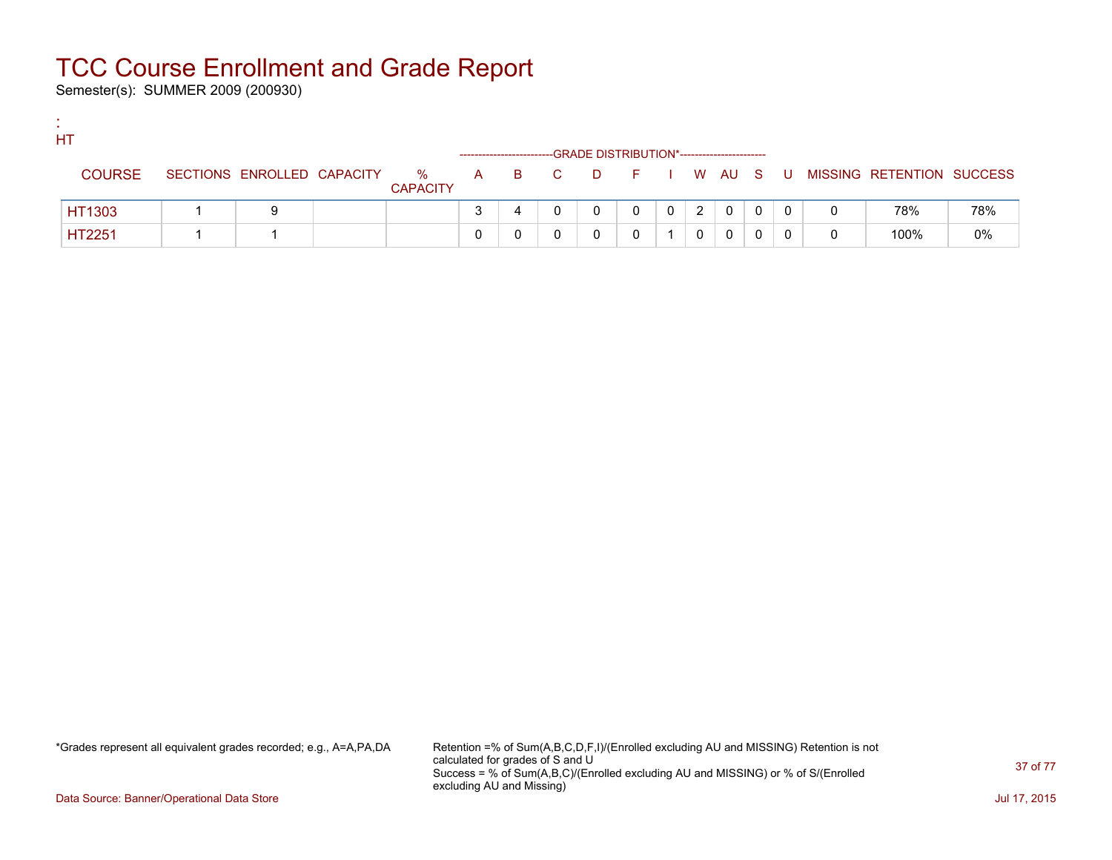Semester(s): SUMMER 2009 (200930)

:

| HT            |                            |                      |       | -GRADE DISTRIBUTION*----------------------- |              |   |   |  |                             |       |
|---------------|----------------------------|----------------------|-------|---------------------------------------------|--------------|---|---|--|-----------------------------|-------|
| <b>COURSE</b> | SECTIONS ENROLLED CAPACITY | %<br><b>CAPACITY</b> | A B C | DFIWAUS                                     |              |   |   |  | U MISSING RETENTION SUCCESS |       |
| HT1303        | 9                          |                      |       |                                             | $\mathbf{0}$ | 2 | 0 |  | 78%                         | 78%   |
| HT2251        |                            |                      |       |                                             |              |   | 0 |  | 100%                        | $0\%$ |

\*Grades represent all equivalent grades recorded; e.g., A=A,PA,DA Retention =% of Sum(A,B,C,D,F,I)/(Enrolled excluding AU and MISSING) Retention is not calculated for grades of S and U Success = % of Sum(A,B,C)/(Enrolled excluding AU and MISSING) or % of S/(Enrolled excluding AU and Missing)

Data Source: Banner/Operational Data Store Jul 17, 2015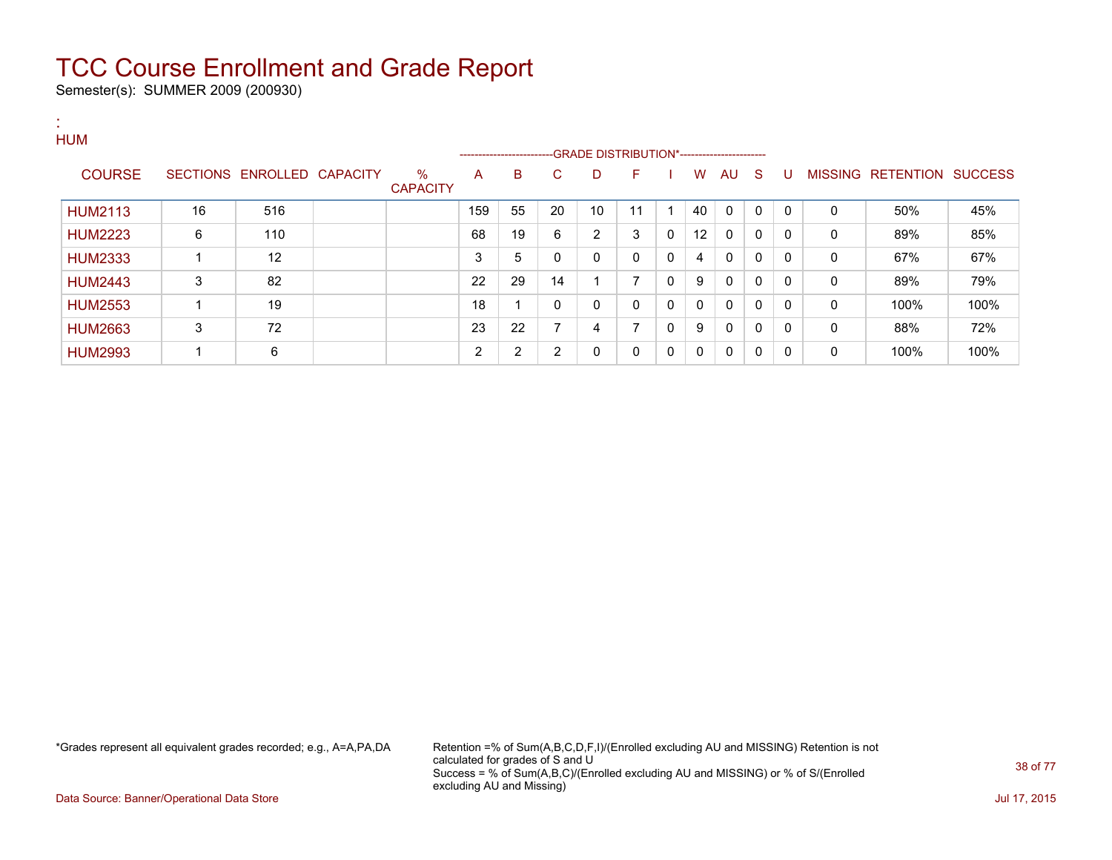Semester(s): SUMMER 2009 (200930)

:

#### **HUM** ---GRADE DISTRIBUTION\*------------------------COURSE SECTIONS ENROLLED CAPACITY % **CAPACITY** A B C D F I W AU S U MISSING RETENTION SUCCESS HUM2113 | 16 | 516 | | 159 | 55 | 20 | 10 | 11 | 1 | 40 | 0 | 0 | 0 | 0 | 50% | 45% HUM2223 | 6 | 110 | | 68 | 19 | 6 | 2 | 3 | 0 | 12 | 0 | 0 | 0 | 0 | 89% | 85% HUM2333 | 1 | 12 | | 3 | 5 | 0 | 0 | 0 | 4 | 0 | 0 | 0 | 0 | 67% | 67% HUM2443 3 82 22 29 14 1 7 0 9 0 0 0 0 89% 79% HUM2553 | 1 | 19 | | | 18 | 1 | 0 | 0 | 0 | 0 | 0 | 0 | 0 | 0 | 100% | 100% HUM2663 3 72 7 23 22 7 4 7 0 9 0 0 0 0 88% 72% HUM2993 | 1 | 6 | | | 2 | 2 | 0 | 0 | 0 | 0 | 0 | 0 | 0 | 100% | 100%

\*Grades represent all equivalent grades recorded; e.g., A=A,PA,DA Retention =% of Sum(A,B,C,D,F,I)/(Enrolled excluding AU and MISSING) Retention is not calculated for grades of S and U Success = % of Sum(A,B,C)/(Enrolled excluding AU and MISSING) or % of S/(Enrolled excluding AU and Missing)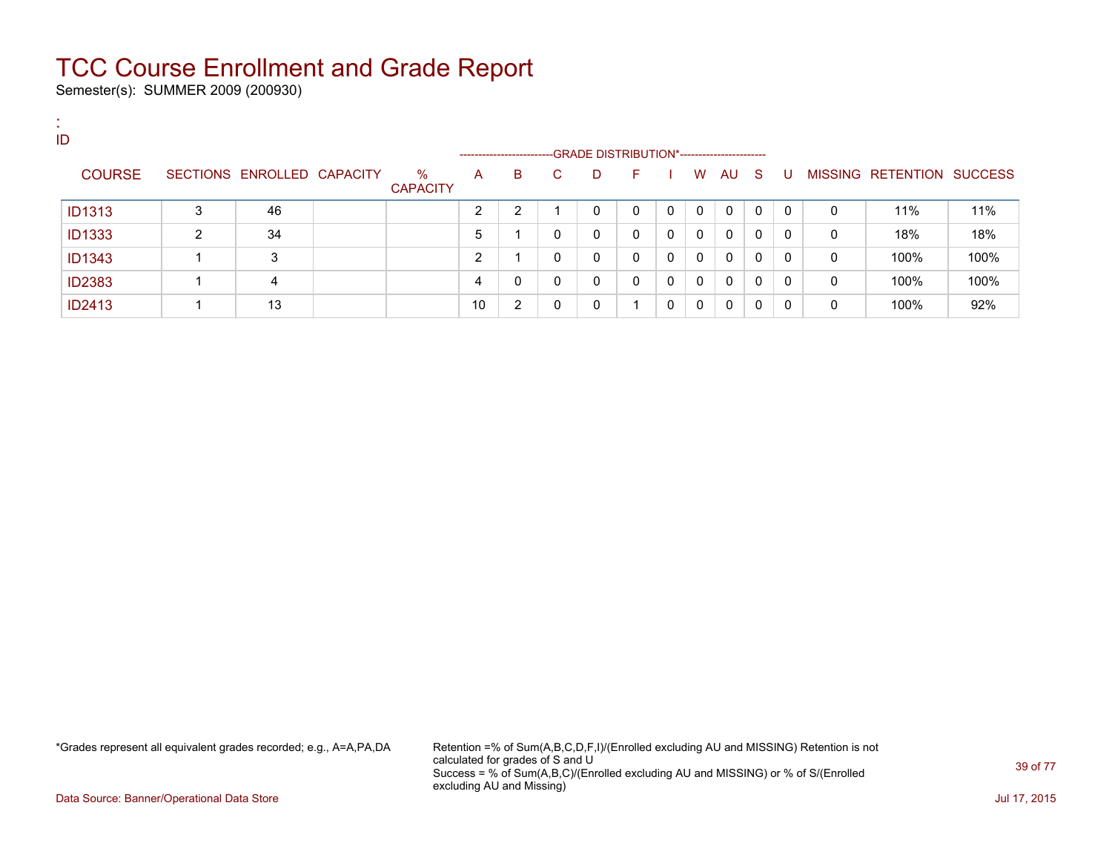Semester(s): SUMMER 2009 (200930)

:

| . .<br>ID     |   |                            |                         |    |                         |    |                                               |    |          |              |              |    |   |   |                           |      |
|---------------|---|----------------------------|-------------------------|----|-------------------------|----|-----------------------------------------------|----|----------|--------------|--------------|----|---|---|---------------------------|------|
|               |   |                            |                         |    | ----------------------- |    | --GRADE DISTRIBUTION*------------------------ |    |          |              |              |    |   |   |                           |      |
| <b>COURSE</b> |   | SECTIONS ENROLLED CAPACITY | $\%$<br><b>CAPACITY</b> | A  | B                       | C. | D                                             | F. |          | W            | AU           | -S | U |   | MISSING RETENTION SUCCESS |      |
| <b>ID1313</b> | 3 | 46                         |                         | ົ  | ົ                       |    | 0                                             | 0  |          | $\mathbf{0}$ | $\Omega$     | 0  | 0 | 0 | 11%                       | 11%  |
| <b>ID1333</b> | 2 | 34                         |                         | 5  |                         | 0  | 0                                             | 0  | $\Omega$ | 0            | $\Omega$     | 0  | 0 | 0 | 18%                       | 18%  |
| <b>ID1343</b> |   | 3                          |                         | ົ  |                         | 0  | 0                                             | 0  | $\Omega$ | 0            | $\mathbf{0}$ | 0  | 0 | 0 | 100%                      | 100% |
| <b>ID2383</b> |   |                            |                         |    | 0                       | 0  | 0                                             | 0  | $\Omega$ | $\mathbf{0}$ | $\mathbf{0}$ | 0  | 0 | 0 | 100%                      | 100% |
| <b>ID2413</b> |   | 13                         |                         | 10 | $\overline{2}$          | 0  | 0                                             |    | $\Omega$ | 0            | 0            | 0  | 0 | 0 | 100%                      | 92%  |

\*Grades represent all equivalent grades recorded; e.g., A=A,PA,DA Retention =% of Sum(A,B,C,D,F,I)/(Enrolled excluding AU and MISSING) Retention is not calculated for grades of S and U Success = % of Sum(A,B,C)/(Enrolled excluding AU and MISSING) or % of S/(Enrolled excluding AU and Missing)

Data Source: Banner/Operational Data Store Jul 17, 2015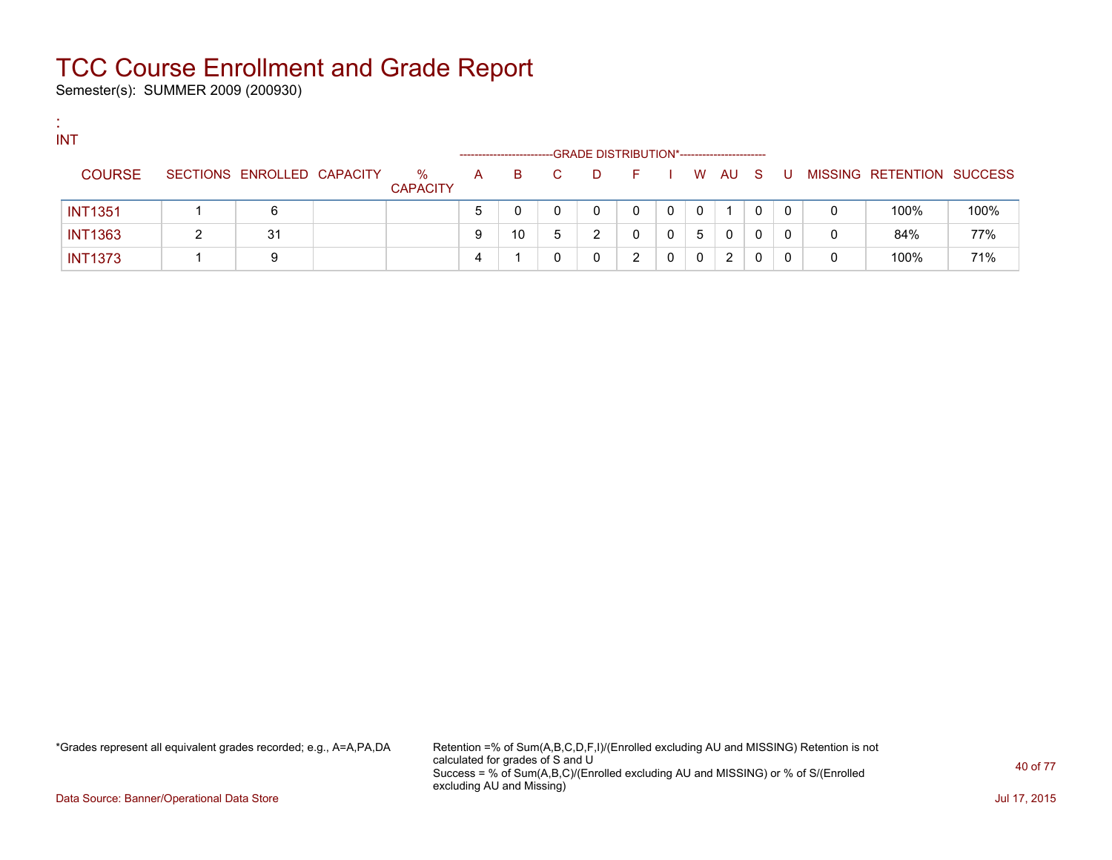Semester(s): SUMMER 2009 (200930)

:

| <b>INT</b>     |                            |                         |   | ---------------------- |    |   | -GRADE DISTRIBUTION*----------------------- |   |          |        |   |     |   |                           |      |
|----------------|----------------------------|-------------------------|---|------------------------|----|---|---------------------------------------------|---|----------|--------|---|-----|---|---------------------------|------|
| <b>COURSE</b>  | SECTIONS ENROLLED CAPACITY | $\%$<br><b>CAPACITY</b> | A | B.                     | C. | D | - F -                                       |   |          | W AU S |   | - U |   | MISSING RETENTION SUCCESS |      |
| <b>INT1351</b> | 6                          |                         |   |                        |    | 0 |                                             | 0 | $\Omega$ |        | 0 | 0   | 0 | 100%                      | 100% |
| <b>INT1363</b> | 31                         |                         |   | 10                     | 5  | 2 |                                             | 0 | 5        | 0      | 0 |     | 0 | 84%                       | 77%  |
| <b>INT1373</b> | 9                          |                         |   |                        |    | 0 |                                             | 0 | 0        | 2      |   |     |   | 100%                      | 71%  |

\*Grades represent all equivalent grades recorded; e.g., A=A,PA,DA Retention =% of Sum(A,B,C,D,F,I)/(Enrolled excluding AU and MISSING) Retention is not calculated for grades of S and U Success = % of Sum(A,B,C)/(Enrolled excluding AU and MISSING) or % of S/(Enrolled excluding AU and Missing)

Data Source: Banner/Operational Data Store Jul 17, 2015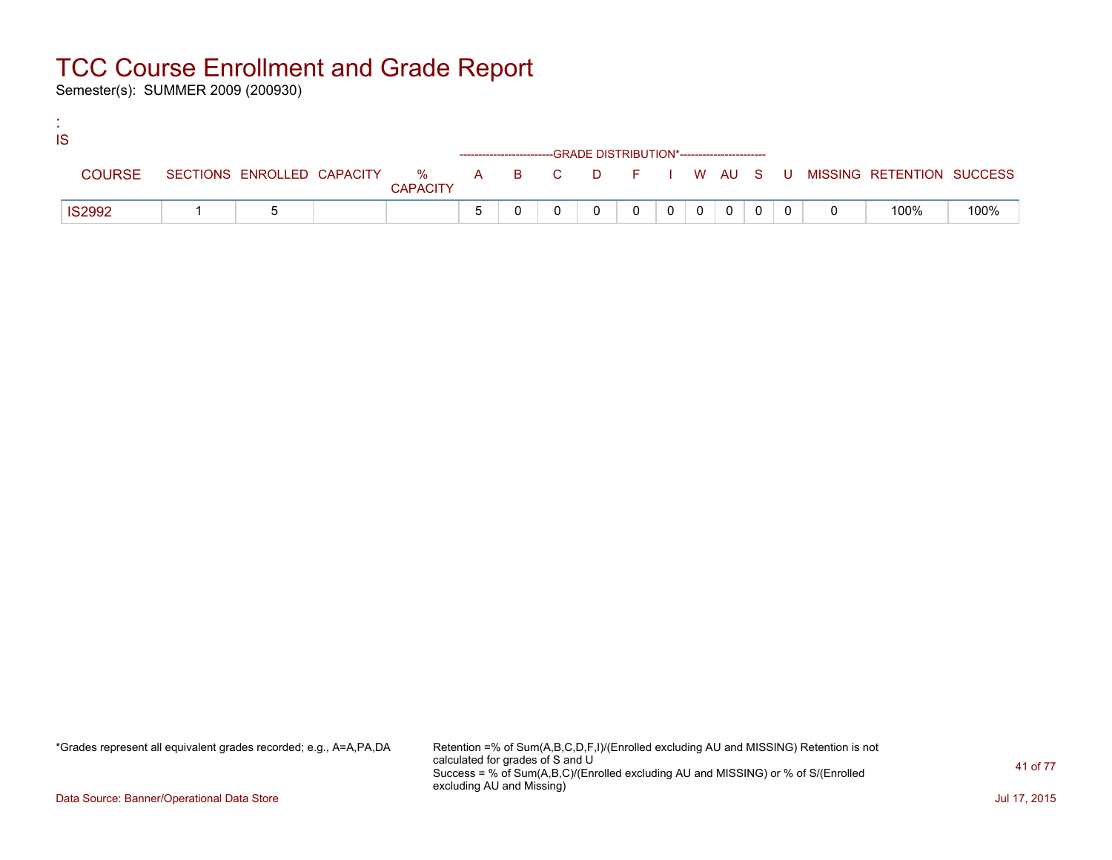Semester(s): SUMMER 2009 (200930)

:

| IS |               |  |                 |  |                                                                    |          |          |          |          |                                                                               |      |
|----|---------------|--|-----------------|--|--------------------------------------------------------------------|----------|----------|----------|----------|-------------------------------------------------------------------------------|------|
|    |               |  |                 |  | ------------------------GRADE DISTRIBUTION*----------------------- |          |          |          |          |                                                                               |      |
|    | <b>COURSE</b> |  | <b>CAPACITY</b> |  |                                                                    |          |          |          |          | SECTIONS ENROLLED CAPACITY 5 % A B C D F I W AU S U MISSING RETENTION SUCCESS |      |
|    | <b>IS2992</b> |  |                 |  |                                                                    | $\Omega$ | $\Omega$ | $\Omega$ | $\Omega$ | 100%                                                                          | 100% |

\*Grades represent all equivalent grades recorded; e.g., A=A,PA,DA Retention =% of Sum(A,B,C,D,F,I)/(Enrolled excluding AU and MISSING) Retention is not calculated for grades of S and U Success = % of Sum(A,B,C)/(Enrolled excluding AU and MISSING) or % of S/(Enrolled excluding AU and Missing)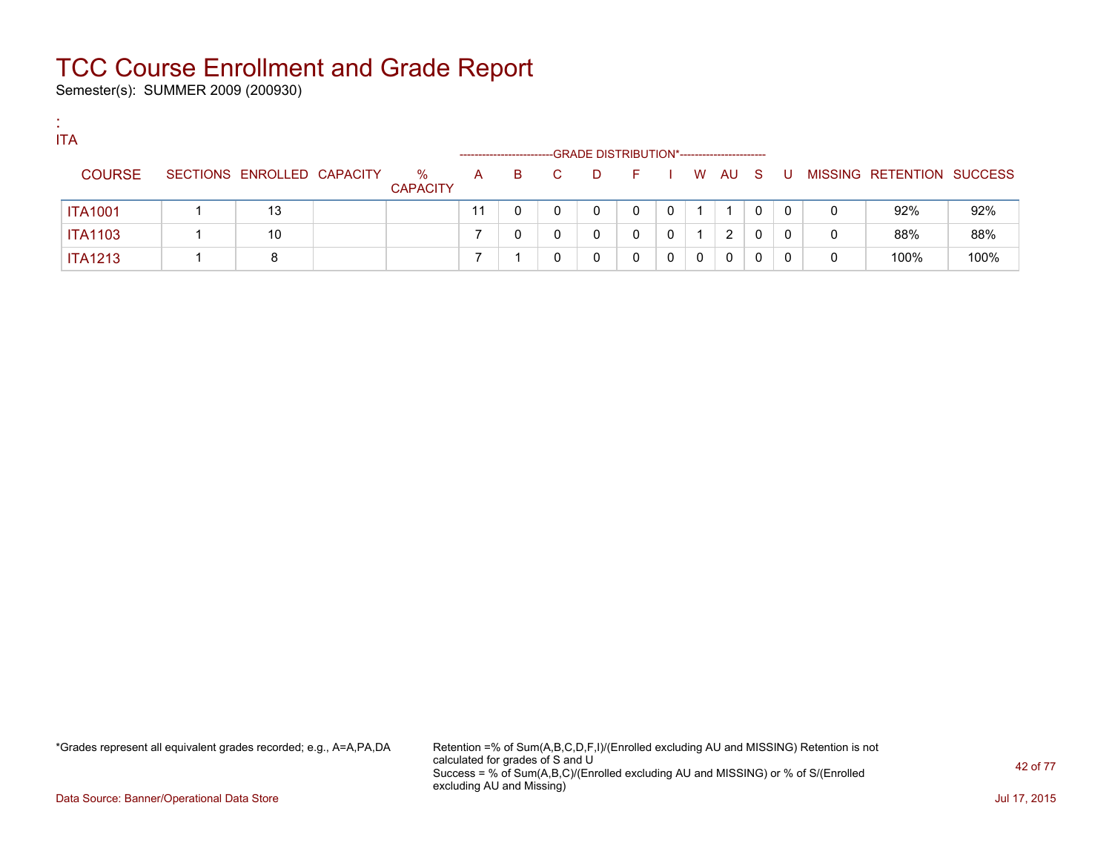Semester(s): SUMMER 2009 (200930)

:

| <b>ITA</b>     |                            |                         |                      |    |    |   |                                             |   |   |        |   |     |   |                           |      |
|----------------|----------------------------|-------------------------|----------------------|----|----|---|---------------------------------------------|---|---|--------|---|-----|---|---------------------------|------|
|                |                            |                         | -------------------- |    |    |   | -GRADE DISTRIBUTION*----------------------- |   |   |        |   |     |   |                           |      |
| <b>COURSE</b>  | SECTIONS ENROLLED CAPACITY | $\%$<br><b>CAPACITY</b> | A                    | B. | C. | D | -F.                                         |   |   | W AU S |   | . U |   | MISSING RETENTION SUCCESS |      |
| <b>ITA1001</b> | 13                         |                         |                      |    |    | 0 |                                             |   |   |        | 0 |     | 0 | 92%                       | 92%  |
| <b>ITA1103</b> | 10                         |                         |                      |    |    | 0 |                                             | 0 |   | 2      | 0 |     | 0 | 88%                       | 88%  |
| <b>ITA1213</b> | 8                          |                         |                      |    |    | 0 |                                             |   | 0 | 0      | 0 |     |   | 100%                      | 100% |

\*Grades represent all equivalent grades recorded; e.g., A=A,PA,DA Retention =% of Sum(A,B,C,D,F,I)/(Enrolled excluding AU and MISSING) Retention is not calculated for grades of S and U Success = % of Sum(A,B,C)/(Enrolled excluding AU and MISSING) or % of S/(Enrolled excluding AU and Missing)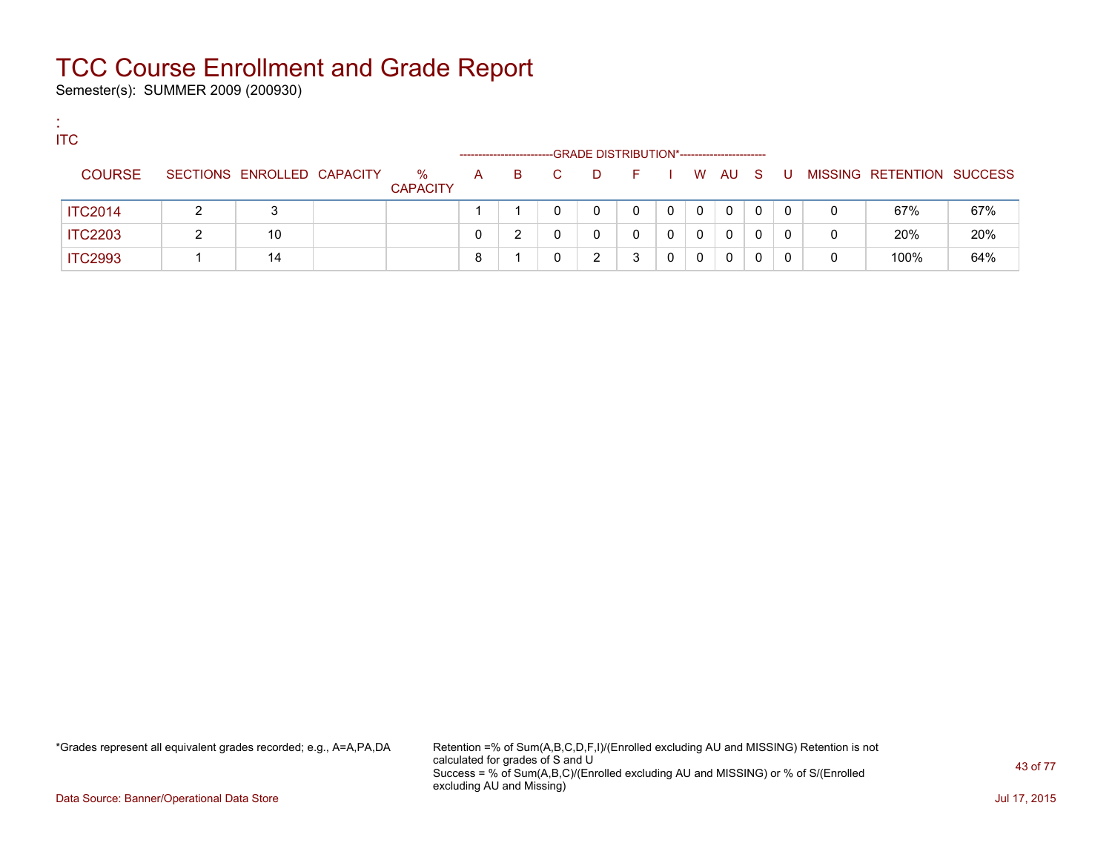Semester(s): SUMMER 2009 (200930)

:

| <b>ITC</b>     |                            |                      | -------------------- |    |    |   | -GRADE DISTRIBUTION*----------------------- |   |          |          |   |     |   |                           |     |
|----------------|----------------------------|----------------------|----------------------|----|----|---|---------------------------------------------|---|----------|----------|---|-----|---|---------------------------|-----|
| <b>COURSE</b>  | SECTIONS ENROLLED CAPACITY | %<br><b>CAPACITY</b> | A                    | B. | C. | D | - F 1                                       |   |          | W AU S   |   | . U |   | MISSING RETENTION SUCCESS |     |
| <b>ITC2014</b> | 3                          |                      |                      |    |    | 0 |                                             | 0 | $\Omega$ | $\Omega$ | 0 | 0   |   | 67%                       | 67% |
| <b>ITC2203</b> | 10                         |                      |                      | ົ  |    | 0 |                                             | 0 | 0        | $\Omega$ | 0 |     | 0 | 20%                       | 20% |
| <b>ITC2993</b> | 14                         |                      |                      |    |    | າ |                                             | 0 | 0        | 0        |   |     |   | 100%                      | 64% |

\*Grades represent all equivalent grades recorded; e.g., A=A,PA,DA Retention =% of Sum(A,B,C,D,F,I)/(Enrolled excluding AU and MISSING) Retention is not calculated for grades of S and U Success = % of Sum(A,B,C)/(Enrolled excluding AU and MISSING) or % of S/(Enrolled excluding AU and Missing)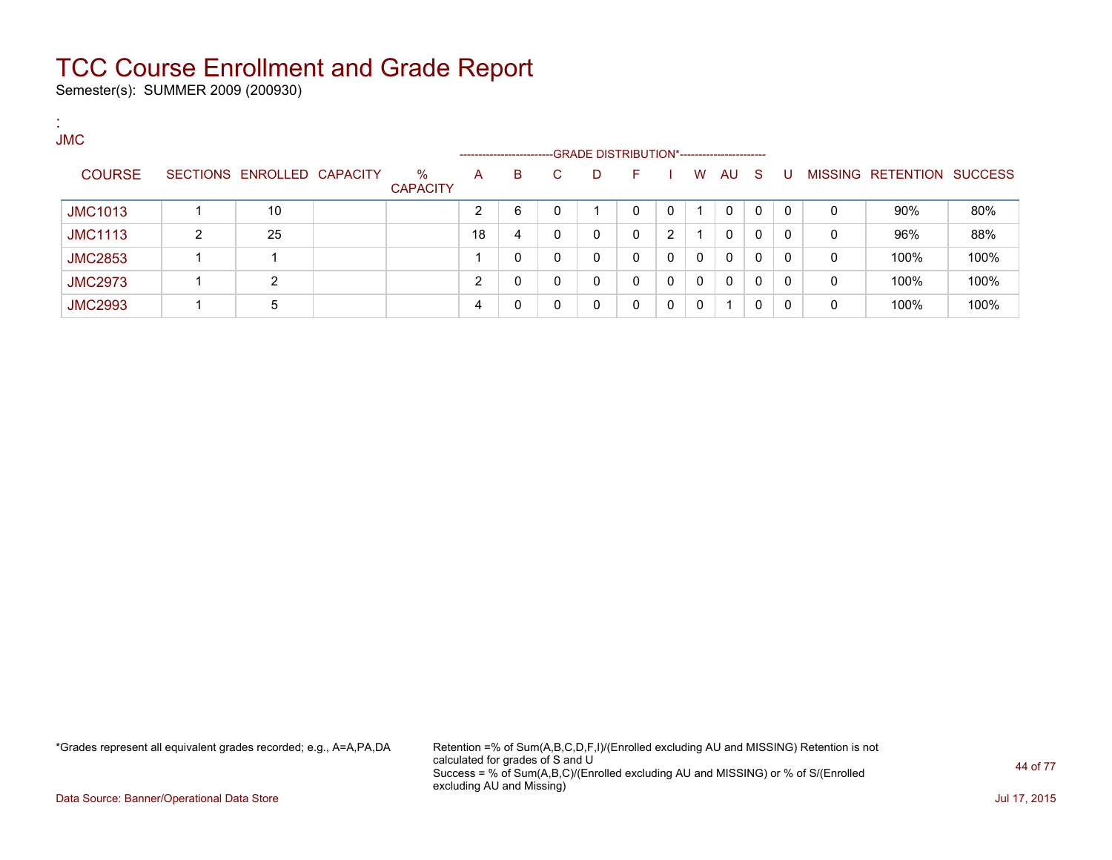Semester(s): SUMMER 2009 (200930)

:

| . .<br><b>JMC</b> |   |                            |                         |    |                             |    |   |                                                 |          |              |              |    |   |   |                                  |      |
|-------------------|---|----------------------------|-------------------------|----|-----------------------------|----|---|-------------------------------------------------|----------|--------------|--------------|----|---|---|----------------------------------|------|
| <b>COURSE</b>     |   | SECTIONS ENROLLED CAPACITY | $\%$<br><b>CAPACITY</b> | A  | ----------------------<br>B | C. | D | -GRADE DISTRIBUTION*----------------------<br>F |          | W            | AU           | -S | U |   | <b>MISSING RETENTION SUCCESS</b> |      |
| <b>JMC1013</b>    |   | 10                         |                         | ົ  | 6                           | 0  |   | 0                                               |          |              | 0            | 0  | 0 | 0 | $90\%$                           | 80%  |
| <b>JMC1113</b>    | 2 | 25                         |                         | 18 | 4                           | 0  | 0 | 0                                               | 2        |              | 0            | 0  | 0 | 0 | 96%                              | 88%  |
| <b>JMC2853</b>    |   |                            |                         |    | 0                           | 0  | 0 | 0                                               | $\Omega$ | 0            | $\mathbf{0}$ | 0  | 0 | 0 | 100%                             | 100% |
| <b>JMC2973</b>    |   | ົ                          |                         | ົ  | 0                           | 0  | 0 | 0                                               | - 0      | $\mathbf{0}$ | $\mathbf{0}$ | 0  | 0 | 0 | 100%                             | 100% |
| <b>JMC2993</b>    |   | 5                          |                         |    | 0                           | 0  |   | 0                                               | - 0      | 0            |              |    | 0 | 0 | 100%                             | 100% |

\*Grades represent all equivalent grades recorded; e.g., A=A,PA,DA Retention =% of Sum(A,B,C,D,F,I)/(Enrolled excluding AU and MISSING) Retention is not calculated for grades of S and U Success = % of Sum(A,B,C)/(Enrolled excluding AU and MISSING) or % of S/(Enrolled excluding AU and Missing)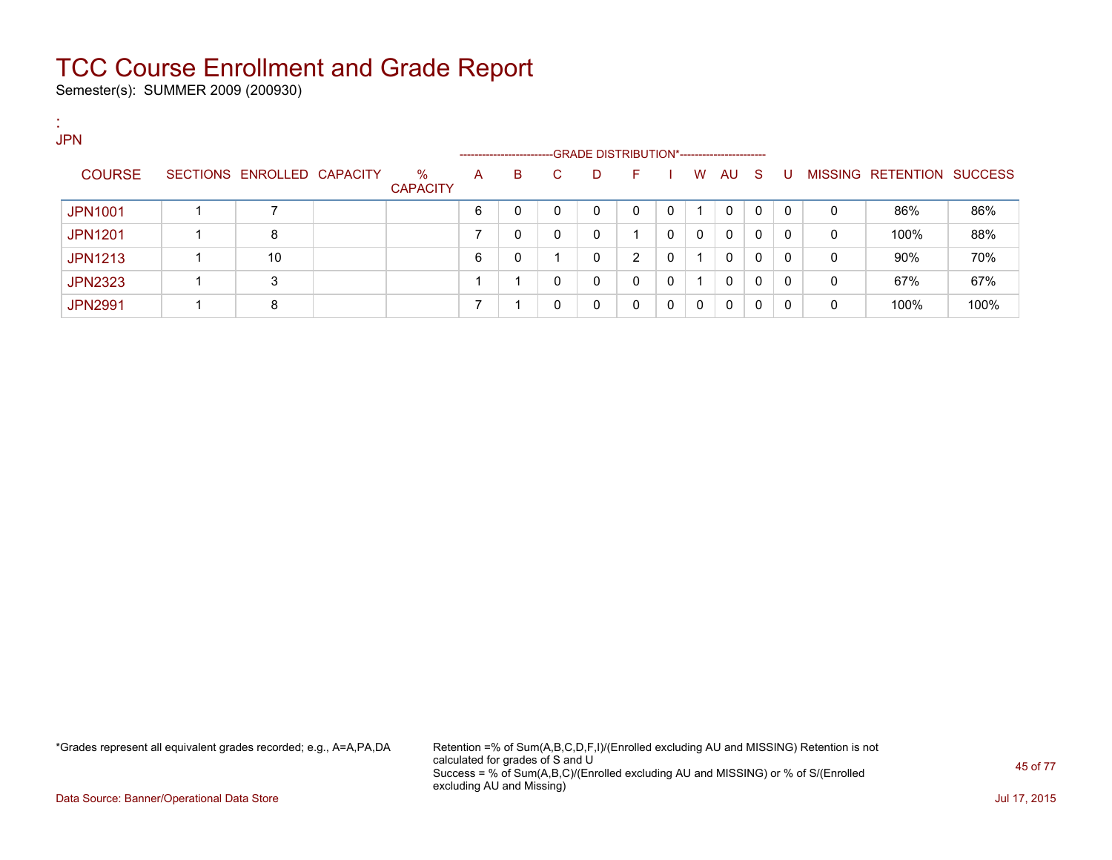Semester(s): SUMMER 2009 (200930)

:

| <b>JPN</b>     |                            |                         |   | ---------------------- |    | -GRADE DISTRIBUTION*----------------------- |              |              |          |              |     |              |   |                           |      |
|----------------|----------------------------|-------------------------|---|------------------------|----|---------------------------------------------|--------------|--------------|----------|--------------|-----|--------------|---|---------------------------|------|
| <b>COURSE</b>  | SECTIONS ENROLLED CAPACITY | $\%$<br><b>CAPACITY</b> | A | в                      | C. | D                                           | F.           |              | W        | AU           | - S | -U           |   | MISSING RETENTION SUCCESS |      |
| <b>JPN1001</b> |                            |                         | 6 | 0                      |    | 0                                           | $\mathbf{0}$ | $\mathbf{0}$ |          | 0            | 0   | $\mathbf{0}$ | 0 | 86%                       | 86%  |
| <b>JPN1201</b> | 8                          |                         |   | 0                      | 0  | 0                                           |              | $\Omega$     | $\Omega$ | 0            | 0   | $\Omega$     | 0 | 100%                      | 88%  |
| <b>JPN1213</b> | 10                         |                         | 6 | 0                      |    | 0                                           | 2            | $\Omega$     | 1.       | $\mathbf{0}$ | 0   | $\Omega$     | 0 | $90\%$                    | 70%  |
| <b>JPN2323</b> | 3                          |                         |   |                        | 0  | 0                                           | 0            | $\mathbf{0}$ |          | $\mathbf{0}$ | 0   | $\Omega$     | 0 | 67%                       | 67%  |
| <b>JPN2991</b> | 8                          |                         |   |                        |    | 0                                           | $\Omega$     | $\Omega$     | $\Omega$ | 0            | 0   | $\Omega$     | 0 | 100%                      | 100% |

\*Grades represent all equivalent grades recorded; e.g., A=A,PA,DA Retention =% of Sum(A,B,C,D,F,I)/(Enrolled excluding AU and MISSING) Retention is not calculated for grades of S and U Success = % of Sum(A,B,C)/(Enrolled excluding AU and MISSING) or % of S/(Enrolled excluding AU and Missing)

Data Source: Banner/Operational Data Store Jul 17, 2015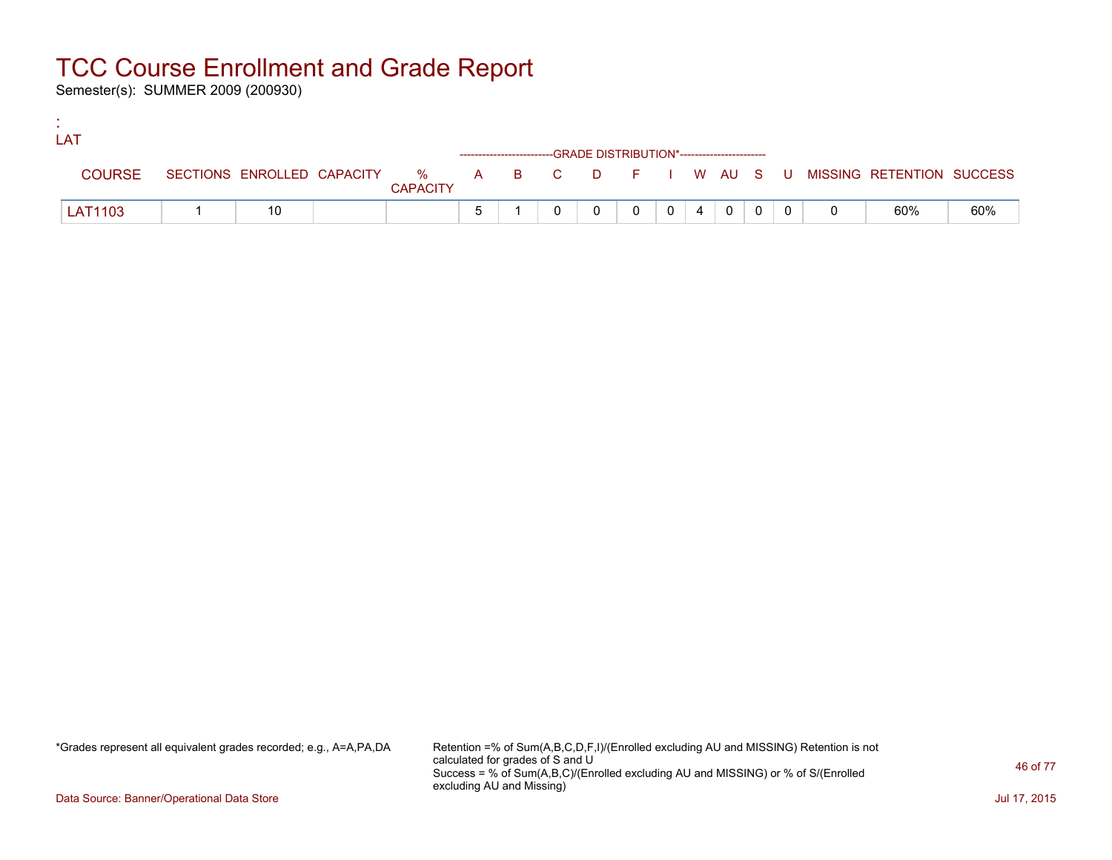Semester(s): SUMMER 2009 (200930)

:

| LAT            |    |                 |  |                                                                    |                |          |   |  |                                                                               |     |
|----------------|----|-----------------|--|--------------------------------------------------------------------|----------------|----------|---|--|-------------------------------------------------------------------------------|-----|
|                |    |                 |  | ------------------------GRADE DISTRIBUTION*----------------------- |                |          |   |  |                                                                               |     |
| <b>COURSE</b>  |    | <b>CAPACITY</b> |  |                                                                    |                |          |   |  | SECTIONS ENROLLED CAPACITY 5 % A B C D F I W AU S U MISSING RETENTION SUCCESS |     |
| <b>LAT1103</b> | 10 |                 |  |                                                                    | 0 <sup>1</sup> | $\sim$ 4 | 0 |  | 60%                                                                           | 60% |

\*Grades represent all equivalent grades recorded; e.g., A=A,PA,DA Retention =% of Sum(A,B,C,D,F,I)/(Enrolled excluding AU and MISSING) Retention is not calculated for grades of S and U Success = % of Sum(A,B,C)/(Enrolled excluding AU and MISSING) or % of S/(Enrolled excluding AU and Missing)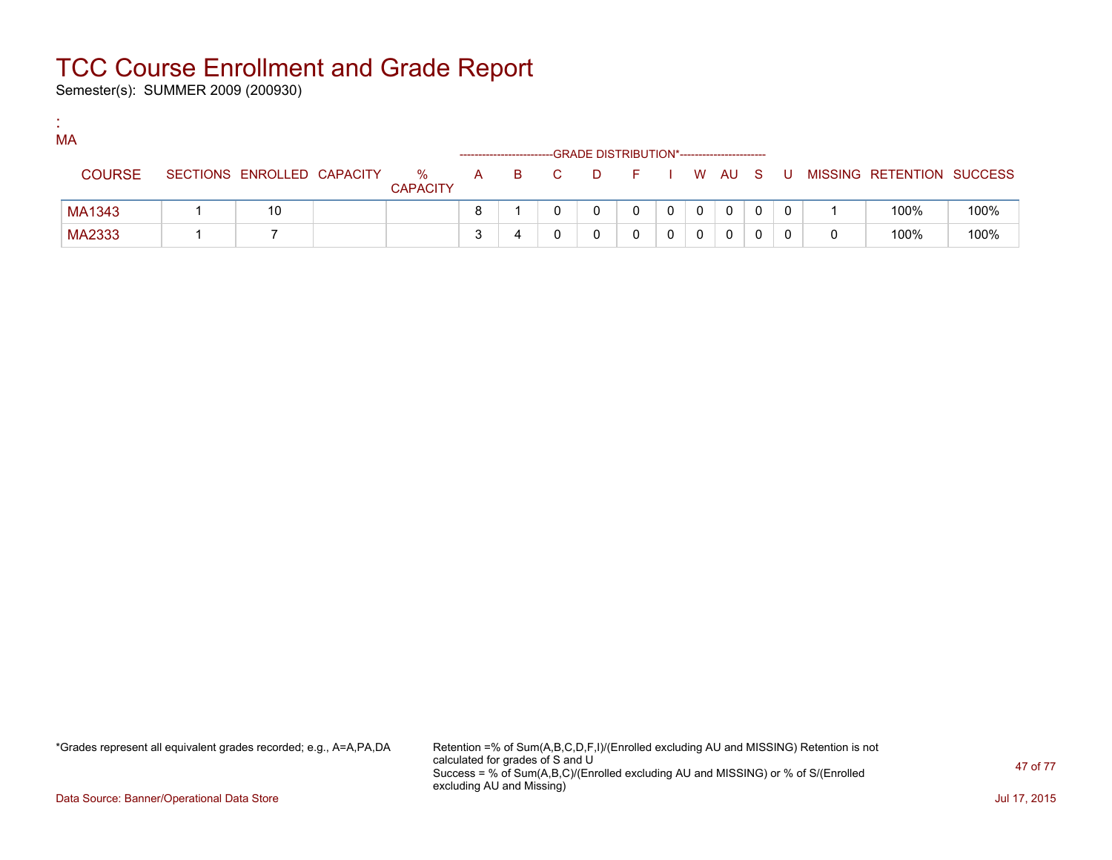Semester(s): SUMMER 2009 (200930)

:

| <b>MA</b>     |                            |                         |                                                                                                                                                                                                                                |     |          |            |   |              |     |                           |      |
|---------------|----------------------------|-------------------------|--------------------------------------------------------------------------------------------------------------------------------------------------------------------------------------------------------------------------------|-----|----------|------------|---|--------------|-----|---------------------------|------|
| <b>COURSE</b> | SECTIONS ENROLLED CAPACITY | $\%$<br><b>CAPACITY</b> | A and a set of the set of the set of the set of the set of the set of the set of the set of the set of the set of the set of the set of the set of the set of the set of the set of the set of the set of the set of the set o | B C | <b>D</b> | F I W AU S |   |              | -U. | MISSING RETENTION SUCCESS |      |
| MA1343        | 10                         |                         |                                                                                                                                                                                                                                |     |          | 0          | 0 | $\mathbf{0}$ |     | 100%                      | 100% |
| MA2333        |                            |                         |                                                                                                                                                                                                                                |     |          |            |   | 0            |     | 100%                      | 100% |

\*Grades represent all equivalent grades recorded; e.g., A=A,PA,DA Retention =% of Sum(A,B,C,D,F,I)/(Enrolled excluding AU and MISSING) Retention is not calculated for grades of S and U Success = % of Sum(A,B,C)/(Enrolled excluding AU and MISSING) or % of S/(Enrolled excluding AU and Missing)

Data Source: Banner/Operational Data Store Jul 17, 2015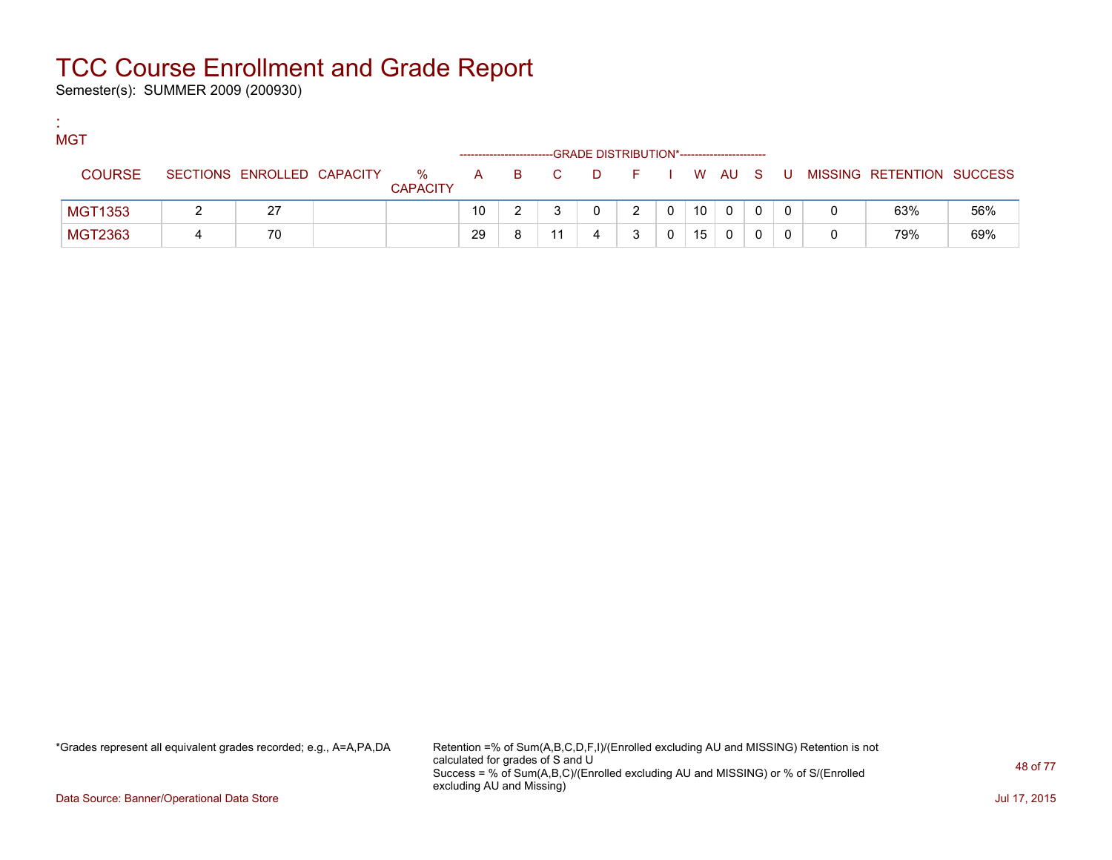Semester(s): SUMMER 2009 (200930)

:

| <b>MGT</b>     |                            |                         |                                                                                                                                                                                                                                |   |     | -GRADE DISTRIBUTION*----------------------- |               |   |    |              |   |                           |     |
|----------------|----------------------------|-------------------------|--------------------------------------------------------------------------------------------------------------------------------------------------------------------------------------------------------------------------------|---|-----|---------------------------------------------|---------------|---|----|--------------|---|---------------------------|-----|
| <b>COURSE</b>  | SECTIONS ENROLLED CAPACITY | $\%$<br><b>CAPACITY</b> | A and a set of the set of the set of the set of the set of the set of the set of the set of the set of the set of the set of the set of the set of the set of the set of the set of the set of the set of the set of the set o |   | B C | <b>D</b>                                    | FIWAUS        |   |    |              | U | MISSING RETENTION SUCCESS |     |
| <b>MGT1353</b> | 27                         |                         | 10                                                                                                                                                                                                                             |   |     |                                             | $\mathcal{P}$ | 0 | 10 | $\mathbf{0}$ |   | 63%                       | 56% |
| MGT2363        | 70                         |                         | 29                                                                                                                                                                                                                             | 8 |     |                                             |               |   | 15 | 0            |   | 79%                       | 69% |

\*Grades represent all equivalent grades recorded; e.g., A=A,PA,DA Retention =% of Sum(A,B,C,D,F,I)/(Enrolled excluding AU and MISSING) Retention is not calculated for grades of S and U Success = % of Sum(A,B,C)/(Enrolled excluding AU and MISSING) or % of S/(Enrolled excluding AU and Missing)

Data Source: Banner/Operational Data Store Jul 17, 2015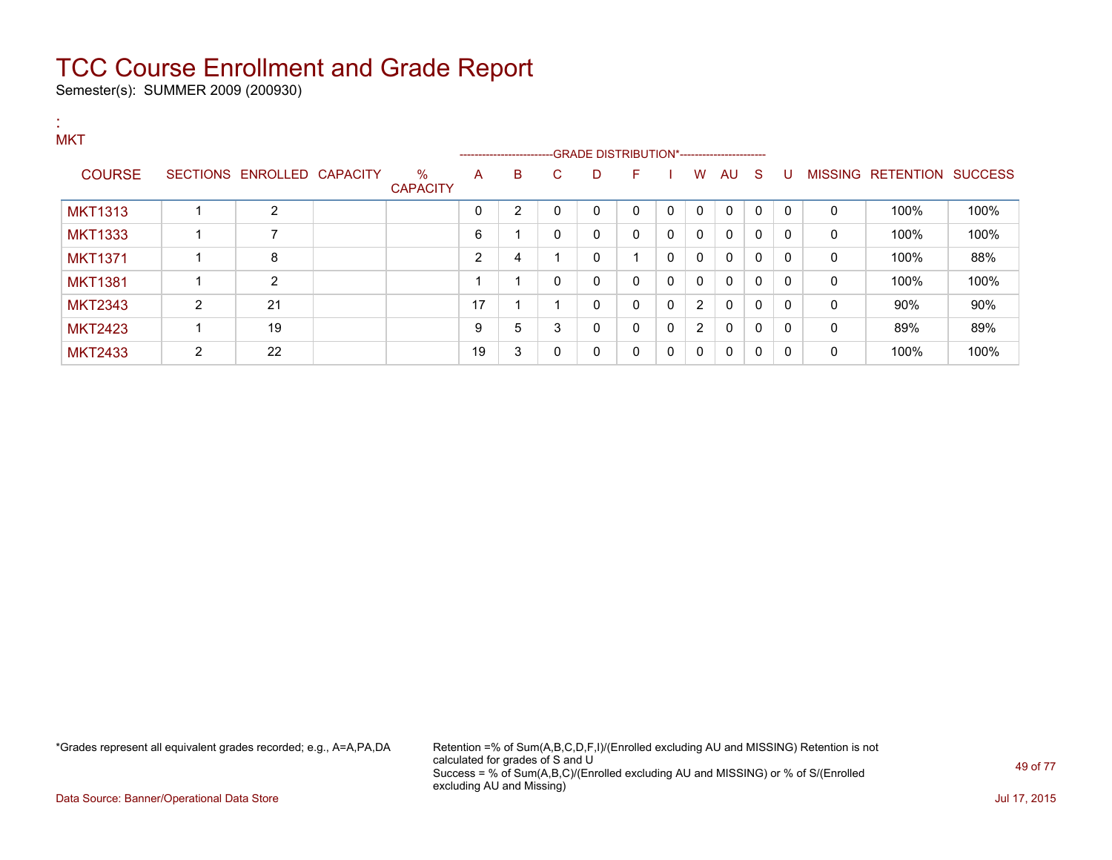Semester(s): SUMMER 2009 (200930)

:

| <b>MKT</b>     |                |                            |                         |                | -----------------------GRADE DISTRIBUTION*----------------------- |              |   |              |              |              |              |              |              |              |                           |      |
|----------------|----------------|----------------------------|-------------------------|----------------|-------------------------------------------------------------------|--------------|---|--------------|--------------|--------------|--------------|--------------|--------------|--------------|---------------------------|------|
| <b>COURSE</b>  |                | SECTIONS ENROLLED CAPACITY | $\%$<br><b>CAPACITY</b> | A              | B                                                                 | $\mathbf{C}$ | D | F            |              | W            | AU           | - S          | U            |              | MISSING RETENTION SUCCESS |      |
| <b>MKT1313</b> |                | 2                          |                         | 0              | 2                                                                 | $\mathbf 0$  | 0 | $\mathbf{0}$ | $\mathbf{0}$ | $\mathbf{0}$ | 0            | 0            | $\mathbf{0}$ | 0            | 100%                      | 100% |
| <b>MKT1333</b> |                |                            |                         | 6              |                                                                   | $\mathbf{0}$ | 0 | $\mathbf{0}$ | $\Omega$     | $\mathbf{0}$ | $\mathbf{0}$ | $\mathbf{0}$ | $\mathbf{0}$ | 0            | 100%                      | 100% |
| <b>MKT1371</b> |                | 8                          |                         | $\overline{2}$ | 4                                                                 |              | 0 |              | 0            | $\mathbf{0}$ | $\mathbf{0}$ | $\mathbf{0}$ | $\mathbf{0}$ | $\mathbf{0}$ | 100%                      | 88%  |
| <b>MKT1381</b> |                | $\overline{2}$             |                         |                |                                                                   | $\mathbf{0}$ | 0 | $\Omega$     | $\Omega$     | $\mathbf{0}$ | $\mathbf{0}$ | $\mathbf{0}$ | 0            | 0            | 100%                      | 100% |
| <b>MKT2343</b> | $\overline{2}$ | 21                         |                         | 17             |                                                                   |              | 0 | $\Omega$     | $\Omega$     | 2            | $\mathbf{0}$ | 0            | 0            | 0            | 90%                       | 90%  |
| <b>MKT2423</b> |                | 19                         |                         | 9              | 5                                                                 | 3            | 0 | $\Omega$     | $\Omega$     | 2            | $\mathbf{0}$ | 0            | 0            | $\mathbf{0}$ | 89%                       | 89%  |
| <b>MKT2433</b> | 2              | 22                         |                         | 19             | 3                                                                 | $\mathbf{0}$ | 0 | $\mathbf{0}$ | 0            | $\mathbf{0}$ | $\mathbf{0}$ | $\mathbf{0}$ | $\mathbf{0}$ | $\mathbf{0}$ | 100%                      | 100% |

\*Grades represent all equivalent grades recorded; e.g., A=A,PA,DA Retention =% of Sum(A,B,C,D,F,I)/(Enrolled excluding AU and MISSING) Retention is not calculated for grades of S and U Success = % of Sum(A,B,C)/(Enrolled excluding AU and MISSING) or % of S/(Enrolled excluding AU and Missing)

Data Source: Banner/Operational Data Store Jul 17, 2015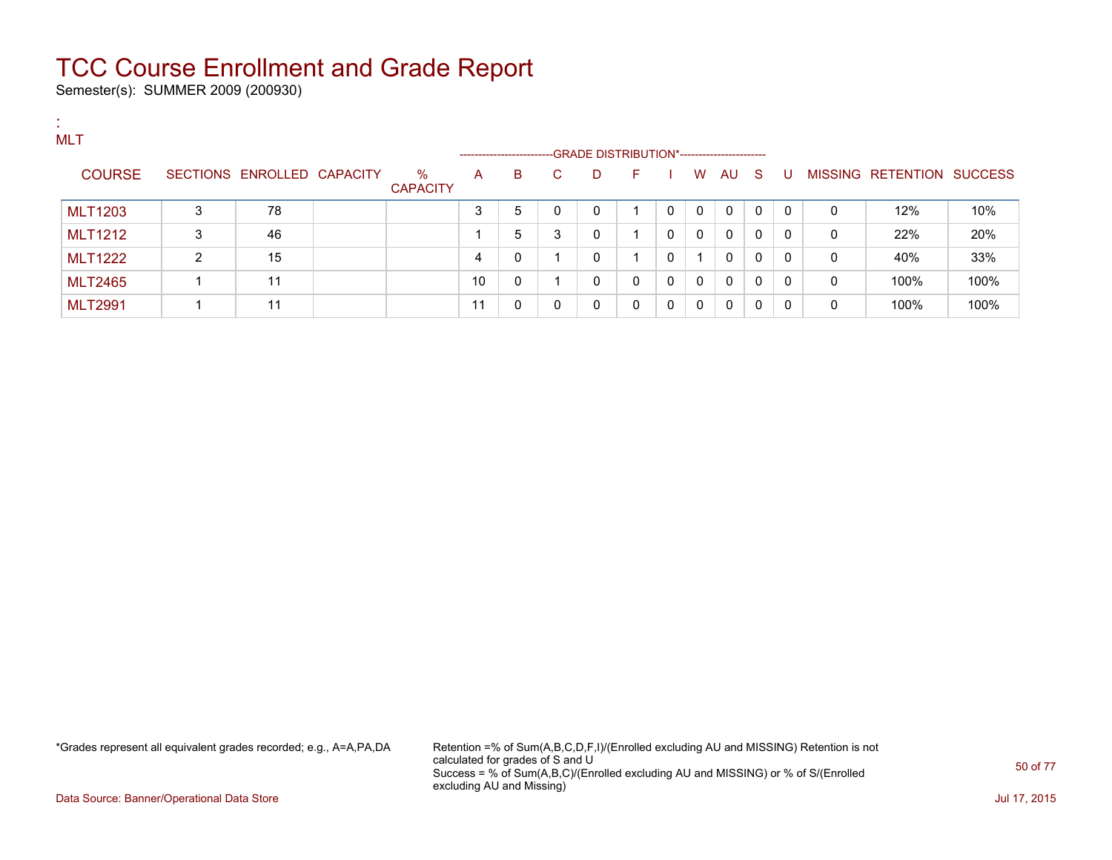Semester(s): SUMMER 2009 (200930)

| п.<br><b>Contract</b><br>MLT |                |   |                            |                      |    | ---------------------- |              | --GRADE DISTRIBUTION*----------------------- |          |              |              |              |              |                |              |                           |      |
|------------------------------|----------------|---|----------------------------|----------------------|----|------------------------|--------------|----------------------------------------------|----------|--------------|--------------|--------------|--------------|----------------|--------------|---------------------------|------|
|                              | <b>COURSE</b>  |   | SECTIONS ENROLLED CAPACITY | %<br><b>CAPACITY</b> | A  | B                      | C.           | D                                            | F.       |              | W            | AU S         |              | U              |              | MISSING RETENTION SUCCESS |      |
|                              | <b>MLT1203</b> | 3 | 78                         |                      | 3  | 5                      | $\mathbf{0}$ | 0                                            |          | $\Omega$     | $\mathbf{0}$ | $\mathbf{0}$ | $\Omega$     | $\mathbf{0}$   | $\mathbf{0}$ | 12%                       | 10%  |
|                              | <b>MLT1212</b> | 3 | 46                         |                      |    | 5                      | 3            | 0                                            |          | $\Omega$     | $\Omega$     | $\mathbf{0}$ | $\mathbf{0}$ | $\mathbf{0}$   | $\mathbf{0}$ | 22%                       | 20%  |
|                              | <b>MLT1222</b> | 2 | 15                         |                      | 4  | 0                      |              | 0                                            |          | $\mathbf{0}$ |              | $\mathbf{0}$ | $\mathbf{0}$ | $\Omega$       | $\mathbf{0}$ | 40%                       | 33%  |
|                              | <b>MLT2465</b> |   | 11                         |                      | 10 | 0                      |              | $\mathbf{0}$                                 | $\Omega$ | $\mathbf 0$  | $\Omega$     | $\mathbf{0}$ | $\Omega$     | $\overline{0}$ | $\mathbf{0}$ | 100%                      | 100% |
|                              | <b>MLT2991</b> |   | 11                         |                      | 11 | 0                      | 0            | 0                                            | $\Omega$ | $\mathbf{0}$ | 0            | 0            | $\Omega$     | $\Omega$       | 0            | 100%                      | 100% |

\*Grades represent all equivalent grades recorded; e.g., A=A,PA,DA Retention =% of Sum(A,B,C,D,F,I)/(Enrolled excluding AU and MISSING) Retention is not calculated for grades of S and U Success = % of Sum(A,B,C)/(Enrolled excluding AU and MISSING) or % of S/(Enrolled excluding AU and Missing)

Data Source: Banner/Operational Data Store Jul 17, 2015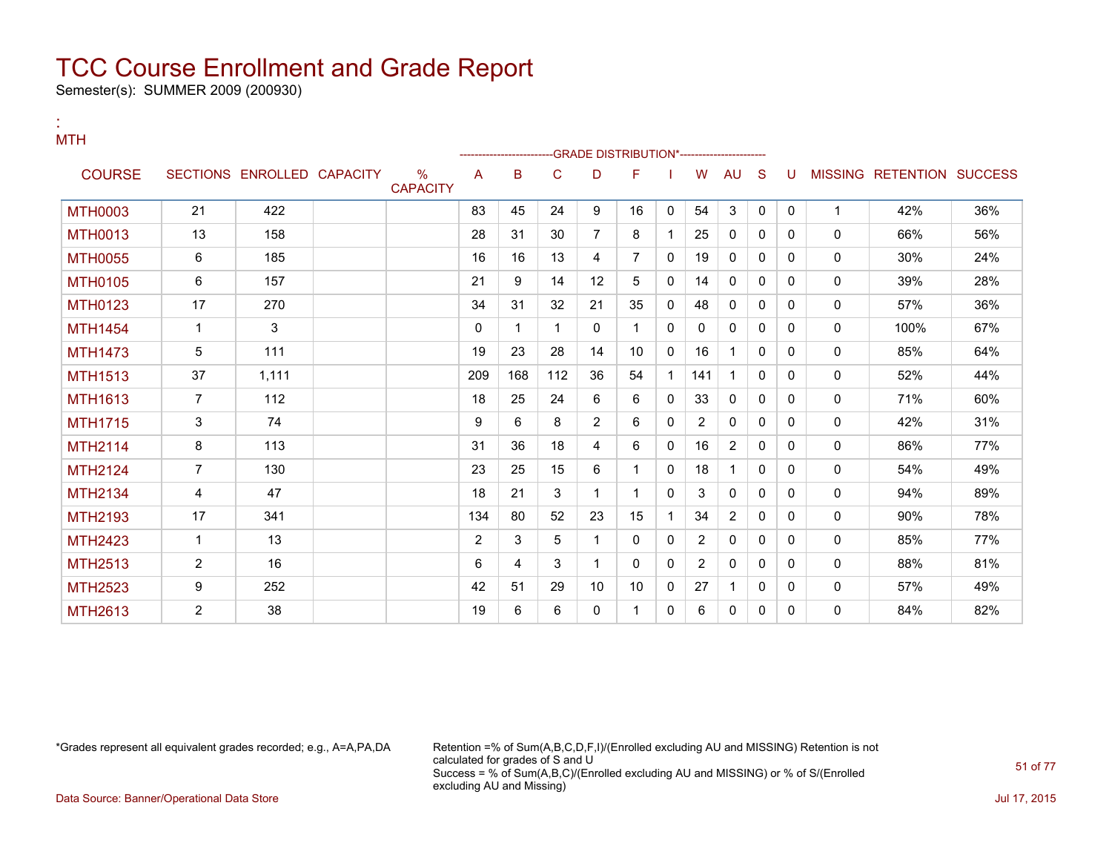Semester(s): SUMMER 2009 (200930)

| <b>MTH</b>     |                |                            |                                  |              |     |     |                | -GRADE DISTRIBUTION*---------------------- |              |                |                |             |          |              |                           |     |
|----------------|----------------|----------------------------|----------------------------------|--------------|-----|-----|----------------|--------------------------------------------|--------------|----------------|----------------|-------------|----------|--------------|---------------------------|-----|
| <b>COURSE</b>  |                | SECTIONS ENROLLED CAPACITY | $\frac{0}{0}$<br><b>CAPACITY</b> | A            | B   | C   | D              | F                                          |              | W              | <b>AU</b>      | S           | U        |              | MISSING RETENTION SUCCESS |     |
| <b>MTH0003</b> | 21             | 422                        |                                  | 83           | 45  | 24  | 9              | 16                                         | $\mathbf{0}$ | 54             | 3              | $\Omega$    | $\Omega$ | $\mathbf{1}$ | 42%                       | 36% |
| <b>MTH0013</b> | 13             | 158                        |                                  | 28           | 31  | 30  | 7              | 8                                          |              | 25             | $\mathbf{0}$   | $\mathbf 0$ | $\Omega$ | $\mathbf{0}$ | 66%                       | 56% |
| <b>MTH0055</b> | 6              | 185                        |                                  | 16           | 16  | 13  | 4              | $\overline{7}$                             | $\mathbf{0}$ | 19             | $\mathbf{0}$   | $\mathbf 0$ | 0        | $\mathbf{0}$ | 30%                       | 24% |
| <b>MTH0105</b> | 6              | 157                        |                                  | 21           | 9   | 14  | 12             | 5                                          | 0            | 14             | $\mathbf{0}$   | 0           | $\Omega$ | $\mathbf{0}$ | 39%                       | 28% |
| <b>MTH0123</b> | 17             | 270                        |                                  | 34           | 31  | 32  | 21             | 35                                         | $\Omega$     | 48             | $\mathbf{0}$   | $\Omega$    | $\Omega$ | $\mathbf{0}$ | 57%                       | 36% |
| <b>MTH1454</b> | $\mathbf{1}$   | 3                          |                                  | $\mathbf{0}$ | 1   | 1   | 0              |                                            | $\mathbf{0}$ | $\mathbf{0}$   | $\mathbf{0}$   | 0           | $\Omega$ | $\mathbf{0}$ | 100%                      | 67% |
| <b>MTH1473</b> | 5              | 111                        |                                  | 19           | 23  | 28  | 14             | 10                                         | $\mathbf{0}$ | 16             | 1              | 0           | $\Omega$ | $\mathbf{0}$ | 85%                       | 64% |
| <b>MTH1513</b> | 37             | 1,111                      |                                  | 209          | 168 | 112 | 36             | 54                                         | 1            | 141            | 1              | 0           | 0        | 0            | 52%                       | 44% |
| <b>MTH1613</b> | $\overline{7}$ | 112                        |                                  | 18           | 25  | 24  | 6              | 6                                          | 0            | 33             | 0              | 0           | $\Omega$ | 0            | 71%                       | 60% |
| <b>MTH1715</b> | 3              | 74                         |                                  | 9            | 6   | 8   | $\overline{2}$ | 6                                          | $\Omega$     | 2              | $\mathbf{0}$   | $\Omega$    | $\Omega$ | $\mathbf{0}$ | 42%                       | 31% |
| <b>MTH2114</b> | 8              | 113                        |                                  | 31           | 36  | 18  | 4              | 6                                          | 0            | 16             | $\overline{2}$ | 0           | $\Omega$ | 0            | 86%                       | 77% |
| <b>MTH2124</b> | $\overline{7}$ | 130                        |                                  | 23           | 25  | 15  | 6              |                                            | $\Omega$     | 18             | 1              | 0           | $\Omega$ | $\mathbf{0}$ | 54%                       | 49% |
| <b>MTH2134</b> | 4              | 47                         |                                  | 18           | 21  | 3   | 1              |                                            | $\Omega$     | 3              | 0              | 0           | 0        | $\mathbf{0}$ | 94%                       | 89% |
| <b>MTH2193</b> | 17             | 341                        |                                  | 134          | 80  | 52  | 23             | 15                                         | 1            | 34             | $\overline{2}$ | 0           | 0        | 0            | 90%                       | 78% |
| <b>MTH2423</b> | $\mathbf{1}$   | 13                         |                                  | 2            | 3   | 5   | 1              | 0                                          | $\Omega$     | 2              | $\mathbf{0}$   | $\Omega$    | $\Omega$ | $\mathbf{0}$ | 85%                       | 77% |
| <b>MTH2513</b> | $\overline{2}$ | 16                         |                                  | 6            | 4   | 3   | 1              | $\mathbf{0}$                               | $\Omega$     | $\overline{2}$ | $\mathbf{0}$   | 0           | $\Omega$ | 0            | 88%                       | 81% |
| <b>MTH2523</b> | 9              | 252                        |                                  | 42           | 51  | 29  | 10             | 10                                         | $\Omega$     | 27             | 1              | $\Omega$    | $\Omega$ | $\mathbf{0}$ | 57%                       | 49% |
| MTH2613        | $\overline{2}$ | 38                         |                                  | 19           | 6   | 6   | 0              |                                            | 0            | 6              | 0              | 0           | 0        | $\mathbf{0}$ | 84%                       | 82% |

:

\*Grades represent all equivalent grades recorded; e.g., A=A,PA,DA Retention =% of Sum(A,B,C,D,F,I)/(Enrolled excluding AU and MISSING) Retention is not calculated for grades of S and U Success = % of Sum(A,B,C)/(Enrolled excluding AU and MISSING) or % of S/(Enrolled excluding AU and Missing) Data Source: Banner/Operational Data Store Jul 17, 2015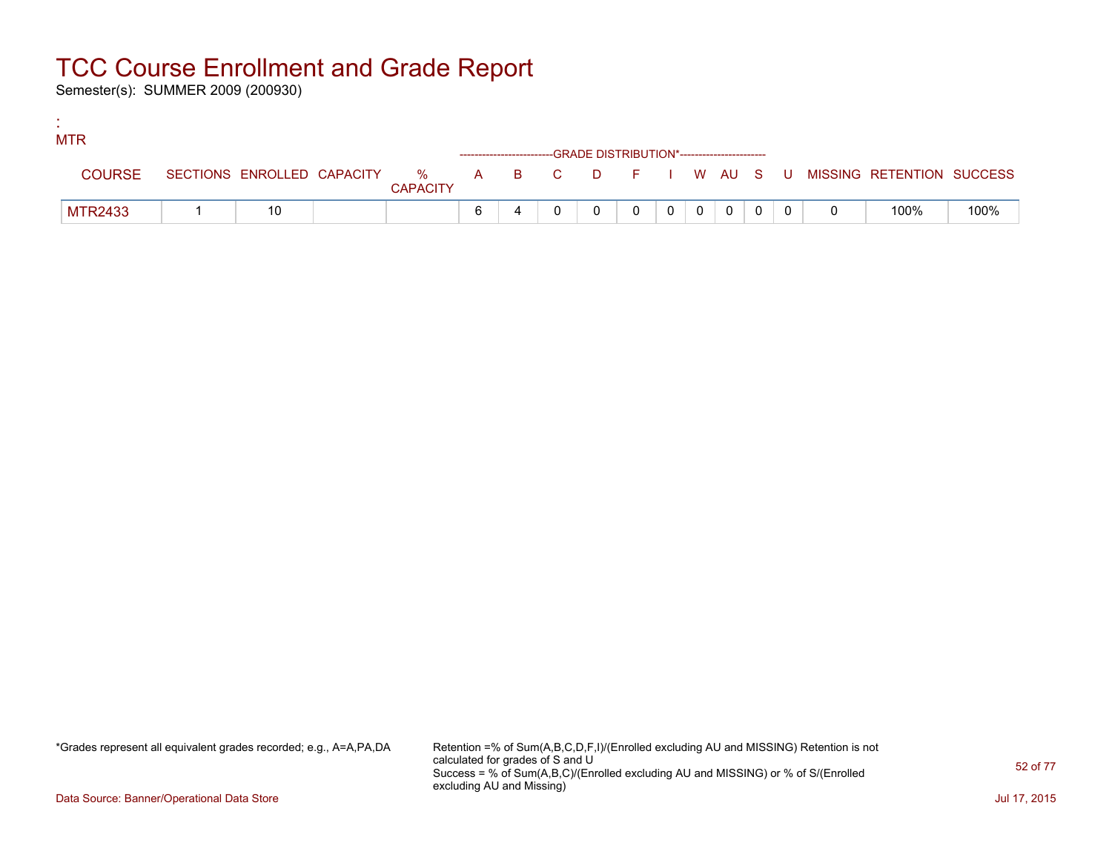Semester(s): SUMMER 2009 (200930)

:

| <b>MTR</b>     |    |                 |                                                                    |  |          |         |                |  |                                                                               |      |
|----------------|----|-----------------|--------------------------------------------------------------------|--|----------|---------|----------------|--|-------------------------------------------------------------------------------|------|
|                |    |                 | ------------------------GRADE DISTRIBUTION*----------------------- |  |          |         |                |  |                                                                               |      |
| <b>COURSE</b>  |    | <b>CAPACITY</b> |                                                                    |  |          |         |                |  | SECTIONS ENROLLED CAPACITY 5 % A B C D F I W AU S U MISSING RETENTION SUCCESS |      |
| <b>MTR2433</b> | 10 |                 | 6                                                                  |  | $\Omega$ | $0$   0 | $\overline{0}$ |  | 100%                                                                          | 100% |

\*Grades represent all equivalent grades recorded; e.g., A=A,PA,DA Retention =% of Sum(A,B,C,D,F,I)/(Enrolled excluding AU and MISSING) Retention is not calculated for grades of S and U Success = % of Sum(A,B,C)/(Enrolled excluding AU and MISSING) or % of S/(Enrolled excluding AU and Missing)

Data Source: Banner/Operational Data Store Jul 17, 2015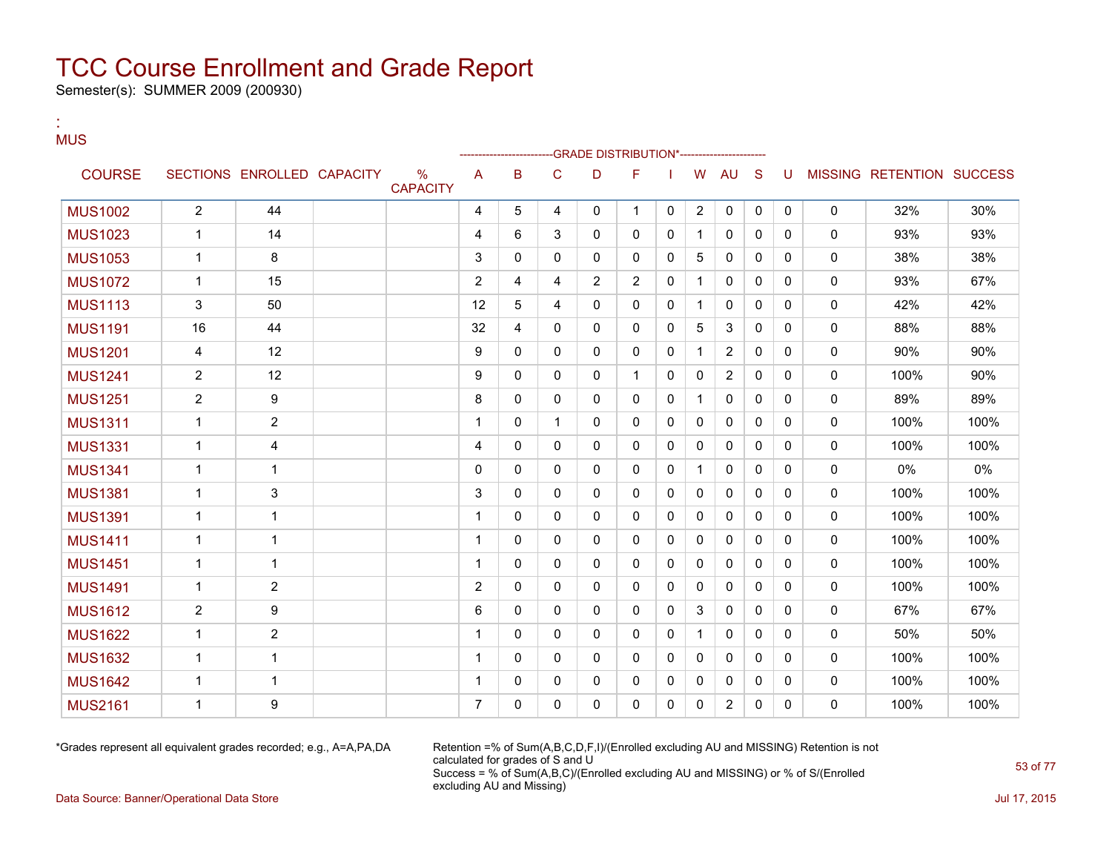Semester(s): SUMMER 2009 (200930)

#### : MUS

|                |                |                            |                         |                |              |              | -GRADE DISTRIBUTION*----------------------- |              |              |                |                |              |              |          |                           |      |
|----------------|----------------|----------------------------|-------------------------|----------------|--------------|--------------|---------------------------------------------|--------------|--------------|----------------|----------------|--------------|--------------|----------|---------------------------|------|
| <b>COURSE</b>  |                | SECTIONS ENROLLED CAPACITY | $\%$<br><b>CAPACITY</b> | A              | B            | C            | D                                           | F            |              | W              | <b>AU</b>      | S            | U            |          | MISSING RETENTION SUCCESS |      |
| <b>MUS1002</b> | $\overline{2}$ | 44                         |                         | 4              | 5            | 4            | 0                                           | $\mathbf 1$  | 0            | $\overline{2}$ | 0              | 0            | 0            | 0        | 32%                       | 30%  |
| <b>MUS1023</b> |                | 14                         |                         | 4              | 6            | 3            | 0                                           | $\mathbf{0}$ | $\mathbf{0}$ | 1              | $\mathbf{0}$   | $\mathbf{0}$ | 0            | 0        | 93%                       | 93%  |
| <b>MUS1053</b> | 1              | 8                          |                         | 3              | $\mathbf{0}$ | $\Omega$     | 0                                           | $\mathbf{0}$ | $\mathbf{0}$ | 5              | 0              | $\mathbf{0}$ | 0            | 0        | 38%                       | 38%  |
| <b>MUS1072</b> | 1              | 15                         |                         | $\overline{2}$ | 4            | 4            | $\overline{2}$                              | 2            | $\mathbf{0}$ | $\mathbf{1}$   | $\mathbf{0}$   | $\Omega$     | 0            | 0        | 93%                       | 67%  |
| <b>MUS1113</b> | 3              | 50                         |                         | 12             | 5            | 4            | $\Omega$                                    | $\mathbf{0}$ | $\mathbf{0}$ | $\mathbf{1}$   | $\mathbf{0}$   | $\mathbf{0}$ | $\mathbf{0}$ | 0        | 42%                       | 42%  |
| <b>MUS1191</b> | 16             | 44                         |                         | 32             | 4            | 0            | 0                                           | $\mathbf 0$  | 0            | 5              | 3              | $\mathbf{0}$ | $\mathbf{0}$ | 0        | 88%                       | 88%  |
| <b>MUS1201</b> | 4              | 12                         |                         | 9              | $\mathbf{0}$ | 0            | 0                                           | 0            | 0            | $\mathbf 1$    | $\overline{2}$ | $\mathbf{0}$ | 0            | 0        | 90%                       | 90%  |
| <b>MUS1241</b> | $\overline{c}$ | 12                         |                         | 9              | $\mathbf{0}$ | $\Omega$     | 0                                           | $\mathbf{1}$ | $\mathbf{0}$ | $\Omega$       | $\overline{2}$ | $\mathbf{0}$ | 0            | 0        | 100%                      | 90%  |
| <b>MUS1251</b> | $\overline{2}$ | 9                          |                         | 8              | $\mathbf{0}$ | 0            | 0                                           | $\mathbf{0}$ | 0            | $\mathbf 1$    | 0              | $\mathbf{0}$ | $\mathbf{0}$ | 0        | 89%                       | 89%  |
| <b>MUS1311</b> | 1              | $\mathbf{2}$               |                         | 1              | $\mathbf{0}$ | 1            | 0                                           | $\mathbf{0}$ | $\mathbf{0}$ | $\Omega$       | 0              | $\mathbf{0}$ | $\Omega$     | 0        | 100%                      | 100% |
| <b>MUS1331</b> | 1              | 4                          |                         | 4              | $\mathbf{0}$ | $\Omega$     | 0                                           | $\mathbf{0}$ | 0            | 0              | 0              | $\mathbf{0}$ | $\Omega$     | 0        | 100%                      | 100% |
| <b>MUS1341</b> | 1              | $\mathbf{1}$               |                         | $\mathbf 0$    | $\mathbf{0}$ | $\mathbf{0}$ | 0                                           | $\mathbf{0}$ | 0            | 1              | $\mathbf{0}$   | $\mathbf{0}$ | 0            | 0        | 0%                        | 0%   |
| <b>MUS1381</b> | 1              | 3                          |                         | 3              | $\mathbf{0}$ | $\Omega$     | 0                                           | $\mathbf{0}$ | 0            | 0              | 0              | $\mathbf{0}$ | 0            | 0        | 100%                      | 100% |
| <b>MUS1391</b> | $\mathbf 1$    | $\mathbf{1}$               |                         | 1              | $\mathbf{0}$ | 0            | $\mathbf{0}$                                | $\mathbf{0}$ | $\mathbf{0}$ | 0              | 0              | $\mathbf{0}$ | 0            | 0        | 100%                      | 100% |
| <b>MUS1411</b> | $\mathbf{1}$   | $\mathbf{1}$               |                         | $\mathbf 1$    | $\Omega$     | $\Omega$     | $\Omega$                                    | $\mathbf{0}$ | $\mathbf{0}$ | $\Omega$       | $\mathbf{0}$   | $\Omega$     | $\Omega$     | $\Omega$ | 100%                      | 100% |
| <b>MUS1451</b> | $\mathbf 1$    | $\mathbf 1$                |                         | $\mathbf 1$    | $\mathbf{0}$ | 0            | 0                                           | $\mathbf 0$  | $\mathbf{0}$ | 0              | 0              | $\mathbf{0}$ | $\Omega$     | 0        | 100%                      | 100% |
| <b>MUS1491</b> | 1              | $\overline{2}$             |                         | $\overline{2}$ | $\mathbf{0}$ | $\Omega$     | $\Omega$                                    | $\mathbf{0}$ | $\mathbf{0}$ | $\Omega$       | $\mathbf{0}$   | $\mathbf{0}$ | $\mathbf{0}$ | 0        | 100%                      | 100% |
| <b>MUS1612</b> | $\overline{2}$ | 9                          |                         | 6              | $\mathbf{0}$ | 0            | 0                                           | 0            | 0            | 3              | 0              | $\mathbf{0}$ | $\mathbf{0}$ | 0        | 67%                       | 67%  |
| <b>MUS1622</b> | $\mathbf{1}$   | $\overline{2}$             |                         | 1              | $\mathbf{0}$ | 0            | 0                                           | $\mathbf{0}$ | $\mathbf{0}$ |                | 0              | $\mathbf{0}$ | $\mathbf{0}$ | 0        | 50%                       | 50%  |
| <b>MUS1632</b> | 1              | $\mathbf{1}$               |                         | 1              | $\mathbf{0}$ | $\mathbf{0}$ | $\mathbf{0}$                                | $\mathbf{0}$ | 0            | $\mathbf{0}$   | $\mathbf{0}$   | $\mathbf{0}$ | $\mathbf{0}$ | 0        | 100%                      | 100% |
| <b>MUS1642</b> | 1              | $\mathbf 1$                |                         | 1              | $\mathbf{0}$ | 0            | 0                                           | 0            | 0            | 0              | 0              | 0            | 0            | 0        | 100%                      | 100% |
| <b>MUS2161</b> | -1             | 9                          |                         | 7              | 0            | 0            | 0                                           | 0            | 0            | 0              | 2              | 0            | 0            | 0        | 100%                      | 100% |

\*Grades represent all equivalent grades recorded; e.g., A=A,PA,DA Retention =% of Sum(A,B,C,D,F,I)/(Enrolled excluding AU and MISSING) Retention is not calculated for grades of S and U Success = % of Sum(A,B,C)/(Enrolled excluding AU and MISSING) or % of S/(Enrolled excluding AU and Missing)

Data Source: Banner/Operational Data Store Jul 17, 2015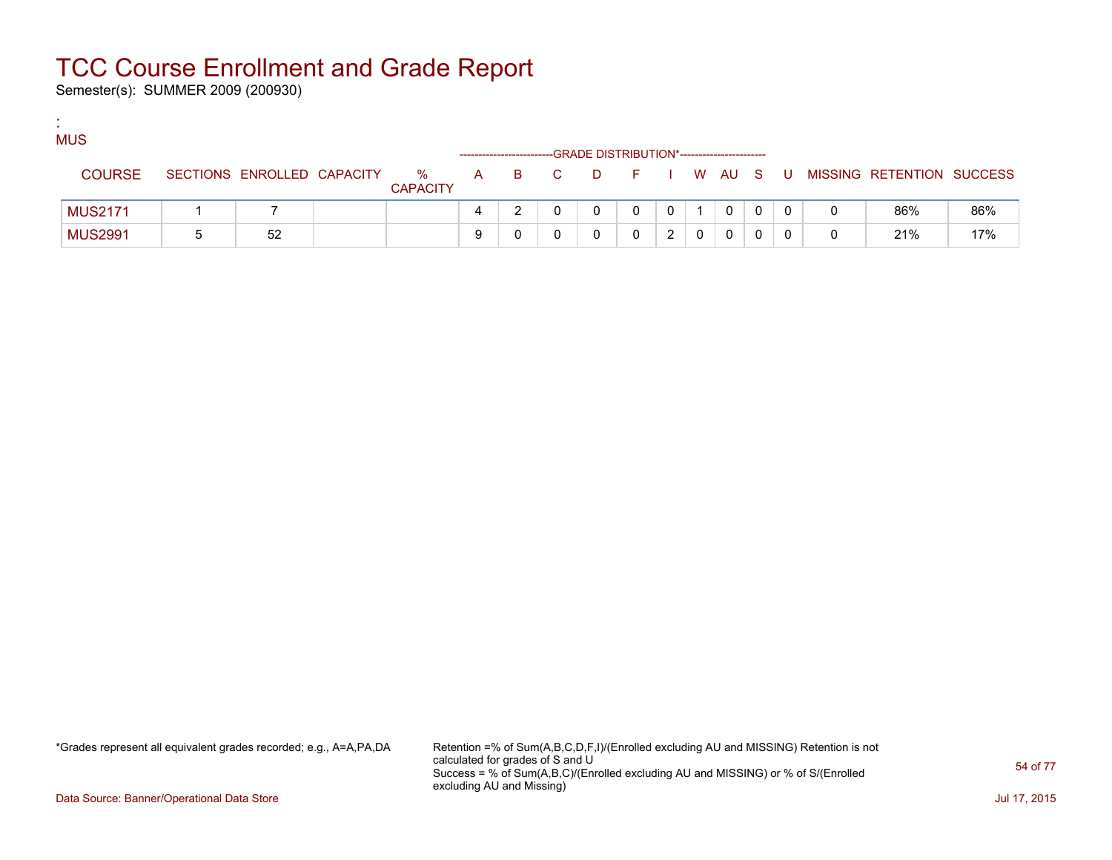Semester(s): SUMMER 2009 (200930)

:

| <b>MUS</b>     |                            |                      |   |       | -GRADE DISTRIBUTION*----------------------- |         |  |              |   |                           |     |
|----------------|----------------------------|----------------------|---|-------|---------------------------------------------|---------|--|--------------|---|---------------------------|-----|
| <b>COURSE</b>  | SECTIONS ENROLLED CAPACITY | %<br><b>CAPACITY</b> |   | A B C | <b>D</b>                                    | $F = 1$ |  | I WAUS       | U | MISSING RETENTION SUCCESS |     |
| <b>MUS2171</b> |                            |                      |   |       |                                             |         |  | $\mathbf{0}$ |   | 86%                       | 86% |
| <b>MUS2991</b> | 52                         |                      | 9 |       |                                             |         |  | 0            |   | 21%                       | 17% |

\*Grades represent all equivalent grades recorded; e.g., A=A,PA,DA Retention =% of Sum(A,B,C,D,F,I)/(Enrolled excluding AU and MISSING) Retention is not calculated for grades of S and U Success = % of Sum(A,B,C)/(Enrolled excluding AU and MISSING) or % of S/(Enrolled excluding AU and Missing)

Data Source: Banner/Operational Data Store Jul 17, 2015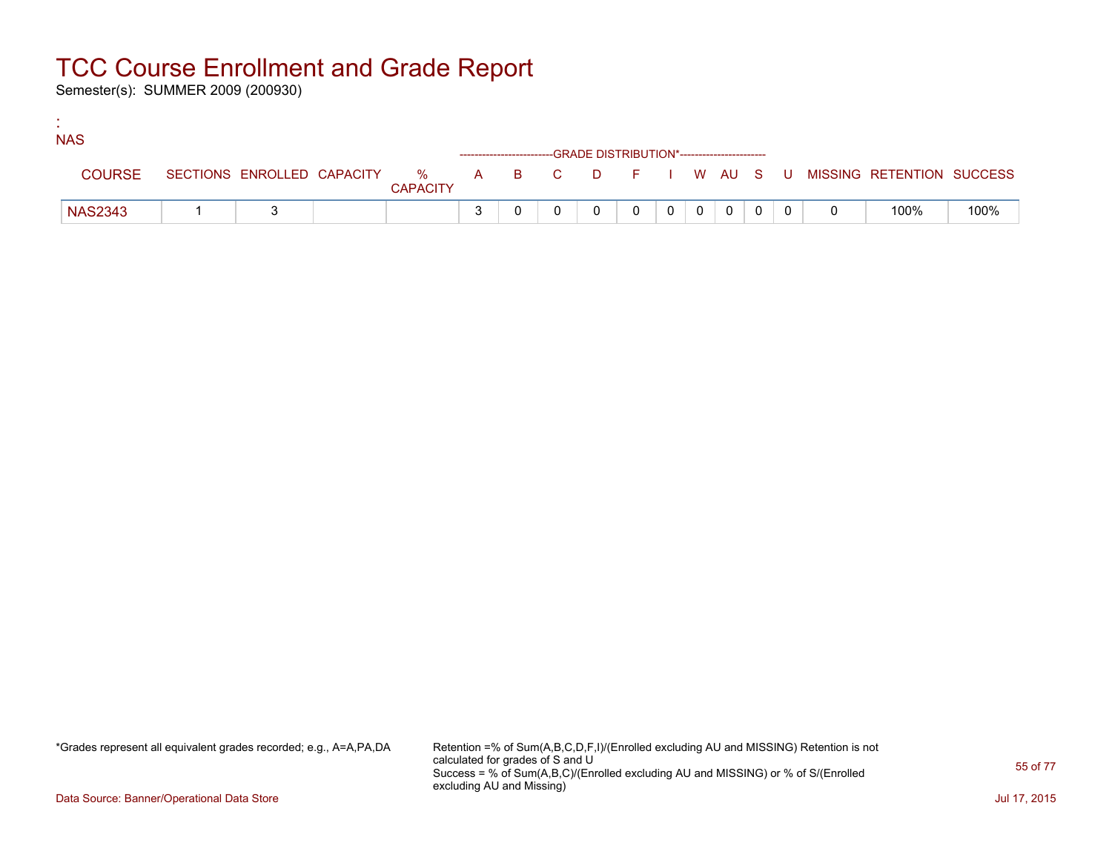Semester(s): SUMMER 2009 (200930)

:

| <b>NAS</b>     |  |                 |  |                                                                                 |              |                |                |                |  |                                                                             |      |
|----------------|--|-----------------|--|---------------------------------------------------------------------------------|--------------|----------------|----------------|----------------|--|-----------------------------------------------------------------------------|------|
|                |  |                 |  | ------------------------GRADE            DISTRIBUTION*------------------------- |              |                |                |                |  |                                                                             |      |
| <b>COURSE</b>  |  | <b>CAPACITY</b> |  |                                                                                 |              |                |                |                |  | SECTIONS ENROLLED CAPACITY % A B C D F I W AU S U MISSING RETENTION SUCCESS |      |
| <b>NAS2343</b> |  |                 |  |                                                                                 | $\mathbf{0}$ | 0 <sup>1</sup> | $\overline{0}$ | $\overline{0}$ |  | 100%                                                                        | 100% |

\*Grades represent all equivalent grades recorded; e.g., A=A,PA,DA Retention =% of Sum(A,B,C,D,F,I)/(Enrolled excluding AU and MISSING) Retention is not calculated for grades of S and U Success = % of Sum(A,B,C)/(Enrolled excluding AU and MISSING) or % of S/(Enrolled excluding AU and Missing)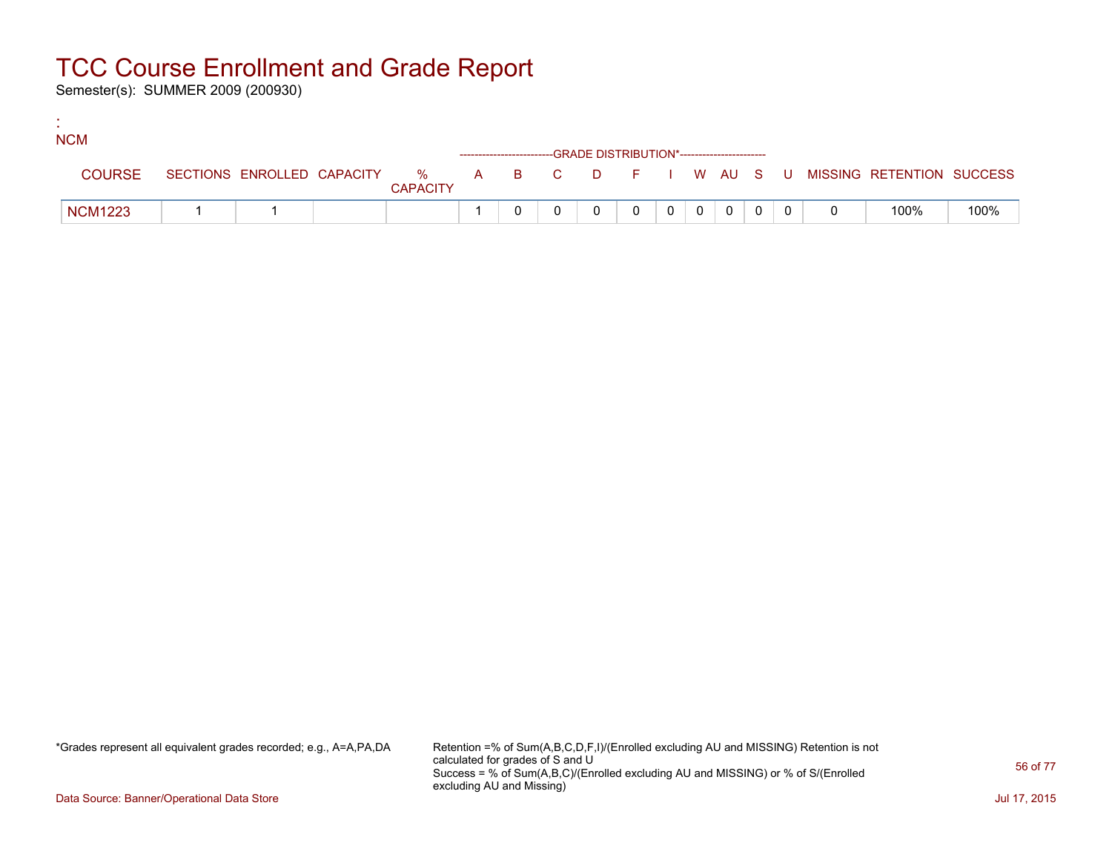Semester(s): SUMMER 2009 (200930)

:

| <b>NCM</b>     |  |                 |  |                                                                    |          |                |                |                |  |                                                                             |      |
|----------------|--|-----------------|--|--------------------------------------------------------------------|----------|----------------|----------------|----------------|--|-----------------------------------------------------------------------------|------|
|                |  |                 |  | ------------------------GRADE DISTRIBUTION*----------------------- |          |                |                |                |  |                                                                             |      |
| <b>COURSE</b>  |  | <b>CAPACITY</b> |  |                                                                    |          |                |                |                |  | SECTIONS ENROLLED CAPACITY % A B C D F I W AU S U MISSING RETENTION SUCCESS |      |
| <b>NCM1223</b> |  |                 |  |                                                                    | $\Omega$ | 0 <sup>1</sup> | $\overline{0}$ | $\overline{0}$ |  | 100%                                                                        | 100% |

\*Grades represent all equivalent grades recorded; e.g., A=A,PA,DA Retention =% of Sum(A,B,C,D,F,I)/(Enrolled excluding AU and MISSING) Retention is not calculated for grades of S and U Success = % of Sum(A,B,C)/(Enrolled excluding AU and MISSING) or % of S/(Enrolled excluding AU and Missing)

Data Source: Banner/Operational Data Store Jul 17, 2015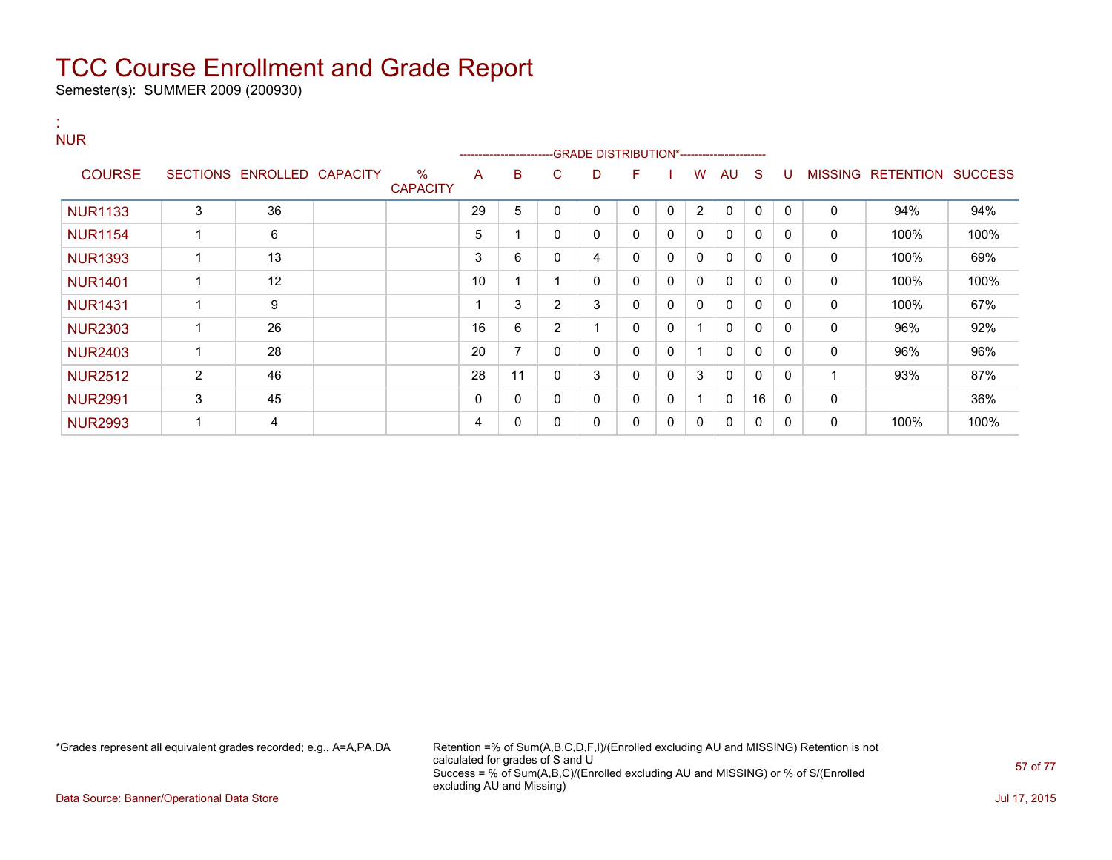Semester(s): SUMMER 2009 (200930)

#### : NUR

|                |                |                   |                 |                         | ---------------------- |    |          | -GRADE DISTRIBUTION*---------------------- |   |              |              |              |              |          |                |                  |                |
|----------------|----------------|-------------------|-----------------|-------------------------|------------------------|----|----------|--------------------------------------------|---|--------------|--------------|--------------|--------------|----------|----------------|------------------|----------------|
| <b>COURSE</b>  |                | SECTIONS ENROLLED | <b>CAPACITY</b> | $\%$<br><b>CAPACITY</b> | A                      | B  | C        | D                                          | F |              | W            | AU.          | <sub>S</sub> | U        | <b>MISSING</b> | <b>RETENTION</b> | <b>SUCCESS</b> |
| <b>NUR1133</b> | 3              | 36                |                 |                         | 29                     | 5  |          | 0                                          | 0 | $\mathbf{0}$ | 2            | $\mathbf{0}$ | 0            | $\Omega$ | 0              | 94%              | 94%            |
| <b>NUR1154</b> |                | 6                 |                 |                         | 5                      |    | $\Omega$ | 0                                          | 0 | 0            | 0            | $\mathbf{0}$ | $\mathbf{0}$ | $\Omega$ | 0              | 100%             | 100%           |
| <b>NUR1393</b> |                | 13                |                 |                         | 3                      | 6  |          | 4                                          | 0 | $\mathbf{0}$ | $\mathbf{0}$ | $\mathbf{0}$ | $\mathbf{0}$ | $\Omega$ | 0              | 100%             | 69%            |
| <b>NUR1401</b> |                | 12                |                 |                         | 10                     |    |          | 0                                          | 0 | $\mathbf{0}$ | $\mathbf{0}$ | $\mathbf{0}$ | $\mathbf{0}$ | $\Omega$ | 0              | 100%             | 100%           |
| <b>NUR1431</b> |                | 9                 |                 |                         |                        | 3  | 2        | 3                                          | 0 | $\mathbf{0}$ | $\mathbf{0}$ | $\mathbf{0}$ | $\mathbf{0}$ | $\Omega$ | 0              | 100%             | 67%            |
| <b>NUR2303</b> |                | 26                |                 |                         | 16                     | 6  | 2        |                                            | 0 | 0            |              | $\mathbf{0}$ | $\mathbf{0}$ | $\Omega$ | 0              | 96%              | 92%            |
| <b>NUR2403</b> |                | 28                |                 |                         | 20                     | 7  | $\Omega$ | 0                                          | 0 | $\mathbf{0}$ |              | $\mathbf{0}$ | $\Omega$     | $\Omega$ | $\Omega$       | 96%              | 96%            |
| <b>NUR2512</b> | $\overline{2}$ | 46                |                 |                         | 28                     | 11 |          | 3                                          | 0 | $\mathbf{0}$ | 3            | $\mathbf{0}$ | $\mathbf{0}$ | $\Omega$ |                | 93%              | 87%            |
| <b>NUR2991</b> | 3              | 45                |                 |                         | 0                      | 0  | n        | 0                                          | 0 | 0            |              | $\mathbf{0}$ | 16           | $\Omega$ | 0              |                  | 36%            |
| <b>NUR2993</b> |                | 4                 |                 |                         | 4                      | 0  |          | 0                                          | 0 | 0            | 0            | 0            | 0            | 0        | 0              | 100%             | 100%           |

\*Grades represent all equivalent grades recorded; e.g., A=A,PA,DA Retention =% of Sum(A,B,C,D,F,I)/(Enrolled excluding AU and MISSING) Retention is not calculated for grades of S and U Success = % of Sum(A,B,C)/(Enrolled excluding AU and MISSING) or % of S/(Enrolled excluding AU and Missing)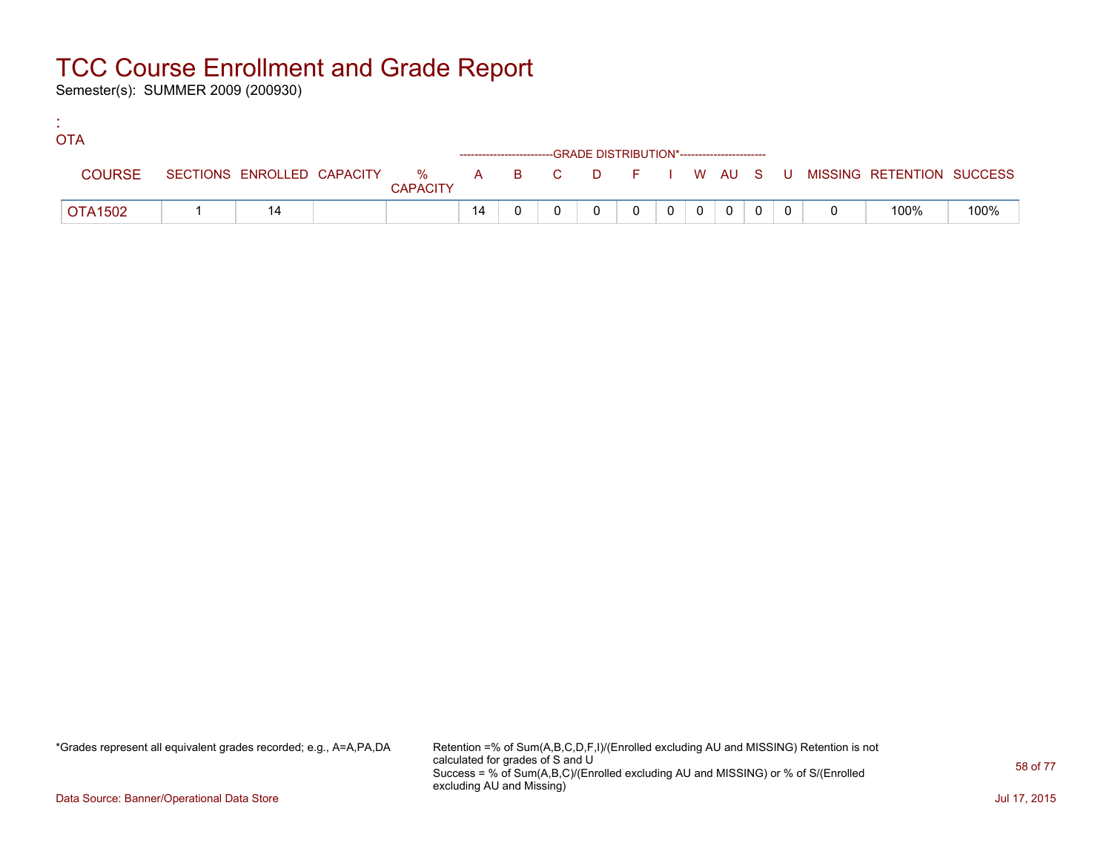Semester(s): SUMMER 2009 (200930)

:

| <b>OTA</b>     |  |                 |    |  |                                                                    |  |          |                |  |                                                                             |      |
|----------------|--|-----------------|----|--|--------------------------------------------------------------------|--|----------|----------------|--|-----------------------------------------------------------------------------|------|
|                |  |                 |    |  | ------------------------GRADE DISTRIBUTION*----------------------- |  |          |                |  |                                                                             |      |
| <b>COURSE</b>  |  | <b>CAPACITY</b> |    |  |                                                                    |  |          |                |  | SECTIONS ENROLLED CAPACITY % A B C D F I W AU S U MISSING RETENTION SUCCESS |      |
| <b>OTA1502</b> |  |                 | 14 |  |                                                                    |  | $\Omega$ | $\overline{0}$ |  | 100%                                                                        | 100% |

\*Grades represent all equivalent grades recorded; e.g., A=A,PA,DA Retention =% of Sum(A,B,C,D,F,I)/(Enrolled excluding AU and MISSING) Retention is not calculated for grades of S and U Success = % of Sum(A,B,C)/(Enrolled excluding AU and MISSING) or % of S/(Enrolled excluding AU and Missing)

Data Source: Banner/Operational Data Store Jul 17, 2015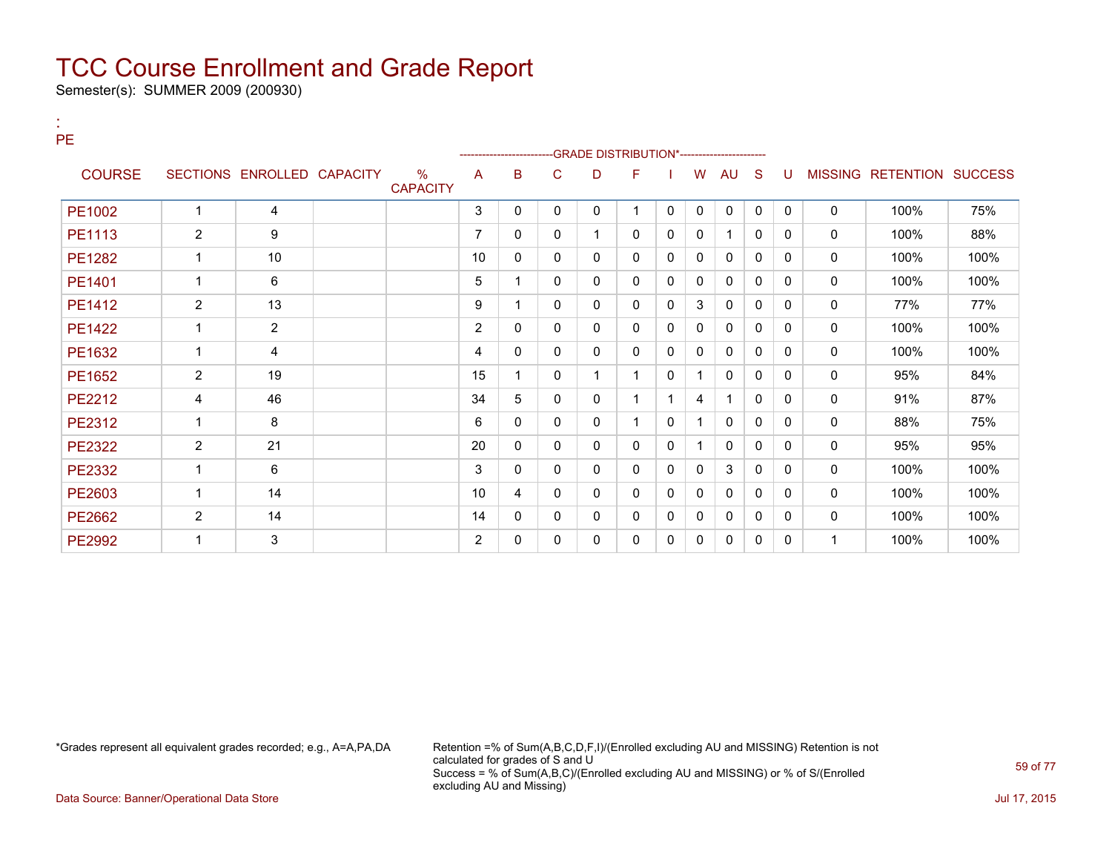Semester(s): SUMMER 2009 (200930)

:

| РE            |                |                            |                         |                |              |              |              | -GRADE DISTRIBUTION*---------------------- |              |              |              |              |          |              |                           |      |
|---------------|----------------|----------------------------|-------------------------|----------------|--------------|--------------|--------------|--------------------------------------------|--------------|--------------|--------------|--------------|----------|--------------|---------------------------|------|
| <b>COURSE</b> |                | SECTIONS ENROLLED CAPACITY | $\%$<br><b>CAPACITY</b> | A              | B            | C            | D            | F                                          |              | W            | <b>AU</b>    | S            | U        |              | MISSING RETENTION SUCCESS |      |
| PE1002        | 1              | 4                          |                         | 3              | 0            | 0            | 0            |                                            | 0            | $\mathbf{0}$ | $\mathbf 0$  | $\Omega$     | $\Omega$ | 0            | 100%                      | 75%  |
| PE1113        | $\overline{2}$ | 9                          |                         | $\overline{7}$ | 0            | $\mathbf{0}$ |              | 0                                          | 0            | 0            |              | $\Omega$     | 0        | 0            | 100%                      | 88%  |
| PE1282        |                | 10                         |                         | 10             | $\Omega$     | $\mathbf{0}$ | 0            | 0                                          | 0            | 0            | 0            | $\mathbf{0}$ | $\Omega$ | 0            | 100%                      | 100% |
| PE1401        | $\mathbf{1}$   | 6                          |                         | 5              | 1            | $\mathbf{0}$ | $\mathbf{0}$ | 0                                          | $\mathbf{0}$ | 0            | $\mathbf{0}$ | $\mathbf{0}$ | $\Omega$ | 0            | 100%                      | 100% |
| PE1412        | $\overline{2}$ | 13                         |                         | 9              | 1            | $\mathbf{0}$ | 0            | 0                                          | $\mathbf{0}$ | 3            | 0            | $\mathbf{0}$ | $\Omega$ | 0            | 77%                       | 77%  |
| <b>PE1422</b> |                | $\overline{2}$             |                         | 2              | 0            | 0            | 0            | 0                                          | $\mathbf{0}$ | 0            | $\mathbf{0}$ | $\mathbf{0}$ | 0        | 0            | 100%                      | 100% |
| PE1632        | $\mathbf{1}$   | 4                          |                         | 4              | 0            | 0            | 0            | 0                                          | 0            | 0            | 0            | 0            | 0        | 0            | 100%                      | 100% |
| PE1652        | $\overline{2}$ | 19                         |                         | 15             | 1            | $\mathbf{0}$ |              |                                            | 0            |              | 0            | 0            | 0        | 0            | 95%                       | 84%  |
| PE2212        | 4              | 46                         |                         | 34             | 5            | $\Omega$     | 0            |                                            |              | 4            | 1            | $\Omega$     | $\Omega$ | 0            | 91%                       | 87%  |
| PE2312        |                | 8                          |                         | 6              | $\mathbf{0}$ | $\mathbf{0}$ | 0            |                                            | $\mathbf 0$  |              | 0            | 0            | $\Omega$ | 0            | 88%                       | 75%  |
| <b>PE2322</b> | $\overline{2}$ | 21                         |                         | 20             | 0            | 0            | 0            | 0                                          | 0            |              | 0            | $\Omega$     | $\Omega$ | 0            | 95%                       | 95%  |
| PE2332        |                | 6                          |                         | 3              | $\mathbf{0}$ | $\mathbf{0}$ | 0            | 0                                          | 0            | 0            | 3            | $\mathbf{0}$ | $\Omega$ | 0            | 100%                      | 100% |
| PE2603        | $\mathbf{1}$   | 14                         |                         | 10             | 4            | $\mathbf{0}$ | 0            | 0                                          | 0            | 0            | 0            | $\Omega$     | 0        | 0            | 100%                      | 100% |
| PE2662        | $\overline{2}$ | 14                         |                         | 14             | 0            | $\mathbf{0}$ | 0            | 0                                          | 0            | 0            | 0            | 0            | 0        | 0            | 100%                      | 100% |
| <b>PE2992</b> |                | 3                          |                         | 2              | $\Omega$     | $\Omega$     | 0            | 0                                          | 0            | 0            | 0            | 0            | $\Omega$ | $\mathbf{1}$ | 100%                      | 100% |

\*Grades represent all equivalent grades recorded; e.g., A=A,PA,DA Retention =% of Sum(A,B,C,D,F,I)/(Enrolled excluding AU and MISSING) Retention is not calculated for grades of S and U Success = % of Sum(A,B,C)/(Enrolled excluding AU and MISSING) or % of S/(Enrolled excluding AU and Missing)

Data Source: Banner/Operational Data Store Jul 17, 2015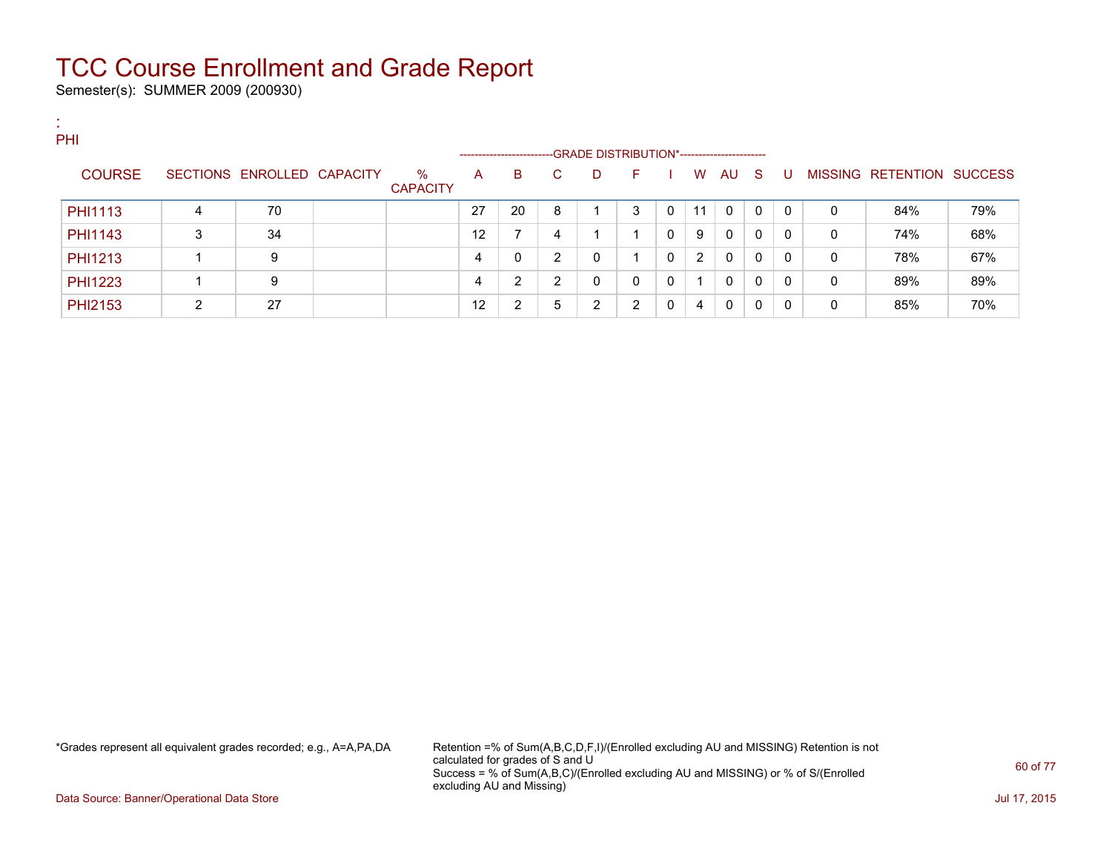Semester(s): SUMMER 2009 (200930)

:

| PHI            |   |                            |                         | ------------------- |    |    | -GRADE DISTRIBUTION*---------------------- |    |          |    |              |     |              |   |                           |     |
|----------------|---|----------------------------|-------------------------|---------------------|----|----|--------------------------------------------|----|----------|----|--------------|-----|--------------|---|---------------------------|-----|
| <b>COURSE</b>  |   | SECTIONS ENROLLED CAPACITY | $\%$<br><b>CAPACITY</b> | A                   | В  | C. | D                                          | F. |          | W  | AU.          | - S | -U           |   | MISSING RETENTION SUCCESS |     |
| PHI1113        | 4 | 70                         |                         | 27                  | 20 | 8  |                                            | 3  |          | 11 | 0            | 0   | $\Omega$     | 0 | 84%                       | 79% |
| <b>PHI1143</b> | 3 | 34                         |                         | 12                  |    | 4  |                                            |    | 0        | 9  | 0            | 0   | $\Omega$     | 0 | 74%                       | 68% |
| PHI1213        |   | 9                          |                         | 4                   | 0  | ◠  | 0                                          |    | $\Omega$ | 2  | $\mathbf{0}$ | 0   | $\Omega$     | 0 | 78%                       | 67% |
| <b>PHI1223</b> |   | 9                          |                         | 4                   | 2  | C  | 0                                          | 0  | $\Omega$ |    | $\mathbf{0}$ | 0   | $\mathbf{0}$ | 0 | 89%                       | 89% |
| PHI2153        | 2 | 27                         |                         | 12                  | 2  | 5  | 2                                          | 2  |          | 4  | 0            | 0   | 0            | 0 | 85%                       | 70% |

\*Grades represent all equivalent grades recorded; e.g., A=A,PA,DA Retention =% of Sum(A,B,C,D,F,I)/(Enrolled excluding AU and MISSING) Retention is not calculated for grades of S and U Success = % of Sum(A,B,C)/(Enrolled excluding AU and MISSING) or % of S/(Enrolled excluding AU and Missing)

Data Source: Banner/Operational Data Store Jul 17, 2015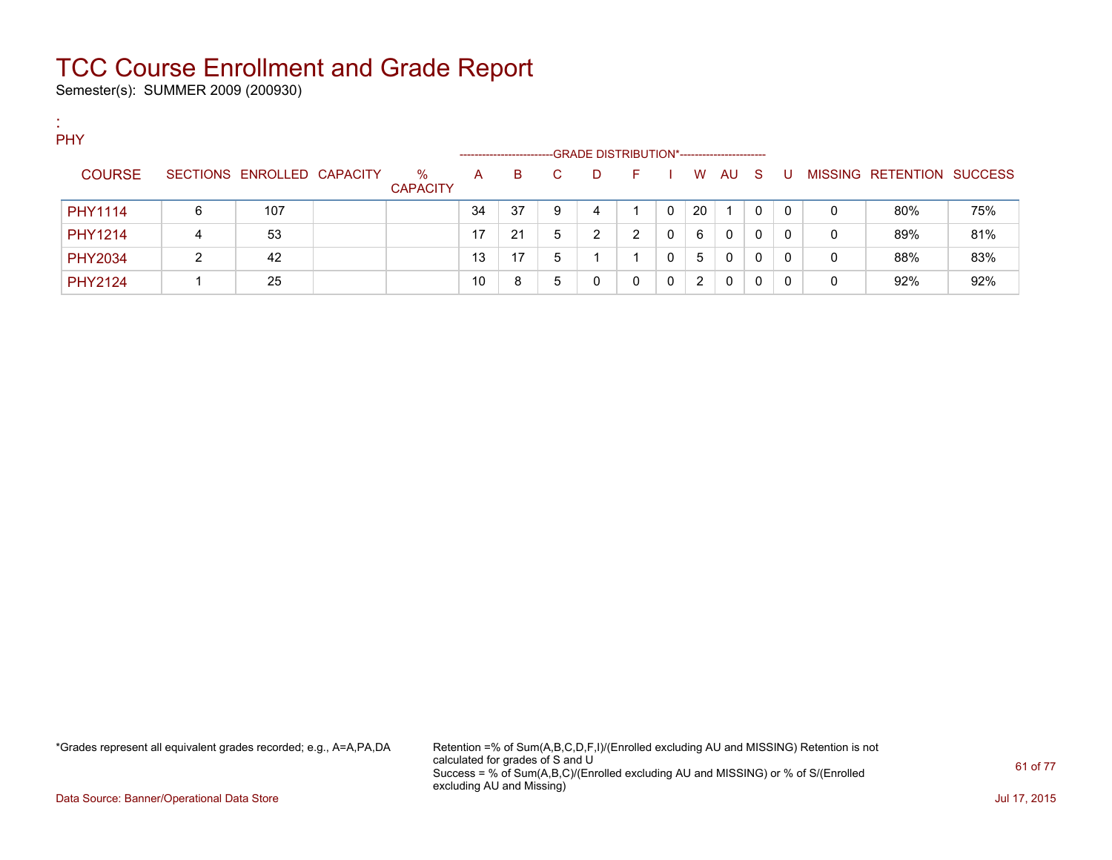Semester(s): SUMMER 2009 (200930)

| <b>A</b><br>$\sim$ |                |   |                            |                         |                      |    |    |                                             |    |              |    |    |              |              |   |                           |     |
|--------------------|----------------|---|----------------------------|-------------------------|----------------------|----|----|---------------------------------------------|----|--------------|----|----|--------------|--------------|---|---------------------------|-----|
|                    | PHY            |   |                            |                         |                      |    |    |                                             |    |              |    |    |              |              |   |                           |     |
|                    |                |   |                            |                         | -------------------- |    |    | -GRADE DISTRIBUTION*----------------------- |    |              |    |    |              |              |   |                           |     |
|                    | <b>COURSE</b>  |   | SECTIONS ENROLLED CAPACITY | $\%$<br><b>CAPACITY</b> | A                    | B  | C. | D.                                          | F. |              | W  | AU | - S          | -U           |   | MISSING RETENTION SUCCESS |     |
|                    | PHY1114        | 6 | 107                        |                         | 34                   | 37 | 9  | 4                                           |    |              | 20 |    | $\mathbf{0}$ | $\mathbf{0}$ | 0 | 80%                       | 75% |
|                    | <b>PHY1214</b> | 4 | 53                         |                         | 17                   | 21 | 5  | ົ                                           | າ  |              | 6  | 0  | 0            | $\Omega$     | 0 | 89%                       | 81% |
|                    | <b>PHY2034</b> | ົ | 42                         |                         | 13                   | 17 | 5  |                                             |    |              | 5  | 0  | 0            | $\mathbf{0}$ | 0 | 88%                       | 83% |
|                    | <b>PHY2124</b> |   | 25                         |                         | 10                   | 8  | 5  |                                             | 0  | <sup>n</sup> | 2  | 0  | 0            | $\Omega$     | 0 | 92%                       | 92% |

\*Grades represent all equivalent grades recorded; e.g., A=A,PA,DA Retention =% of Sum(A,B,C,D,F,I)/(Enrolled excluding AU and MISSING) Retention is not calculated for grades of S and U Success = % of Sum(A,B,C)/(Enrolled excluding AU and MISSING) or % of S/(Enrolled excluding AU and Missing)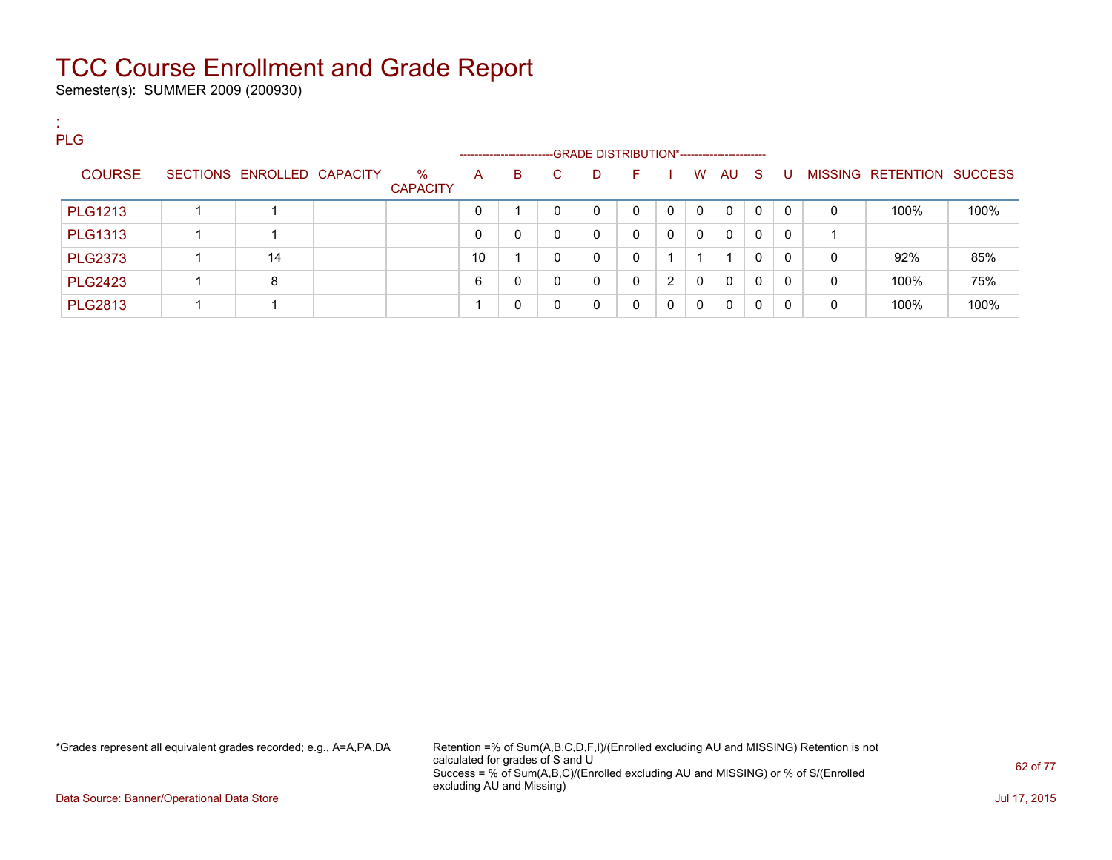Semester(s): SUMMER 2009 (200930)

:

| <b>PLG</b>     |                            |                         |    |                             |              |                                                 |          |                |              |              |              |              |              |                           |      |
|----------------|----------------------------|-------------------------|----|-----------------------------|--------------|-------------------------------------------------|----------|----------------|--------------|--------------|--------------|--------------|--------------|---------------------------|------|
| <b>COURSE</b>  | SECTIONS ENROLLED CAPACITY | $\%$<br><b>CAPACITY</b> | A  | ----------------------<br>B | C.           | -GRADE DISTRIBUTION*----------------------<br>D | F.       |                | <b>W</b>     | AU S         |              | U            |              | MISSING RETENTION SUCCESS |      |
| <b>PLG1213</b> |                            |                         |    |                             | 0            | 0                                               | 0        | $\mathbf{0}$   | $\mathbf{0}$ | $\mathbf{0}$ | $\mathbf{0}$ | $\Omega$     | $\mathbf{0}$ | 100%                      | 100% |
| <b>PLG1313</b> |                            |                         |    | 0                           | $\mathbf{0}$ | $\mathbf{0}$                                    | 0        | $\mathbf{0}$   | $\mathbf{0}$ | $\Omega$     | $\mathbf{0}$ | $\Omega$     |              |                           |      |
| <b>PLG2373</b> | 14                         |                         | 10 |                             | 0            | 0                                               | 0        |                |              |              | $\Omega$     | 0            | $\mathbf{0}$ | 92%                       | 85%  |
| <b>PLG2423</b> | 8                          |                         | 6  | 0                           | 0            | 0                                               | 0        | $\overline{2}$ | $\mathbf{0}$ | $\mathbf{0}$ | $\Omega$     | 0            | $\mathbf{0}$ | 100%                      | 75%  |
| <b>PLG2813</b> |                            |                         |    | 0                           | $\Omega$     | 0                                               | $\Omega$ | $\mathbf{0}$   | $\mathbf{0}$ | 0            | 0            | $\mathbf{0}$ | 0            | 100%                      | 100% |

\*Grades represent all equivalent grades recorded; e.g., A=A,PA,DA Retention =% of Sum(A,B,C,D,F,I)/(Enrolled excluding AU and MISSING) Retention is not calculated for grades of S and U Success = % of Sum(A,B,C)/(Enrolled excluding AU and MISSING) or % of S/(Enrolled excluding AU and Missing)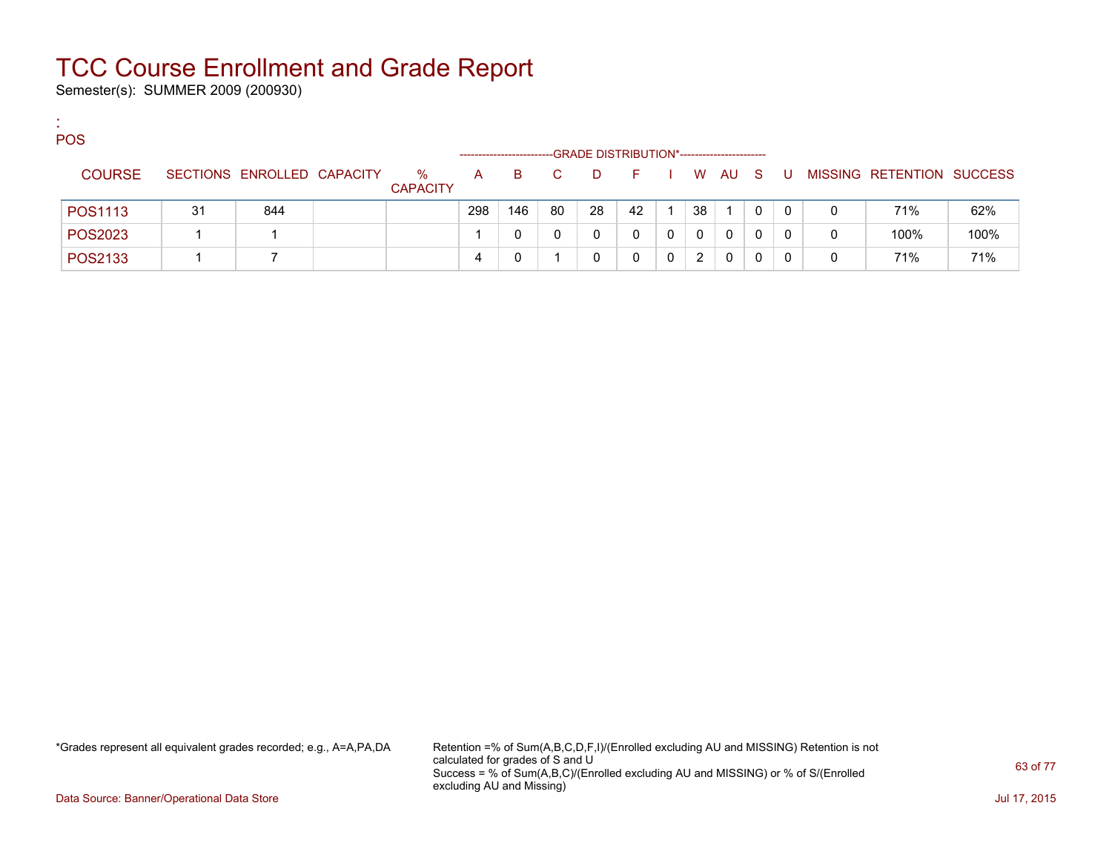Semester(s): SUMMER 2009 (200930)

:

| <b>POS</b>    |     |                            |                         |                      |     |    |                                             |    |   |          |              |     |     |   |                           |      |
|---------------|-----|----------------------------|-------------------------|----------------------|-----|----|---------------------------------------------|----|---|----------|--------------|-----|-----|---|---------------------------|------|
|               |     |                            |                         | -------------------- |     |    | -GRADE DISTRIBUTION*----------------------- |    |   |          |              |     |     |   |                           |      |
| <b>COURSE</b> |     | SECTIONS ENROLLED CAPACITY | $\%$<br><b>CAPACITY</b> | $\mathsf{A}$         | B.  | C. | D                                           | E. |   | W.       | AU           | - S | . U |   | MISSING RETENTION SUCCESS |      |
| POS1113       | -31 | 844                        |                         | 298                  | 146 | 80 | 28                                          | 42 |   | 38       |              | 0   | 0   | 0 | 71%                       | 62%  |
| POS2023       |     |                            |                         |                      |     |    |                                             |    | 0 | $\Omega$ | 0            | 0   | 0   | 0 | 100%                      | 100% |
| POS2133       |     |                            |                         | 4                    |     |    |                                             |    |   | 2        | $\mathbf{0}$ | 0   |     | 0 | 71%                       | 71%  |

\*Grades represent all equivalent grades recorded; e.g., A=A,PA,DA Retention =% of Sum(A,B,C,D,F,I)/(Enrolled excluding AU and MISSING) Retention is not calculated for grades of S and U Success = % of Sum(A,B,C)/(Enrolled excluding AU and MISSING) or % of S/(Enrolled excluding AU and Missing)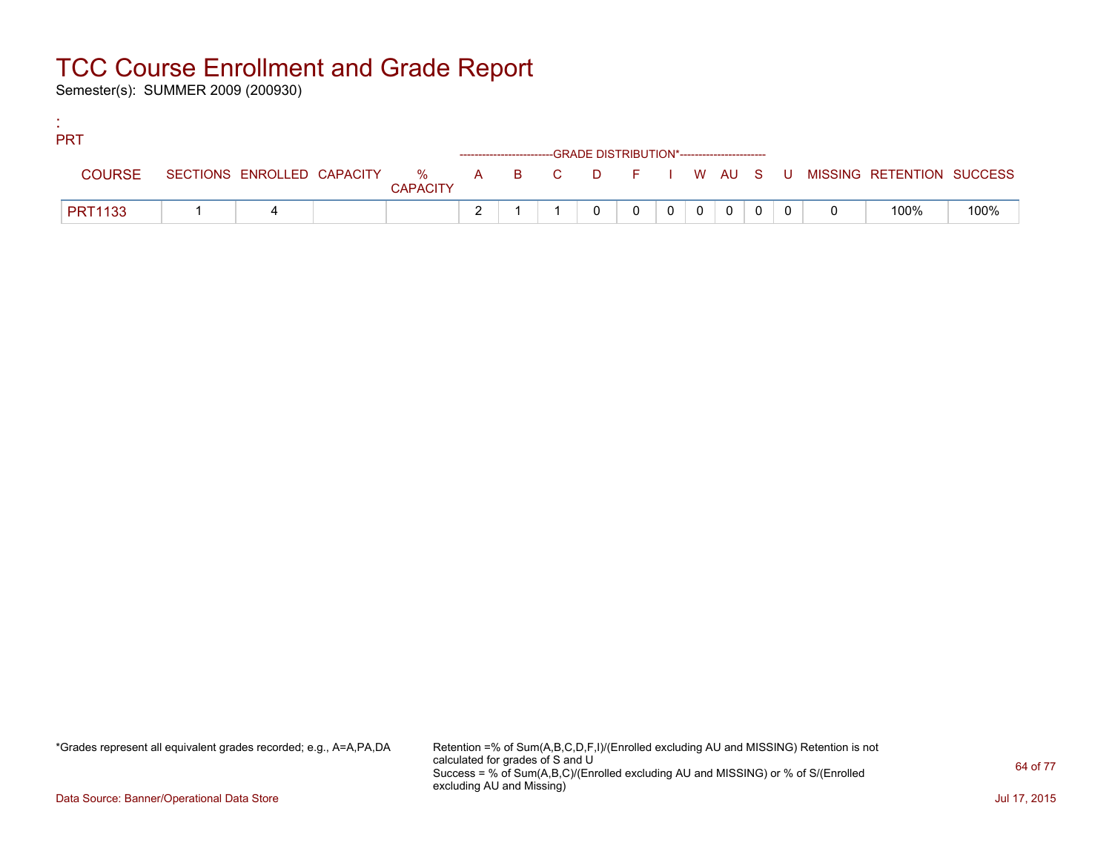Semester(s): SUMMER 2009 (200930)

:

| <b>PRT</b>     |  |                 |  |                                                                    |                |                |                |  |                                                                             |      |
|----------------|--|-----------------|--|--------------------------------------------------------------------|----------------|----------------|----------------|--|-----------------------------------------------------------------------------|------|
|                |  |                 |  | ------------------------GRADE DISTRIBUTION*----------------------- |                |                |                |  |                                                                             |      |
| <b>COURSE</b>  |  | <b>CAPACITY</b> |  |                                                                    |                |                |                |  | SECTIONS ENROLLED CAPACITY % A B C D F I W AU S U MISSING RETENTION SUCCESS |      |
| <b>PRT1133</b> |  |                 |  |                                                                    | $\overline{0}$ | $\overline{0}$ | $\overline{0}$ |  | 100%                                                                        | 100% |

\*Grades represent all equivalent grades recorded; e.g., A=A,PA,DA Retention =% of Sum(A,B,C,D,F,I)/(Enrolled excluding AU and MISSING) Retention is not calculated for grades of S and U Success = % of Sum(A,B,C)/(Enrolled excluding AU and MISSING) or % of S/(Enrolled excluding AU and Missing)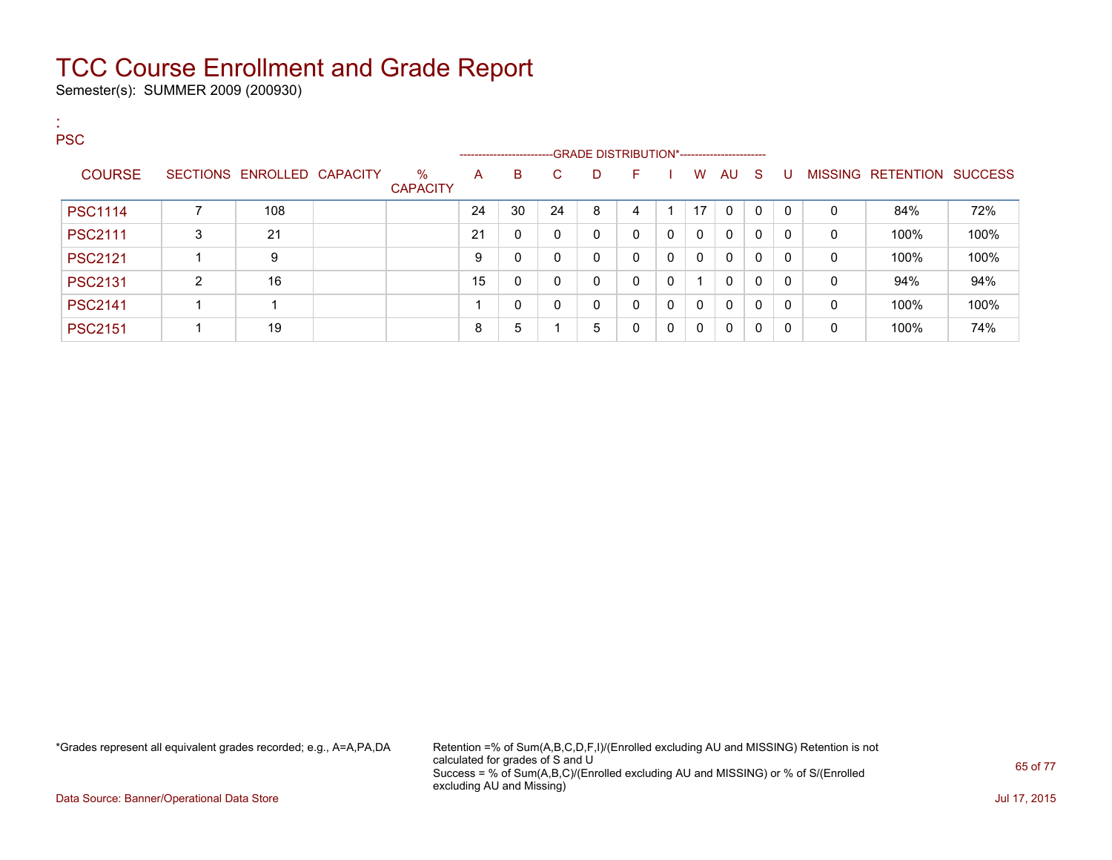Semester(s): SUMMER 2009 (200930)

| <b>COL</b><br><b>PSC</b> |   |                            |                         |    |                         |    |   |                                              |   |                         |              |   |              |              |                           |      |
|--------------------------|---|----------------------------|-------------------------|----|-------------------------|----|---|----------------------------------------------|---|-------------------------|--------------|---|--------------|--------------|---------------------------|------|
|                          |   |                            |                         |    | ----------------------- |    |   | --GRADE DISTRIBUTION*----------------------- |   |                         |              |   |              |              |                           |      |
| <b>COURSE</b>            |   | SECTIONS ENROLLED CAPACITY | $\%$<br><b>CAPACITY</b> | A  | B                       | C. | D | F                                            |   | W                       | AU S         |   | -U           |              | MISSING RETENTION SUCCESS |      |
| <b>PSC1114</b>           |   | 108                        |                         | 24 | 30                      | 24 | 8 | 4                                            |   | 17                      | $\mathbf{0}$ | 0 | $\mathbf{0}$ | 0            | 84%                       | 72%  |
| <b>PSC2111</b>           | 3 | 21                         |                         | 21 | 0                       | 0  | 0 | $\mathbf{0}$                                 | 0 | $\mathbf{0}$            | 0            | 0 | $\Omega$     | 0            | 100%                      | 100% |
| <b>PSC2121</b>           |   | 9                          |                         | 9  | 0                       | 0  | 0 | $\mathbf{0}$                                 | 0 | $\mathbf{0}$            | 0            | 0 | $\mathbf{0}$ | 0            | 100%                      | 100% |
| <b>PSC2131</b>           | 2 | 16                         |                         | 15 | 0                       | 0  | 0 | $\mathbf{0}$                                 | 0 | $\overline{\mathbf{A}}$ | $\mathbf{0}$ | 0 | $\Omega$     | 0            | 94%                       | 94%  |
| <b>PSC2141</b>           |   |                            |                         |    | 0                       | 0  | 0 | $\mathbf{0}$                                 | 0 | $\mathbf{0}$            | $\mathbf{0}$ | 0 | $\mathbf{0}$ | $\mathbf{0}$ | 100%                      | 100% |
| <b>PSC2151</b>           |   | 19                         |                         | 8  | 5                       |    | 5 | 0                                            | 0 | 0                       | 0            | 0 | $\Omega$     | 0            | 100%                      | 74%  |

\*Grades represent all equivalent grades recorded; e.g., A=A,PA,DA Retention =% of Sum(A,B,C,D,F,I)/(Enrolled excluding AU and MISSING) Retention is not calculated for grades of S and U Success = % of Sum(A,B,C)/(Enrolled excluding AU and MISSING) or % of S/(Enrolled excluding AU and Missing)

Data Source: Banner/Operational Data Store Jul 17, 2015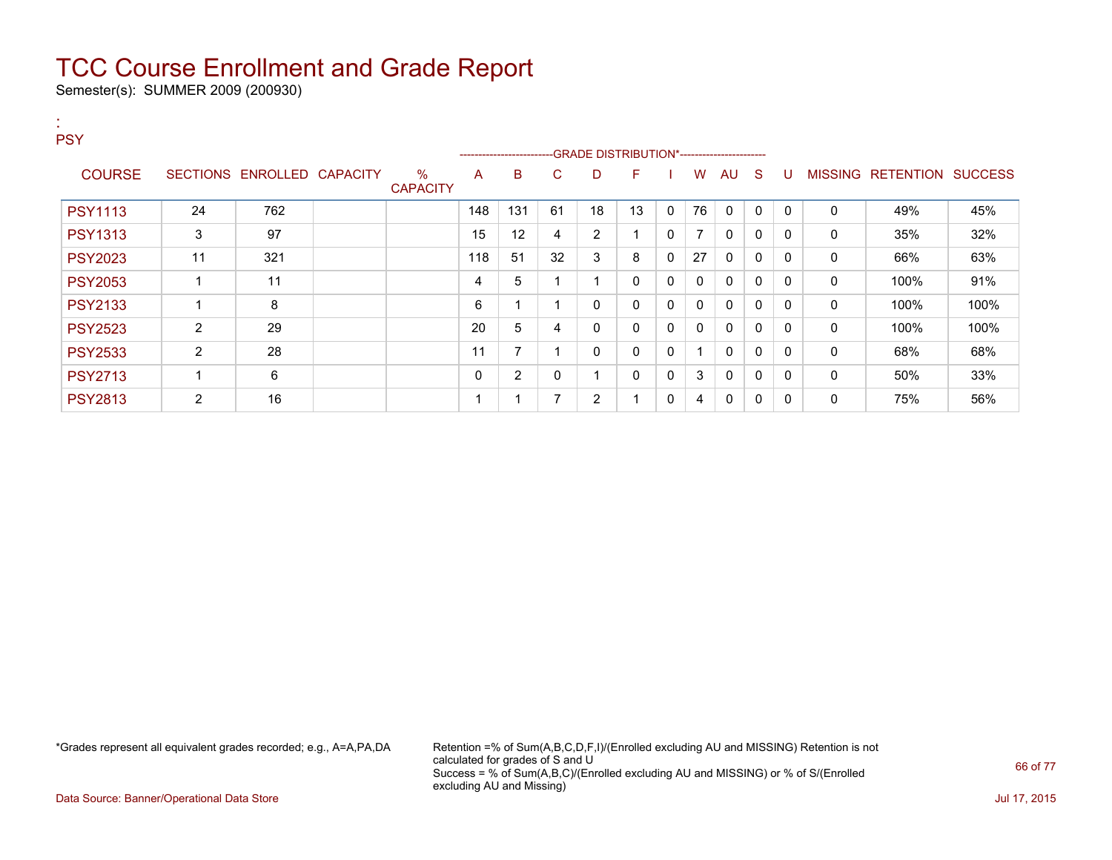Semester(s): SUMMER 2009 (200930)

:

| <b>PSY</b>     |                |                            |                         |     | ------------------------ |    |                |              |              |                |             |              |              |              |                           |      |
|----------------|----------------|----------------------------|-------------------------|-----|--------------------------|----|----------------|--------------|--------------|----------------|-------------|--------------|--------------|--------------|---------------------------|------|
| <b>COURSE</b>  |                | SECTIONS ENROLLED CAPACITY | $\%$<br><b>CAPACITY</b> | A   | B                        | C. | D              | F            |              | W              | AU.         | -S           | U            |              | MISSING RETENTION SUCCESS |      |
| <b>PSY1113</b> | 24             | 762                        |                         | 148 | 131                      | 61 | 18             | 13           | $\mathbf{0}$ | 76             | 0           | $\mathbf 0$  | $\mathbf{0}$ | 0            | 49%                       | 45%  |
| <b>PSY1313</b> | 3              | 97                         |                         | 15  | 12                       | 4  | $\overline{2}$ |              | 0            | $\overline{ }$ | 0           | 0            | $\mathbf{0}$ | 0            | 35%                       | 32%  |
| <b>PSY2023</b> | 11             | 321                        |                         | 118 | 51                       | 32 | 3              | 8            | 0            | 27             | $\mathbf 0$ | $\mathbf{0}$ | $\mathbf{0}$ | 0            | 66%                       | 63%  |
| <b>PSY2053</b> |                | 11                         |                         | 4   | 5                        |    |                | 0            | 0            | 0              | $\mathbf 0$ | $\mathbf{0}$ | $\Omega$     | 0            | 100%                      | 91%  |
| <b>PSY2133</b> |                | 8                          |                         | 6   |                          |    | 0              | $\mathbf{0}$ | 0            | $\mathbf{0}$   | $\mathbf 0$ | $\mathbf 0$  | $\Omega$     | $\mathbf{0}$ | 100%                      | 100% |
| <b>PSY2523</b> | $\overline{2}$ | 29                         |                         | 20  | 5                        | 4  | 0              | 0            | 0            | 0              | $\mathbf 0$ | $\mathbf 0$  | $\Omega$     | $\mathbf{0}$ | 100%                      | 100% |
| <b>PSY2533</b> | 2              | 28                         |                         | 11  | 7                        |    | 0              | $\mathbf{0}$ | $\mathbf{0}$ |                | $\mathbf 0$ | $\mathbf 0$  | $\mathbf{0}$ | $\mathbf{0}$ | 68%                       | 68%  |
| <b>PSY2713</b> |                | 6                          |                         | 0   | $\overline{2}$           | 0  |                | 0            | 0            | 3              | 0           | $\mathbf{0}$ | $\Omega$     | 0            | 50%                       | 33%  |
| <b>PSY2813</b> | $\overline{2}$ | 16                         |                         |     |                          | ⇁  | $\overline{2}$ |              | 0            | 4              | 0           | 0            | 0            | 0            | 75%                       | 56%  |

\*Grades represent all equivalent grades recorded; e.g., A=A,PA,DA Retention =% of Sum(A,B,C,D,F,I)/(Enrolled excluding AU and MISSING) Retention is not calculated for grades of S and U Success = % of Sum(A,B,C)/(Enrolled excluding AU and MISSING) or % of S/(Enrolled excluding AU and Missing)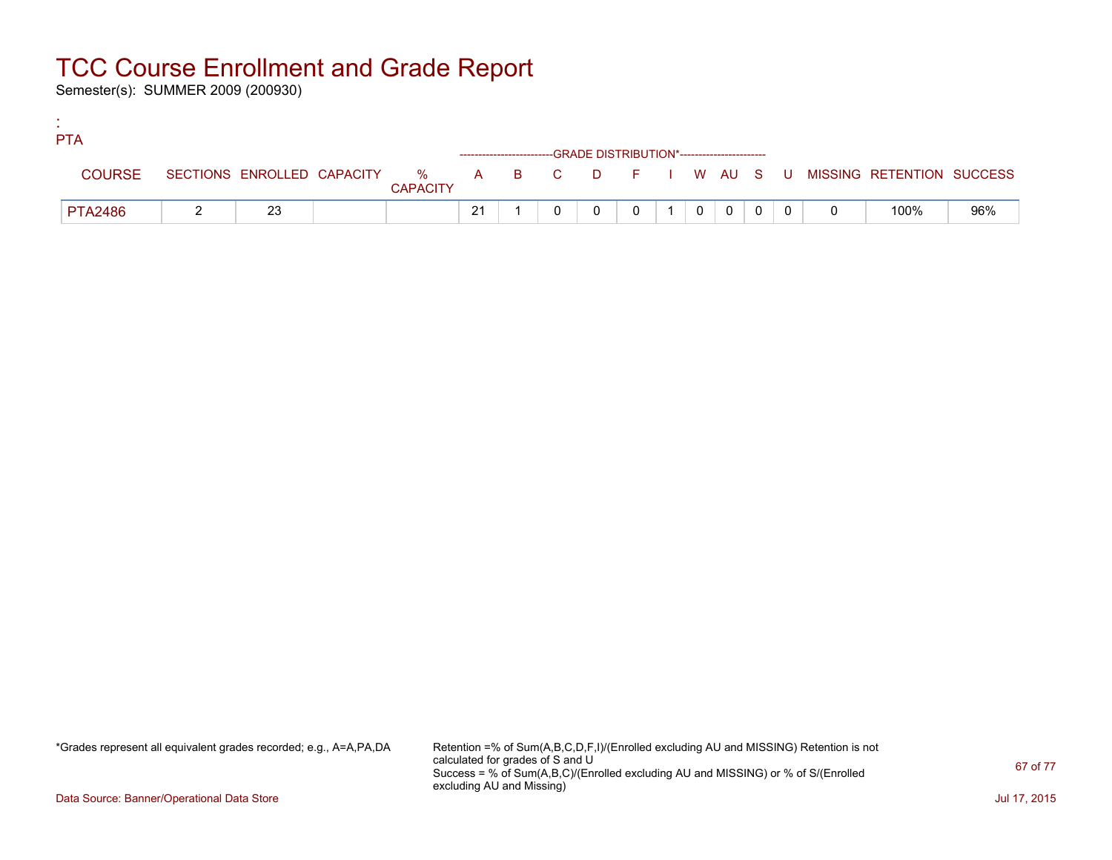Semester(s): SUMMER 2009 (200930)

:

| <b>PTA</b>     |    |                 |                                                                    |  |  |          |                |  |                                                                             |     |
|----------------|----|-----------------|--------------------------------------------------------------------|--|--|----------|----------------|--|-----------------------------------------------------------------------------|-----|
|                |    |                 | ------------------------GRADE DISTRIBUTION*----------------------- |  |  |          |                |  |                                                                             |     |
| <b>COURSE</b>  |    | <b>CAPACITY</b> |                                                                    |  |  |          |                |  | SECTIONS ENROLLED CAPACITY % A B C D F I W AU S U MISSING RETENTION SUCCESS |     |
| <b>PTA2486</b> | 23 |                 | 21                                                                 |  |  | $\Omega$ | $\overline{0}$ |  | 100%                                                                        | 96% |

\*Grades represent all equivalent grades recorded; e.g., A=A,PA,DA Retention =% of Sum(A,B,C,D,F,I)/(Enrolled excluding AU and MISSING) Retention is not calculated for grades of S and U Success = % of Sum(A,B,C)/(Enrolled excluding AU and MISSING) or % of S/(Enrolled excluding AU and Missing)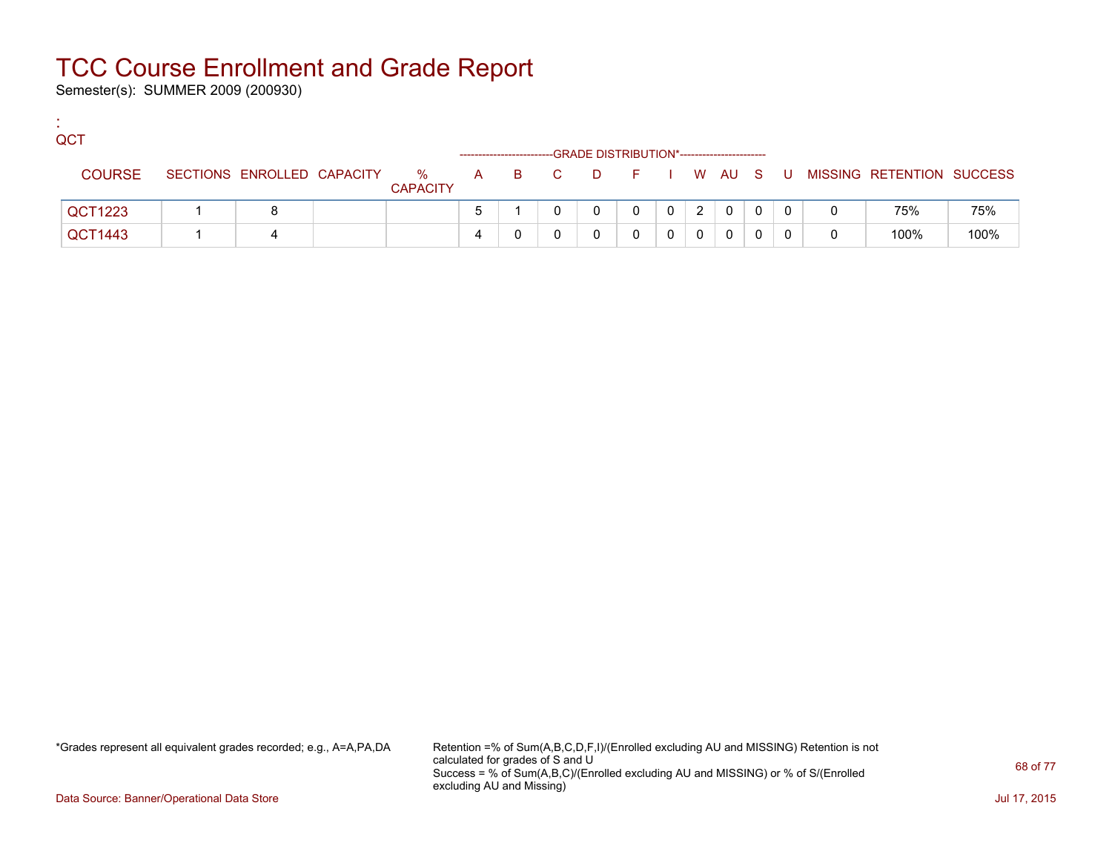Semester(s): SUMMER 2009 (200930)

:

| QCT           |                            |                      |  |       | -GRADE DISTRIBUTION*----------------------- |            |   |          |   |   |                           |      |
|---------------|----------------------------|----------------------|--|-------|---------------------------------------------|------------|---|----------|---|---|---------------------------|------|
| <b>COURSE</b> | SECTIONS ENROLLED CAPACITY | %<br><b>CAPACITY</b> |  | A B C | <b>D</b>                                    | F I W AU S |   |          |   | U | MISSING RETENTION SUCCESS |      |
| QCT1223       |                            |                      |  |       |                                             |            | 2 | $\Omega$ | 0 |   | 75%                       | 75%  |
| QCT1443       |                            |                      |  |       |                                             |            |   | 0        |   |   | 100%                      | 100% |

\*Grades represent all equivalent grades recorded; e.g., A=A,PA,DA Retention =% of Sum(A,B,C,D,F,I)/(Enrolled excluding AU and MISSING) Retention is not calculated for grades of S and U Success = % of Sum(A,B,C)/(Enrolled excluding AU and MISSING) or % of S/(Enrolled excluding AU and Missing)

Data Source: Banner/Operational Data Store Jul 17, 2015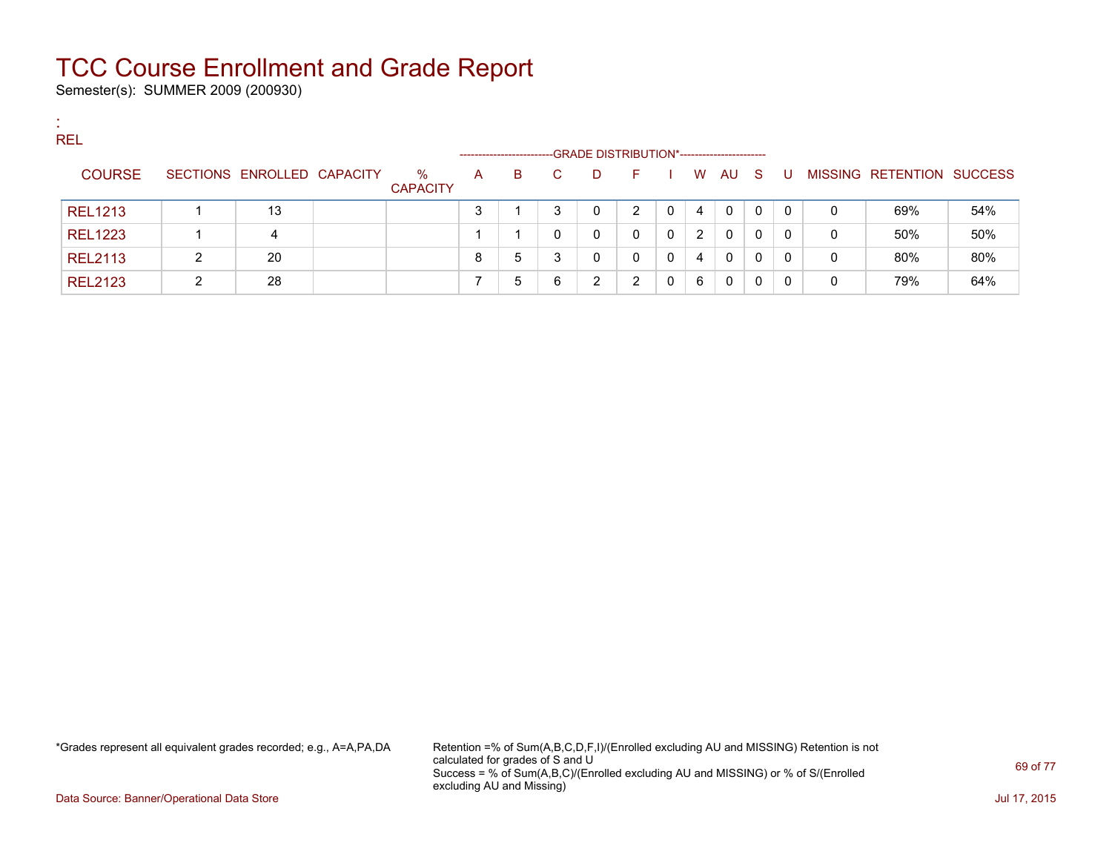Semester(s): SUMMER 2009 (200930)

:

| <b>REL</b>     |   |                            |                 |                       |    |    |                                             |    |   |                       |          |    |          |   |                                  |     |
|----------------|---|----------------------------|-----------------|-----------------------|----|----|---------------------------------------------|----|---|-----------------------|----------|----|----------|---|----------------------------------|-----|
|                |   |                            |                 | --------------------- |    |    | -GRADE DISTRIBUTION*----------------------- |    |   |                       |          |    |          |   |                                  |     |
| <b>COURSE</b>  |   | SECTIONS ENROLLED CAPACITY | $\%$            | A                     | B. | C. | D                                           | н. |   | W.                    | AU       | S. | - U      |   | <b>MISSING RETENTION SUCCESS</b> |     |
|                |   |                            | <b>CAPACITY</b> |                       |    |    |                                             |    |   |                       |          |    |          |   |                                  |     |
| <b>REL1213</b> |   | 13                         |                 |                       |    | ົ  | 0                                           | າ  | 0 | 4                     | $\Omega$ | 0  | $\Omega$ | 0 | 69%                              | 54% |
| <b>REL1223</b> |   | 4                          |                 |                       |    |    | 0                                           |    | 0 | $\mathbf{2}^{\prime}$ | $\Omega$ | 0  | 0        | 0 | 50%                              | 50% |
| <b>REL2113</b> | າ | 20                         |                 | 8                     | 5  | 3  | 0                                           |    | 0 | 4                     | $\Omega$ | 0  | $\Omega$ | 0 | 80%                              | 80% |
| <b>REL2123</b> |   | 28                         |                 |                       | 5  | 6  | 2                                           |    |   | 6                     | 0        | 0  | $\Omega$ | 0 | 79%                              | 64% |

\*Grades represent all equivalent grades recorded; e.g., A=A,PA,DA Retention =% of Sum(A,B,C,D,F,I)/(Enrolled excluding AU and MISSING) Retention is not calculated for grades of S and U Success = % of Sum(A,B,C)/(Enrolled excluding AU and MISSING) or % of S/(Enrolled excluding AU and Missing)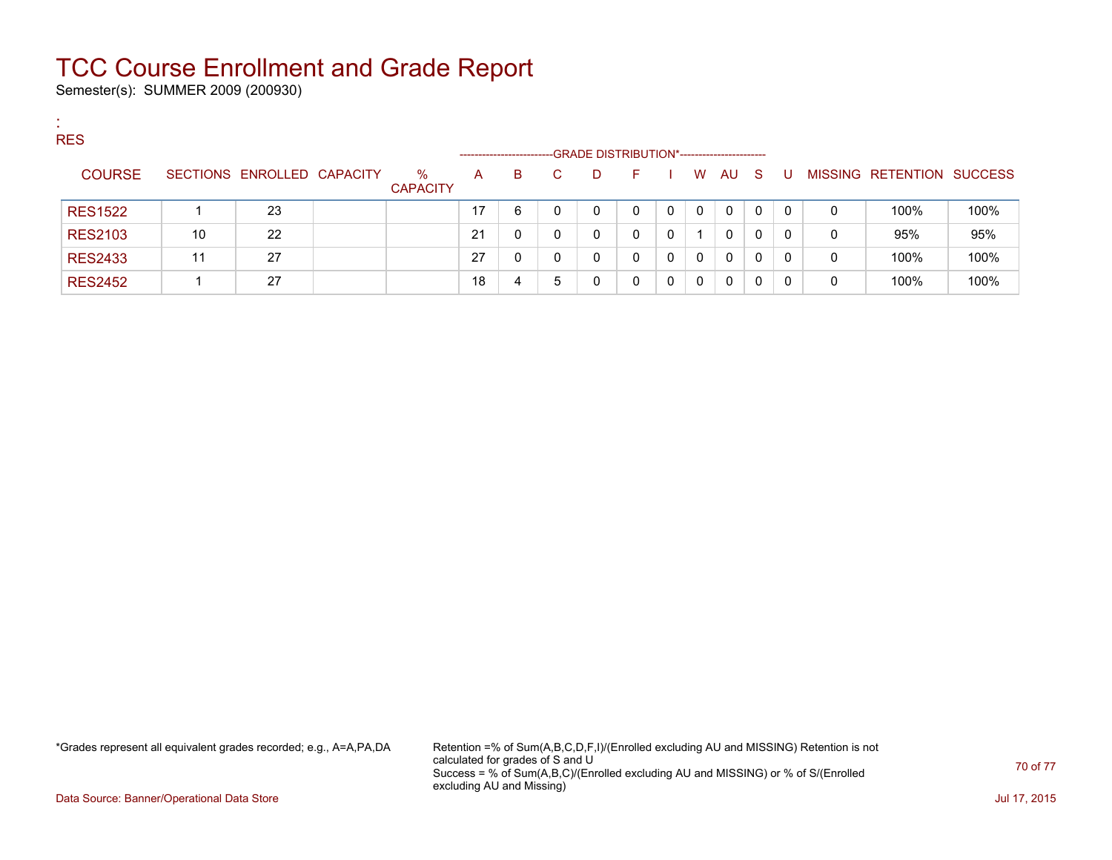Semester(s): SUMMER 2009 (200930)

:

| <b>RES</b>     |    |                            |                 |    |                        |   |   |                                             |          |   |              |              |          |   |                   |                |
|----------------|----|----------------------------|-----------------|----|------------------------|---|---|---------------------------------------------|----------|---|--------------|--------------|----------|---|-------------------|----------------|
|                |    |                            |                 |    | ---------------------- |   |   | -GRADE DISTRIBUTION*----------------------- |          |   |              |              |          |   |                   |                |
| <b>COURSE</b>  |    | SECTIONS ENROLLED CAPACITY | %               | A  | B                      |   | D | н.                                          |          | W | AU.          | - S          | U        |   | MISSING RETENTION | <b>SUCCESS</b> |
|                |    |                            | <b>CAPACITY</b> |    |                        |   |   |                                             |          |   |              |              |          |   |                   |                |
| <b>RES1522</b> |    | 23                         |                 | 17 | 6                      |   | 0 |                                             | $\Omega$ | 0 | $\mathbf{0}$ | $\mathbf{0}$ | $\Omega$ | 0 | 100%              | 100%           |
| <b>RES2103</b> | 10 | 22                         |                 | 21 |                        |   | 0 |                                             | 0        |   | 0            | $\mathbf{0}$ | -0       | 0 | 95%               | 95%            |
| <b>RES2433</b> | 11 | 27                         |                 | 27 |                        |   | 0 |                                             |          | 0 | $\mathbf{0}$ | $\Omega$     | 0        | 0 | 100%              | 100%           |
| <b>RES2452</b> |    | 27                         |                 | 18 |                        | 5 | 0 |                                             |          | 0 | 0            |              |          | 0 | 100%              | 100%           |

\*Grades represent all equivalent grades recorded; e.g., A=A,PA,DA Retention =% of Sum(A,B,C,D,F,I)/(Enrolled excluding AU and MISSING) Retention is not calculated for grades of S and U Success = % of Sum(A,B,C)/(Enrolled excluding AU and MISSING) or % of S/(Enrolled excluding AU and Missing)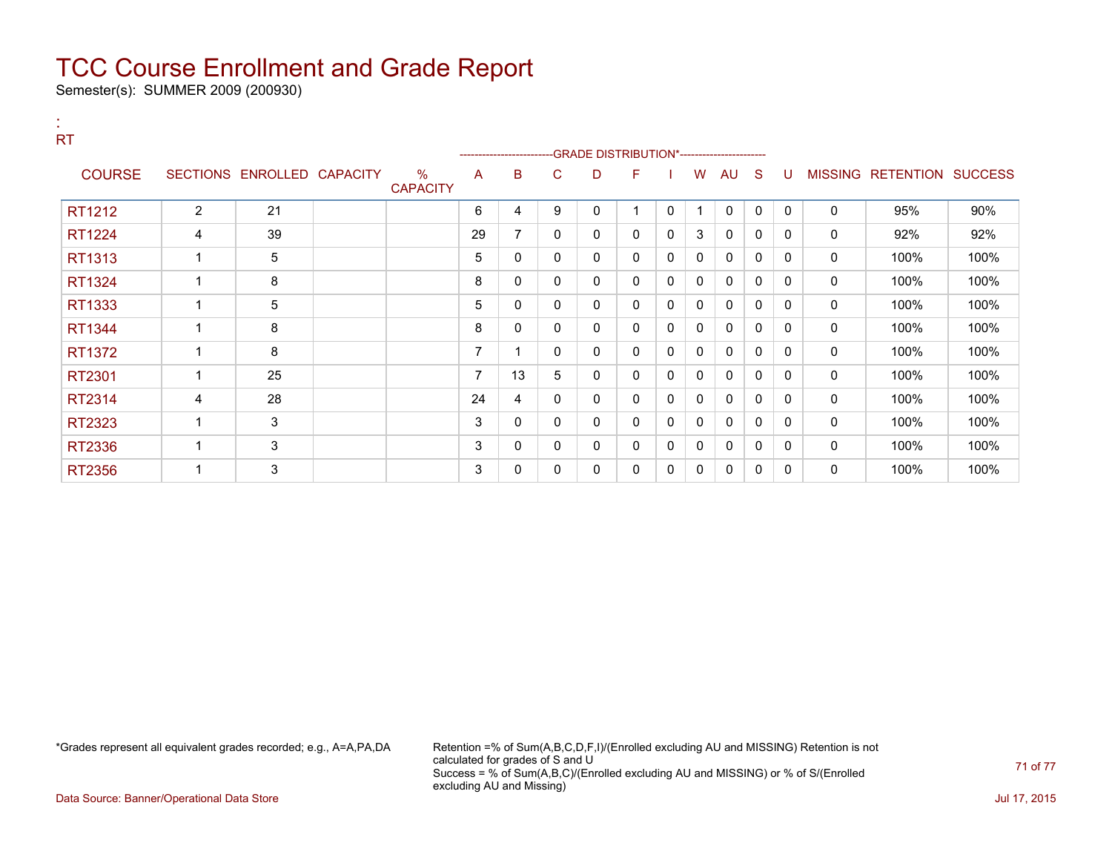Semester(s): SUMMER 2009 (200930)

:

| <b>RT</b>     |                 |                   |                                  |                | ------------------------- |   |   | -GRADE DISTRIBUTION*----------------------- |   |              |              |              |          |             |                   |                |
|---------------|-----------------|-------------------|----------------------------------|----------------|---------------------------|---|---|---------------------------------------------|---|--------------|--------------|--------------|----------|-------------|-------------------|----------------|
| <b>COURSE</b> | <b>SECTIONS</b> | ENROLLED CAPACITY | $\frac{0}{0}$<br><b>CAPACITY</b> | A              | в                         | С | D | F                                           |   | W            | AU           | S            | U        |             | MISSING RETENTION | <b>SUCCESS</b> |
| RT1212        | $\overline{c}$  | 21                |                                  | 6              | 4                         | 9 | 0 | 1                                           | 0 |              | 0            | 0            | 0        | 0           | 95%               | 90%            |
| RT1224        | 4               | 39                |                                  | 29             | 7                         | 0 | 0 | 0                                           | 0 | 3            | $\mathbf{0}$ | $\mathbf{0}$ | 0        | 0           | 92%               | 92%            |
| RT1313        |                 | 5                 |                                  | 5              | 0                         | 0 | 0 | 0                                           | 0 | 0            | 0            | 0            | 0        | 0           | 100%              | 100%           |
| RT1324        |                 | 8                 |                                  | 8              | 0                         | 0 | 0 | 0                                           | 0 | 0            | 0            | 0            | 0        | 0           | 100%              | 100%           |
| RT1333        |                 | 5                 |                                  | 5              | 0                         | 0 | 0 | 0                                           | 0 | 0            | $\mathbf{0}$ | 0            | 0        | 0           | 100%              | 100%           |
| RT1344        |                 | 8                 |                                  | 8              | $\mathbf{0}$              | 0 | 0 | 0                                           | 0 | 0            | $\mathbf{0}$ | $\mathbf{0}$ | 0        | 0           | 100%              | 100%           |
| RT1372        |                 | 8                 |                                  | 7              |                           | 0 | 0 | 0                                           | 0 | 0            | $\mathbf{0}$ | 0            | 0        | 0           | 100%              | 100%           |
| RT2301        |                 | 25                |                                  | $\overline{ }$ | 13                        | 5 | 0 | 0                                           | 0 | 0            | $\mathbf{0}$ | $\mathbf{0}$ | 0        | $\mathbf 0$ | 100%              | 100%           |
| RT2314        | 4               | 28                |                                  | 24             | 4                         | 0 | 0 | 0                                           | 0 | 0            | $\mathbf{0}$ | 0            | $\Omega$ | 0           | 100%              | 100%           |
| RT2323        | 1               | 3                 |                                  | 3              | $\mathbf{0}$              | 0 | 0 | 0                                           | 0 | $\mathbf{0}$ | $\mathbf{0}$ | $\mathbf{0}$ | 0        | $\mathbf 0$ | 100%              | 100%           |
| RT2336        |                 | 3                 |                                  | 3              | 0                         | 0 | 0 | 0                                           | 0 | 0            | $\mathbf{0}$ | 0            | $\Omega$ | 0           | 100%              | 100%           |
| RT2356        |                 | 3                 |                                  | 3              | 0                         | 0 | 0 | 0                                           | 0 | 0            | $\mathbf{0}$ | 0            | $\Omega$ | 0           | 100%              | 100%           |

\*Grades represent all equivalent grades recorded; e.g., A=A,PA,DA Retention =% of Sum(A,B,C,D,F,I)/(Enrolled excluding AU and MISSING) Retention is not calculated for grades of S and U Success = % of Sum(A,B,C)/(Enrolled excluding AU and MISSING) or % of S/(Enrolled excluding AU and Missing)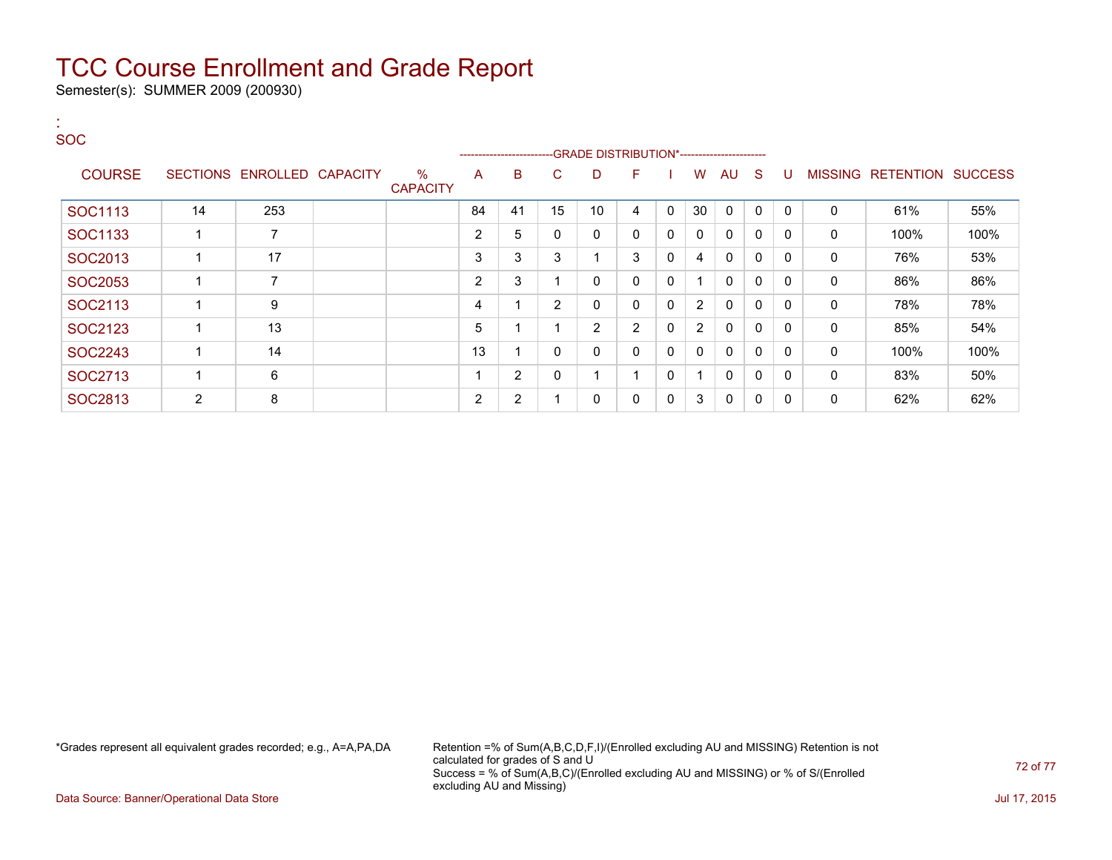Semester(s): SUMMER 2009 (200930)

#### : **SOC**

|                |    |                            |                      |    |    | ------------------------GRADE                DISTRIBUTION*---------------------- |    |    |             |                |             |              |          |                |           |                |
|----------------|----|----------------------------|----------------------|----|----|----------------------------------------------------------------------------------|----|----|-------------|----------------|-------------|--------------|----------|----------------|-----------|----------------|
| <b>COURSE</b>  |    | SECTIONS ENROLLED CAPACITY | %<br><b>CAPACITY</b> | A  | B  | C.                                                                               | D  | F. |             | W              | <b>AU</b>   | <sub>S</sub> | U        | <b>MISSING</b> | RETENTION | <b>SUCCESS</b> |
| SOC1113        | 14 | 253                        |                      | 84 | 41 | 15                                                                               | 10 | 4  | 0           | 30             | $\Omega$    | 0            | $\Omega$ | $\mathbf 0$    | 61%       | 55%            |
| SOC1133        |    | 7                          |                      | 2  | 5  | $\Omega$                                                                         | 0  | 0  | 0           | 0              | $\Omega$    | 0            | 0        | $\mathbf{0}$   | 100%      | 100%           |
| SOC2013        |    | 17                         |                      | 3  | 3  | 3                                                                                |    | 3  | 0           | 4              | $\Omega$    | $\mathbf{0}$ |          | 0              | 76%       | 53%            |
| <b>SOC2053</b> |    | $\overline{7}$             |                      | 2  | 3  |                                                                                  |    | 0  | $\Omega$    |                | $\Omega$    | $\mathbf{0}$ |          | 0              | 86%       | 86%            |
| SOC2113        |    | 9                          |                      | 4  |    | 2                                                                                | 0  | 0  | $\Omega$    | $\overline{2}$ | 0           | $\mathbf{0}$ | $\Omega$ | 0              | 78%       | 78%            |
| SOC2123        |    | 13                         |                      | 5  |    |                                                                                  | 2  | 2  | $\mathbf 0$ | $\overline{2}$ | 0           | 0            |          | 0              | 85%       | 54%            |
| SOC2243        |    | 14                         |                      | 13 |    | - 0                                                                              |    | 0  | $\Omega$    | 0              | $\Omega$    | 0            | 0        | $\mathbf{0}$   | 100%      | 100%           |
| SOC2713        |    | 6                          |                      |    | 2  | $\mathbf{0}$                                                                     |    |    | 0           |                | $\mathbf 0$ | $\mathbf{0}$ |          | 0              | 83%       | 50%            |
| SOC2813        | 2  | 8                          |                      | 2  | 2  |                                                                                  |    | 0  | 0           | 3              | 0           | 0            |          | 0              | 62%       | 62%            |

\*Grades represent all equivalent grades recorded; e.g., A=A,PA,DA Retention =% of Sum(A,B,C,D,F,I)/(Enrolled excluding AU and MISSING) Retention is not calculated for grades of S and U Success = % of Sum(A,B,C)/(Enrolled excluding AU and MISSING) or % of S/(Enrolled excluding AU and Missing)

Data Source: Banner/Operational Data Store Jul 17, 2015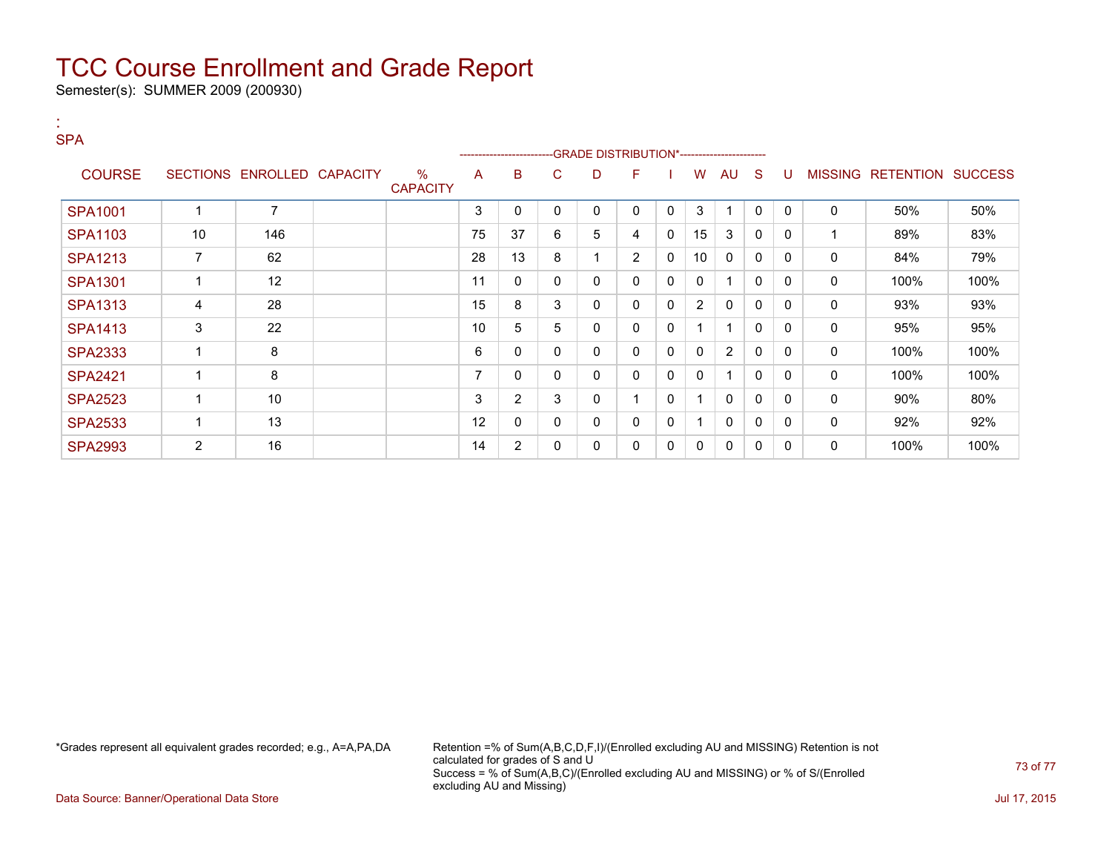Semester(s): SUMMER 2009 (200930)

| <b>SPA</b>     |                |                            |                         |    | ----------------------- |   |   | -GRADE DISTRIBUTION*---------------------- |              |                      |                |              |              |                |           |                |
|----------------|----------------|----------------------------|-------------------------|----|-------------------------|---|---|--------------------------------------------|--------------|----------------------|----------------|--------------|--------------|----------------|-----------|----------------|
| <b>COURSE</b>  |                | SECTIONS ENROLLED CAPACITY | $\%$<br><b>CAPACITY</b> | A  | в                       | C | D | F                                          |              | W                    | AU             | -S           | U            | <b>MISSING</b> | RETENTION | <b>SUCCESS</b> |
| <b>SPA1001</b> |                | 7                          |                         | 3  | 0                       | 0 | 0 | 0                                          | $\mathbf{0}$ | 3                    |                | $\Omega$     | $\mathbf{0}$ | 0              | 50%       | 50%            |
| <b>SPA1103</b> | 10             | 146                        |                         | 75 | 37                      | 6 | 5 | 4                                          | 0            | 15                   | 3              | 0            | 0            |                | 89%       | 83%            |
| <b>SPA1213</b> | $\overline{7}$ | 62                         |                         | 28 | 13                      | 8 |   | $\overline{2}$                             | 0            | 10                   | 0              | 0            | 0            | 0              | 84%       | 79%            |
| <b>SPA1301</b> |                | 12                         |                         | 11 | 0                       | 0 | 0 | $\mathbf{0}$                               | $\mathbf{0}$ | $\mathbf{0}$         |                | $\mathbf{0}$ | $\mathbf{0}$ | 0              | 100%      | 100%           |
| <b>SPA1313</b> | 4              | 28                         |                         | 15 | 8                       | 3 | 0 | 0                                          | 0            | $\overline{2}$       | 0              | 0            | 0            | 0              | 93%       | 93%            |
| <b>SPA1413</b> | 3              | 22                         |                         | 10 | 5                       | 5 | 0 | 0                                          | 0            | 1                    |                | $\mathbf 0$  | 0            | 0              | 95%       | 95%            |
| <b>SPA2333</b> | 1              | 8                          |                         | 6  | 0                       | 0 | 0 | $\mathbf{0}$                               | 0            | $\mathbf{0}$         | $\overline{2}$ | $\Omega$     | $\mathbf{0}$ | 0              | 100%      | 100%           |
| <b>SPA2421</b> | -1             | 8                          |                         | 7  | 0                       | 0 | 0 | 0                                          | 0            | 0                    |                | $\Omega$     | 0            | 0              | 100%      | 100%           |
| <b>SPA2523</b> |                | 10                         |                         | 3  | $\overline{2}$          | 3 | 0 |                                            | 0            | -1                   | 0              | 0            | 0            | 0              | 90%       | 80%            |
| <b>SPA2533</b> |                | 13                         |                         | 12 | 0                       | 0 | 0 | $\mathbf{0}$                               | $\mathbf{0}$ | $\blacktriangleleft$ | $\mathbf{0}$   | $\mathbf 0$  | $\Omega$     | 0              | 92%       | 92%            |
| <b>SPA2993</b> | $\overline{2}$ | 16                         |                         | 14 | $\overline{2}$          | 0 | 0 | 0                                          | 0            | 0                    | 0              | $\mathbf 0$  | 0            | 0              | 100%      | 100%           |

:

\*Grades represent all equivalent grades recorded; e.g., A=A,PA,DA Retention =% of Sum(A,B,C,D,F,I)/(Enrolled excluding AU and MISSING) Retention is not calculated for grades of S and U Success = % of Sum(A,B,C)/(Enrolled excluding AU and MISSING) or % of S/(Enrolled excluding AU and Missing)

Data Source: Banner/Operational Data Store Jul 17, 2015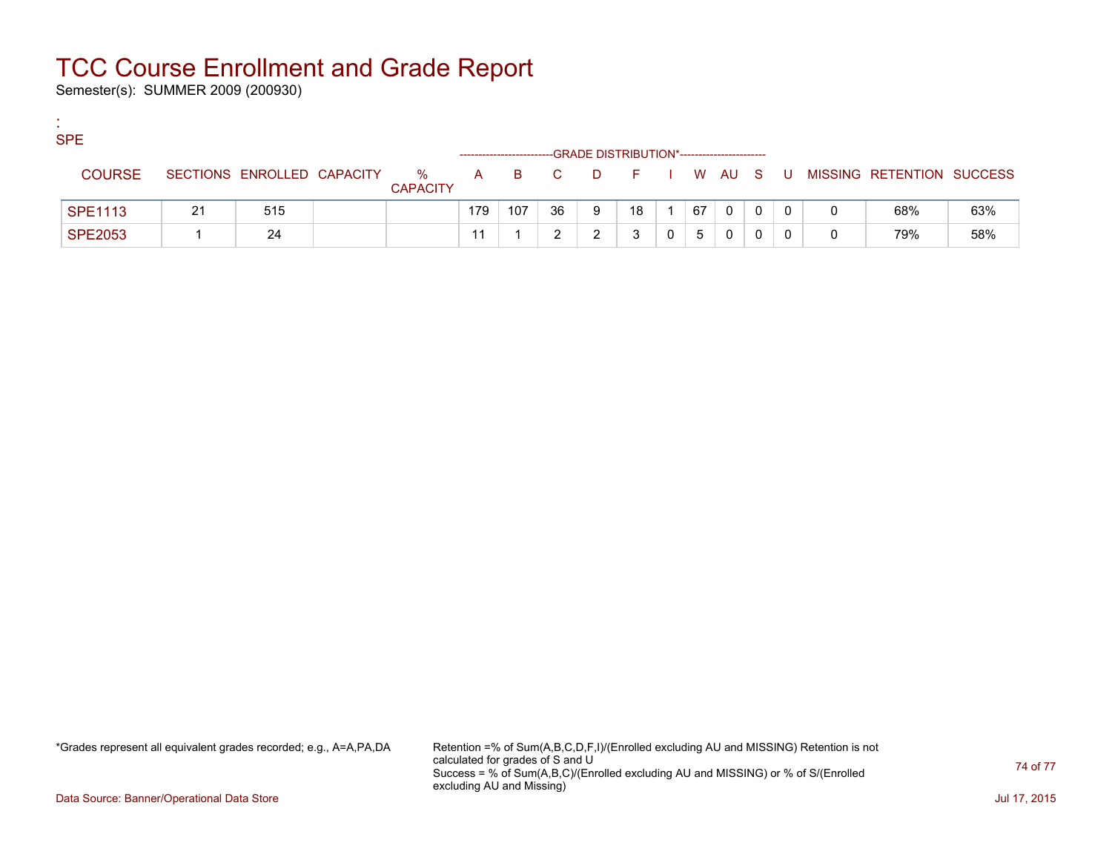Semester(s): SUMMER 2009 (200930)

:

| <b>SPE</b>     |    |                            |                      |     |     |       | --GRADE DISTRIBUTION*----------------------- |    |    |   |  |                             |     |
|----------------|----|----------------------------|----------------------|-----|-----|-------|----------------------------------------------|----|----|---|--|-----------------------------|-----|
| <b>COURSE</b>  |    | SECTIONS ENROLLED CAPACITY | %<br><b>CAPACITY</b> |     |     | A B C | DFIWAUS                                      |    |    |   |  | U MISSING RETENTION SUCCESS |     |
| <b>SPE1113</b> | 21 | 515                        |                      | 179 | 107 | 36    | 9                                            | 18 | 67 | 0 |  | 68%                         | 63% |
| <b>SPE2053</b> |    | 24                         |                      |     |     |       |                                              | 3  | 5  | 0 |  | 79%                         | 58% |

\*Grades represent all equivalent grades recorded; e.g., A=A,PA,DA Retention =% of Sum(A,B,C,D,F,I)/(Enrolled excluding AU and MISSING) Retention is not calculated for grades of S and U Success = % of Sum(A,B,C)/(Enrolled excluding AU and MISSING) or % of S/(Enrolled excluding AU and Missing)

Data Source: Banner/Operational Data Store Jul 17, 2015

74 of 77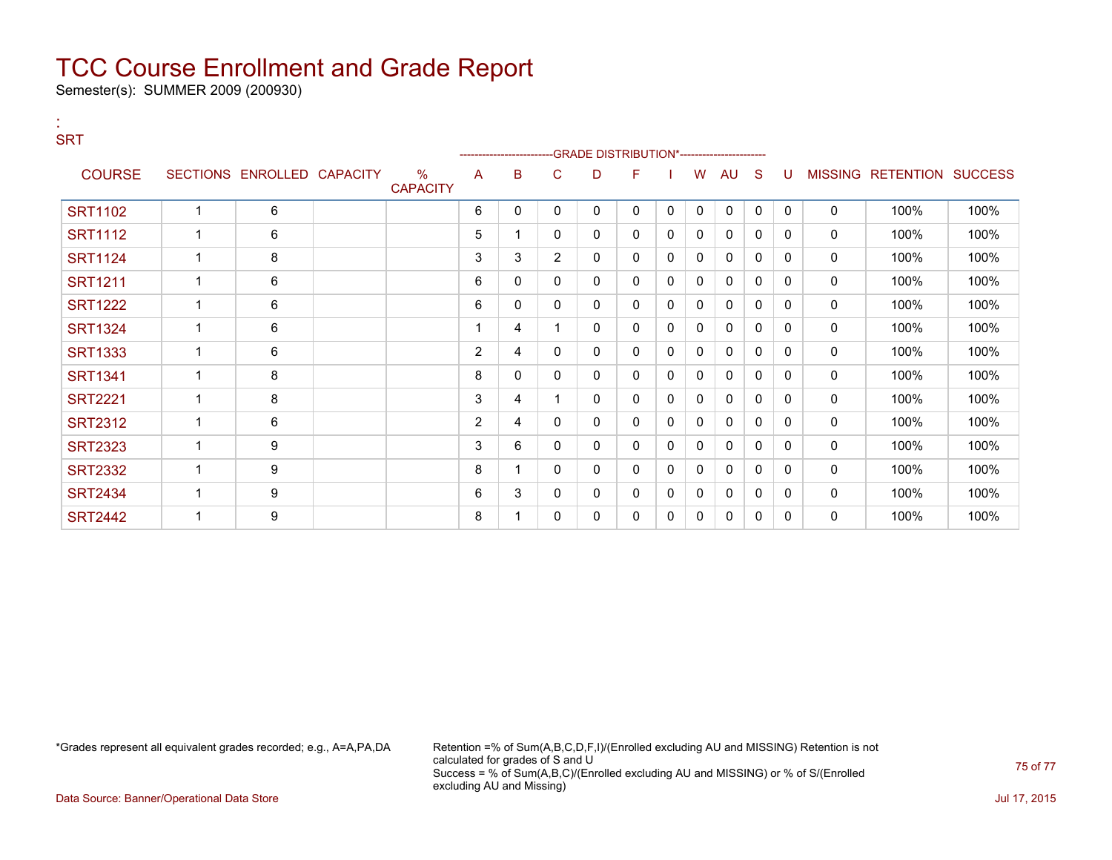Semester(s): SUMMER 2009 (200930)

:

| <b>SRT</b>     |             |                            |                         |                | --------------------- |              | -GRADE DISTRIBUTION*---------------------- |              |              |              |              |              |              |              |                                  |      |
|----------------|-------------|----------------------------|-------------------------|----------------|-----------------------|--------------|--------------------------------------------|--------------|--------------|--------------|--------------|--------------|--------------|--------------|----------------------------------|------|
| <b>COURSE</b>  |             | SECTIONS ENROLLED CAPACITY | $\%$<br><b>CAPACITY</b> | A              | B                     | $\mathsf{C}$ | D                                          | F            |              | W            | AU           | <sub>S</sub> | U            |              | <b>MISSING RETENTION SUCCESS</b> |      |
| <b>SRT1102</b> |             | 6                          |                         | 6              | $\mathbf{0}$          | $\mathbf{0}$ | $\mathbf{0}$                               | $\mathbf{0}$ | $\Omega$     | $\mathbf{0}$ | $\mathbf{0}$ | $\mathbf{0}$ | $\mathbf{0}$ | $\mathbf{0}$ | 100%                             | 100% |
| <b>SRT1112</b> |             | 6                          |                         | 5              |                       | $\mathbf{0}$ | 0                                          | $\mathbf{0}$ | $\mathbf{0}$ | 0            | 0            | 0            | $\mathbf{0}$ | $\mathbf{0}$ | 100%                             | 100% |
| <b>SRT1124</b> |             | 8                          |                         | 3              | 3                     | 2            | 0                                          | $\mathbf{0}$ | $\mathbf 0$  | 0            | 0            | 0            | $\Omega$     | $\mathbf{0}$ | 100%                             | 100% |
| <b>SRT1211</b> | $\mathbf 1$ | 6                          |                         | 6              | 0                     | $\mathbf{0}$ | $\Omega$                                   | $\mathbf{0}$ | $\mathbf{0}$ | $\mathbf{0}$ | 0            | 0            | $\mathbf{0}$ | $\mathbf{0}$ | 100%                             | 100% |
| <b>SRT1222</b> |             | 6                          |                         | 6              | 0                     | $\mathbf{0}$ | 0                                          | 0            | $\mathbf{0}$ | 0            | 0            | 0            | $\Omega$     | $\mathbf{0}$ | 100%                             | 100% |
| <b>SRT1324</b> |             | 6                          |                         |                | 4                     |              | 0                                          | $\mathbf{0}$ | $\mathbf{0}$ | 0            | 0            | 0            | $\mathbf{0}$ | $\mathbf{0}$ | 100%                             | 100% |
| <b>SRT1333</b> |             | 6                          |                         | $\overline{2}$ | 4                     | $\mathbf{0}$ | $\mathbf{0}$                               | $\mathbf{0}$ | $\mathbf{0}$ | $\mathbf{0}$ | 0            | 0            | $\mathbf{0}$ | $\mathbf{0}$ | 100%                             | 100% |
| <b>SRT1341</b> |             | 8                          |                         | 8              | 0                     | 0            | 0                                          | $\mathbf{0}$ | $\mathbf 0$  | 0            | 0            | $\Omega$     | $\mathbf{0}$ | $\mathbf{0}$ | 100%                             | 100% |
| <b>SRT2221</b> |             | 8                          |                         | 3              | 4                     |              | 0                                          | 0            | $\mathbf{0}$ | $\mathbf{0}$ | 0            | 0            | $\mathbf{0}$ | $\mathbf{0}$ | 100%                             | 100% |
| <b>SRT2312</b> |             | 6                          |                         | 2              | 4                     | 0            | 0                                          | 0            | $\mathbf 0$  | 0            | 0            | 0            | $\mathbf{0}$ | $\mathbf{0}$ | 100%                             | 100% |
| <b>SRT2323</b> |             | 9                          |                         | 3              | 6                     | $\mathbf{0}$ | 0                                          | 0            | $\mathbf{0}$ | 0            | 0            | 0            | $\mathbf{0}$ | $\mathbf{0}$ | 100%                             | 100% |
| <b>SRT2332</b> |             | 9                          |                         | 8              |                       | $\mathbf{0}$ | $\mathbf{0}$                               | $\mathbf{0}$ | $\mathbf{0}$ | $\mathbf{0}$ | 0            | 0            | $\mathbf{0}$ | 0            | 100%                             | 100% |
| <b>SRT2434</b> |             | 9                          |                         | 6              | 3                     | 0            | 0                                          | $\mathbf{0}$ | 0            | $\mathbf{0}$ | 0            | $\mathbf{0}$ | $\Omega$     | $\mathbf{0}$ | 100%                             | 100% |
| <b>SRT2442</b> |             | 9                          |                         | 8              |                       | 0            | 0                                          | 0            | $\mathbf{0}$ | 0            | 0            | 0            | $\mathbf{0}$ | $\mathbf{0}$ | 100%                             | 100% |

\*Grades represent all equivalent grades recorded; e.g., A=A,PA,DA Retention =% of Sum(A,B,C,D,F,I)/(Enrolled excluding AU and MISSING) Retention is not calculated for grades of S and U Success = % of Sum(A,B,C)/(Enrolled excluding AU and MISSING) or % of S/(Enrolled excluding AU and Missing)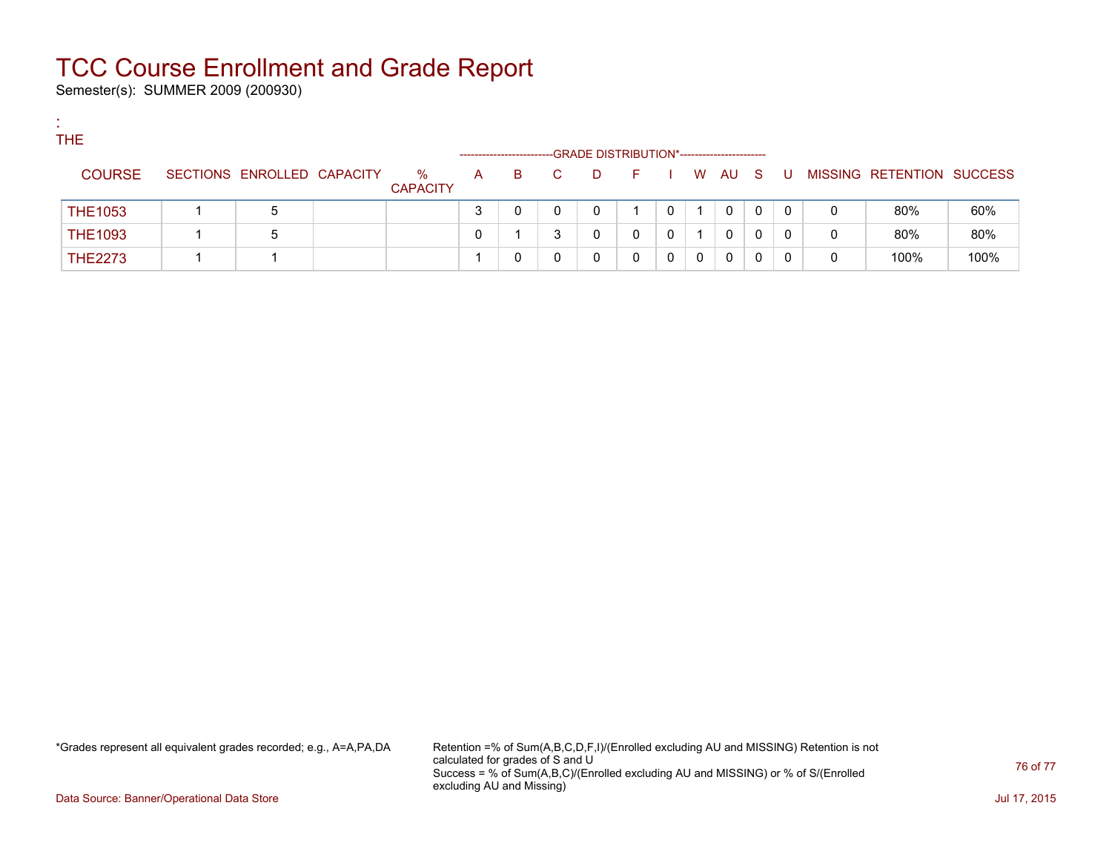Semester(s): SUMMER 2009 (200930)

:

| <b>THE</b> |                |                            |                 |                       |    |    |   |                                             |  |        |   |   |   |                           |      |
|------------|----------------|----------------------------|-----------------|-----------------------|----|----|---|---------------------------------------------|--|--------|---|---|---|---------------------------|------|
|            |                |                            |                 | --------------------- |    |    |   | -GRADE DISTRIBUTION*----------------------- |  |        |   |   |   |                           |      |
|            | <b>COURSE</b>  | SECTIONS ENROLLED CAPACITY | %               | A                     | B. | C. | D | - F -                                       |  | W AU S |   | U |   | MISSING RETENTION SUCCESS |      |
|            |                |                            | <b>CAPACITY</b> |                       |    |    |   |                                             |  |        |   |   |   |                           |      |
|            | <b>THE1053</b> | 5                          |                 | 3                     |    |    |   |                                             |  | 0      | 0 | 0 | 0 | 80%                       | 60%  |
|            | <b>THE1093</b> | 5                          |                 |                       |    |    |   |                                             |  | 0      |   |   | 0 | 80%                       | 80%  |
|            | <b>THE2273</b> |                            |                 |                       |    |    |   |                                             |  | 0      |   |   | 0 | 100%                      | 100% |

\*Grades represent all equivalent grades recorded; e.g., A=A,PA,DA Retention =% of Sum(A,B,C,D,F,I)/(Enrolled excluding AU and MISSING) Retention is not calculated for grades of S and U Success = % of Sum(A,B,C)/(Enrolled excluding AU and MISSING) or % of S/(Enrolled excluding AU and Missing)

Data Source: Banner/Operational Data Store Jul 17, 2015

76 of 77